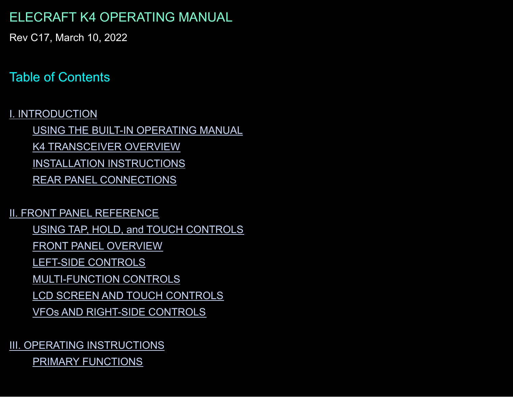# ELECRAFT K4 OPERATING MANUAL

Rev C17, March 10, 2022

# Table of Contents

#### I. [INTRODUCTION](#page-2-0)

USING THE BUILT-IN [OPERATING](#page-2-1) MANUAL K4 [TRANSCEIVER](#page-3-0) OVERVIEW INSTALLATION [INSTRUCTIONS](#page-4-0) REAR PANEL [CONNECTIONS](#page-6-0)

#### II. FRONT PANEL [REFERENCE](#page-14-0)

USING TAP, HOLD, and TOUCH [CONTROLS](#page-14-1)

FRONT PANEL [OVERVIEW](#page-15-0)

LEFT-SIDE [CONTROLS](#page-17-0)

[MULTI-FUNCTION](#page-21-0) CONTROLS

LCD SCREEN AND TOUCH [CONTROLS](#page-24-0)

VFOs AND [RIGHT-SIDE](#page-30-0) CONTROLS

#### III. OPERATING [INSTRUCTIONS](#page-35-0) PRIMARY [FUNCTIONS](#page-35-1)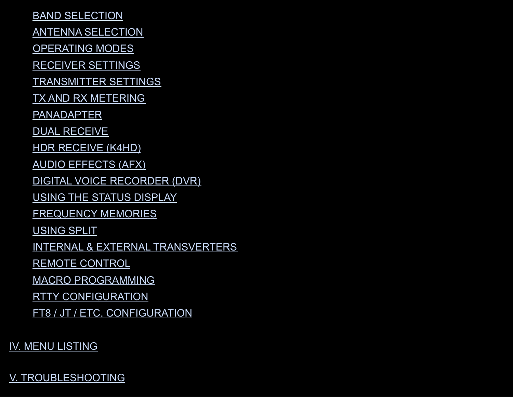BAND [SELECTION](#page-42-0)

ANTENNA [SELECTION](#page-43-0)

[OPERATING](#page-46-0) MODES

[RECEIVER](#page-56-0) SETTINGS

[TRANSMITTER](#page-61-0) SETTINGS

TX AND RX [METERING](#page-63-0)

[PANADAPTER](#page-64-0)

DUAL [RECEIVE](#page-69-0)

HDR [RECEIVE](#page-71-0) (K4HD)

AUDIO [EFFECTS](#page-71-1) (AFX)

DIGITAL VOICE [RECORDER](#page-72-0) (DVR)

USING THE STATUS [DISPLAY](#page-73-0)

[FREQUENCY](#page-74-0) MEMORIES

[USING](#page-75-0) SPLIT

INTERNAL & EXTERNAL [TRANSVERTERS](#page-76-0)

REMOTE [CONTROL](#page-77-0)

MACRO [PROGRAMMING](#page-78-0)

RTTY [CONFIGURATION](#page-79-0)

FT8 / JT / ETC. [CONFIGURATION](#page-79-1)

IV. MENU [LISTING](#page-79-2)

V. [TROUBLESHOOTING](#page-94-0)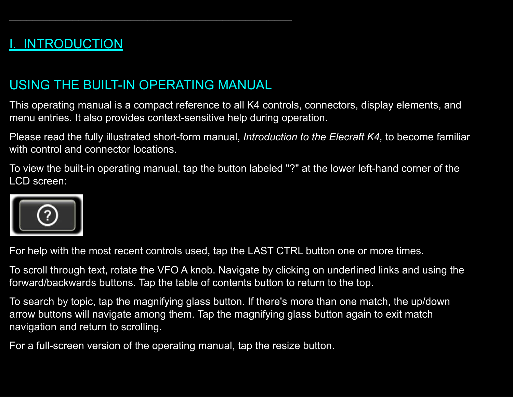# <span id="page-2-0"></span>**INTRODUCTION**

# <span id="page-2-1"></span>USING THE BUILT-IN OPERATING MANUAL

 $\mathcal{L}_\mathcal{L}$  , and the contribution of the contribution of  $\mathcal{L}_\mathcal{L}$ 

This operating manual is a compact reference to all K4 controls, connectors, display elements, and menu entries. It also provides context-sensitive help during operation.

Please read the fully illustrated short-form manual, *Introduction to the Elecraft K4,* to become familiar with control and connector locations.

To view the built-in operating manual, tap the button labeled "?" at the lower left-hand corner of the LCD screen:

For help with the most recent controls used, tap the LAST CTRL button one or more times.

To scroll through text, rotate the VFO A knob. Navigate by clicking on underlined links and using the forward/backwards buttons. Tap the table of contents button to return to the top.

To search by topic, tap the magnifying glass button. If there's more than one match, the up/down arrow buttons will navigate among them. Tap the magnifying glass button again to exit match navigation and return to scrolling.

For a full-screen version of the operating manual, tap the resize button.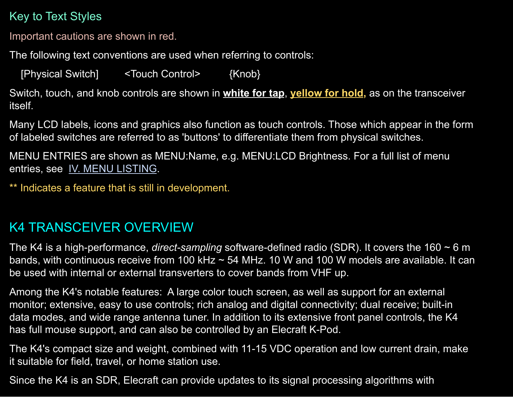# <span id="page-3-1"></span>Key to Text Styles

Important cautions are shown in red.

The following text conventions are used when referring to controls:

[Physical Switch] <Touch Control> {Knob}

Switch, touch, and knob controls are shown in **white for tap**, **yellow for hold,** as on the transceiver itself.

Many LCD labels, icons and graphics also function as touch controls. Those which appear in the form of labeled switches are referred to as 'buttons' to differentiate them from physical switches.

MENU ENTRIES are shown as MENU:Name, e.g. MENU:LCD Brightness. For a full list of menu entries, see IV. MENU [LISTING](#page-79-2).

\*\* Indicates a feature that is still in development.

# <span id="page-3-0"></span>K4 TRANSCEIVER OVERVIEW

The K4 is a high-performance, *direct-sampling* software-defined radio (SDR). It covers the 160 ~ 6 m bands, with continuous receive from 100 kHz ~ 54 MHz. 10 W and 100 W models are available. It can be used with internal or external transverters to cover bands from VHF up.

Among the K4's notable features: A large color touch screen, as well as support for an external monitor; extensive, easy to use controls; rich analog and digital connectivity; dual receive; built-in data modes, and wide range antenna tuner. In addition to its extensive front panel controls, the K4 has full mouse support, and can also be controlled by an Elecraft K-Pod.

The K4's compact size and weight, combined with 11-15 VDC operation and low current drain, make it suitable for field, travel, or home station use.

Since the K4 is an SDR, Elecraft can provide updates to its signal processing algorithms with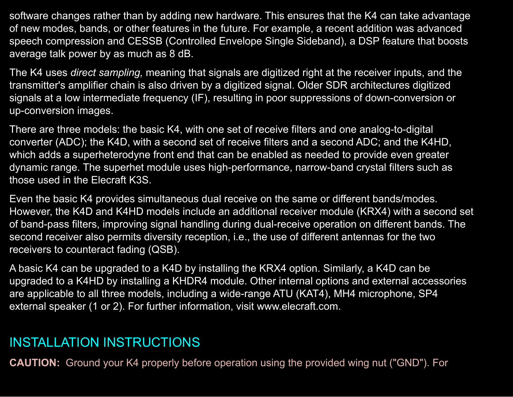software changes rather than by adding new hardware. This ensures that the K4 can take advantage of new modes, bands, or other features in the future. For example, a recent addition was advanced speech compression and CESSB (Controlled Envelope Single Sideband), a DSP feature that boosts average talk power by as much as 8 dB.

The K4 uses *direct sampling,* meaning that signals are digitized right at the receiver inputs, and the transmitter's amplifier chain is also driven by a digitized signal. Older SDR architectures digitized signals at a low intermediate frequency (IF), resulting in poor suppressions of down-conversion or up-conversion images.

There are three models: the basic K4, with one set of receive filters and one analog-to-digital converter (ADC); the K4D, with a second set of receive filters and a second ADC; and the K4HD, which adds a superheterodyne front end that can be enabled as needed to provide even greater dynamic range. The superhet module uses high-performance, narrow-band crystal filters such as those used in the Elecraft K3S.

Even the basic K4 provides simultaneous dual receive on the same or different bands/modes. However, the K4D and K4HD models include an additional receiver module (KRX4) with a second set of band-pass filters, improving signal handling during dual-receive operation on different bands. The second receiver also permits diversity reception, i.e., the use of different antennas for the two receivers to counteract fading (QSB).

A basic K4 can be upgraded to a K4D by installing the KRX4 option. Similarly, a K4D can be upgraded to a K4HD by installing a KHDR4 module. Other internal options and external accessories are applicable to all three models, including a wide-range ATU (KAT4), MH4 microphone, SP4 external speaker (1 or 2). For further information, visit www.elecraft.com.

# <span id="page-4-0"></span>INSTALLATION INSTRUCTIONS

**CAUTION:** Ground your K4 properly before operation using the provided wing nut ("GND"). For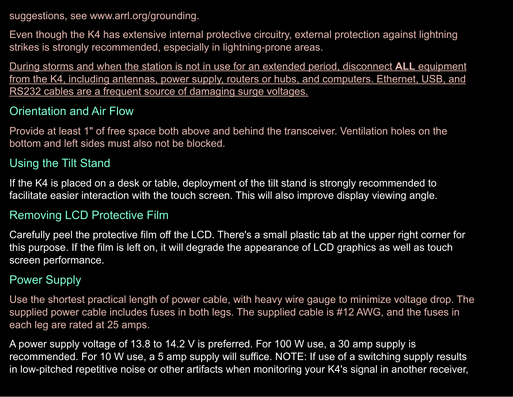suggestions, see www.arrl.org/grounding.

Even though the K4 has extensive internal protective circuitry, external protection against lightning strikes is strongly recommended, especially in lightning-prone areas.

During storms and when the station is not in use for an extended period, disconnect **ALL** equipment from the K4, including antennas, power supply, routers or hubs, and computers. Ethernet, USB, and RS232 cables are a frequent source of damaging surge voltages.

#### Orientation and Air Flow

Provide at least 1" of free space both above and behind the transceiver. Ventilation holes on the bottom and left sides must also not be blocked.

#### Using the Tilt Stand

If the K4 is placed on a desk or table, deployment of the tilt stand is strongly recommended to facilitate easier interaction with the touch screen. This will also improve display viewing angle.

#### Removing LCD Protective Film

Carefully peel the protective film off the LCD. There's a small plastic tab at the upper right corner for this purpose. If the film is left on, it will degrade the appearance of LCD graphics as well as touch screen performance.

#### Power Supply

Use the shortest practical length of power cable, with heavy wire gauge to minimize voltage drop. The supplied power cable includes fuses in both legs. The supplied cable is #12 AWG, and the fuses in each leg are rated at 25 amps.

A power supply voltage of 13.8 to 14.2 V is preferred. For 100 W use, a 30 amp supply is recommended. For 10 W use, a 5 amp supply will suffice. NOTE: If use of a switching supply results in low-pitched repetitive noise or other artifacts when monitoring your K4's signal in another receiver,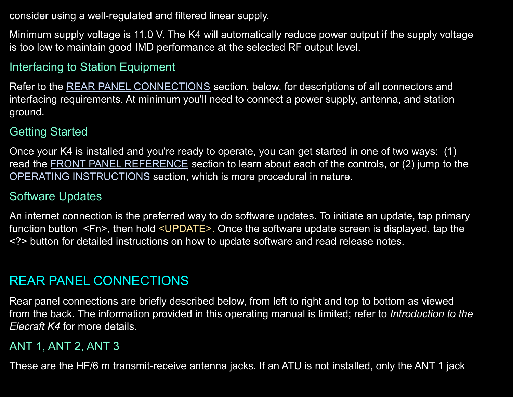consider using a well-regulated and filtered linear supply.

Minimum supply voltage is 11.0 V. The K4 will automatically reduce power output if the supply voltage is too low to maintain good IMD performance at the selected RF output level.

## Interfacing to Station Equipment

Refer to the REAR PANEL [CONNECTIONS](#page-6-0) section, below, for descriptions of all connectors and interfacing requirements. At minimum you'll need to connect a power supply, antenna, and station ground.

#### Getting Started

Once your K4 is installed and you're ready to operate, you can get started in one of two ways: (1) read the **FRONT PANEL [REFERENCE](#page-14-0)** section to learn about each of the controls, or (2) jump to the OPERATING [INSTRUCTIONS](#page-35-0) section, which is more procedural in nature.

#### Software Updates

An internet connection is the preferred way to do software updates. To initiate an update, tap primary function button <Fn>, then hold <UPDATE>. Once the software update screen is displayed, tap the <?> button for detailed instructions on how to update software and read release notes.

## <span id="page-6-0"></span>REAR PANEL CONNECTIONS

Rear panel connections are briefly described below, from left to right and top to bottom as viewed from the back. The information provided in this operating manual is limited; refer to *Introduction to the Elecraft K4* for more details.

#### ANT 1, ANT 2, ANT 3

These are the HF/6 m transmit-receive antenna jacks. If an ATU is not installed, only the ANT 1 jack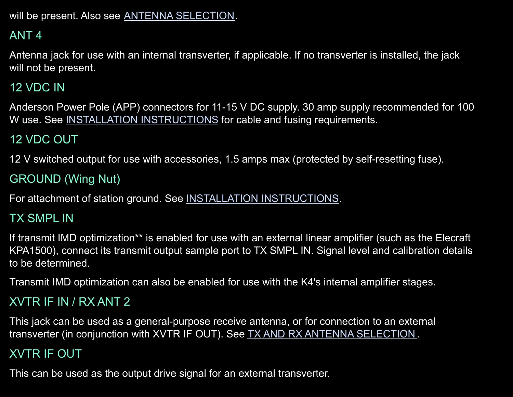will be present. Also see ANTENNA [SELECTION.](#page-43-0)

# ANT 4

Antenna jack for use with an internal transverter, if applicable. If no transverter is installed, the jack will not be present.

### 12 VDC IN

Anderson Power Pole (APP) connectors for 11-15 V DC supply. 30 amp supply recommended for 100 W use. See INSTALLATION [INSTRUCTIONS](#page-4-0) for cable and fusing requirements.

# 12 VDC OUT

12 V switched output for use with accessories, 1.5 amps max (protected by self-resetting fuse).

## GROUND (Wing Nut)

For attachment of station ground. See INSTALLATION [INSTRUCTIONS](#page-4-0).

### TX SMPL IN

If transmit IMD optimization\*\* is enabled for use with an external linear amplifier (such as the Elecraft KPA1500), connect its transmit output sample port to TX SMPL IN. Signal level and calibration details to be determined.

Transmit IMD optimization can also be enabled for use with the K4's internal amplifier stages.

## XVTR IF IN / RX ANT 2

This jack can be used as a general-purpose receive antenna, or for connection to an external transverter (in conjunction with XVTR IF OUT). See TX AND RX ANTENNA [SELECTION](#page-43-0).

## XVTR IF OUT

This can be used as the output drive signal for an external transverter.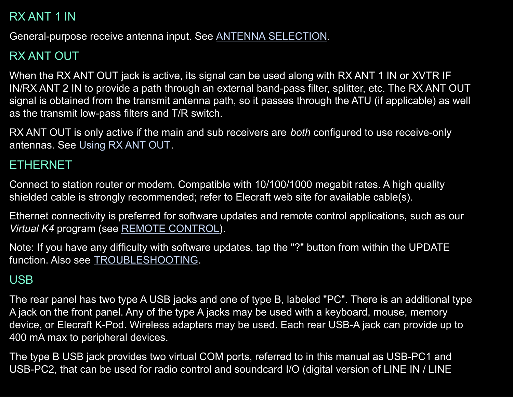# RX ANT 1 IN

General-purpose receive antenna input. See ANTENNA [SELECTION](#page-43-0).

# RX ANT OUT

When the RX ANT OUT jack is active, its signal can be used along with RX ANT 1 IN or XVTR IF IN/RX ANT 2 IN to provide a path through an external band-pass filter, splitter, etc. The RX ANT OUT signal is obtained from the transmit antenna path, so it passes through the ATU (if applicable) as well as the transmit low-pass filters and T/R switch.

RX ANT OUT is only active if the main and sub receivers are *both* configured to use receive-only antennas. See [Using](#page-45-0) RX ANT OUT.

### ETHERNET

Connect to station router or modem. Compatible with 10/100/1000 megabit rates. A high quality shielded cable is strongly recommended; refer to Elecraft web site for available cable(s).

Ethernet connectivity is preferred for software updates and remote control applications, such as our *Virtual K4* program (see REMOTE [CONTROL\)](#page-77-0).

Note: If you have any difficulty with software updates, tap the "?" button from within the UPDATE function. Also see [TROUBLESHOOTING.](#page-94-0)

## <span id="page-8-0"></span>USB

The rear panel has two type A USB jacks and one of type B, labeled "PC". There is an additional type A jack on the front panel. Any of the type A jacks may be used with a keyboard, mouse, memory device, or Elecraft K-Pod. Wireless adapters may be used. Each rear USB-A jack can provide up to 400 mA max to peripheral devices.

The type B USB jack provides two virtual COM ports, referred to in this manual as USB-PC1 and USB-PC2, that can be used for radio control and soundcard I/O (digital version of LINE IN / LINE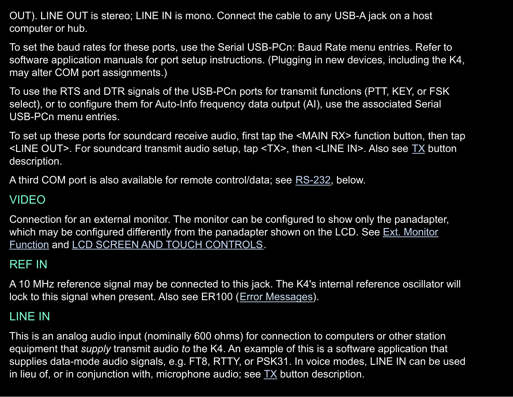OUT). LINE OUT is stereo; LINE IN is mono. Connect the cable to any USB-A jack on a host computer or hub.

To set the baud rates for these ports, use the Serial USB-PCn: Baud Rate menu entries. Refer to software application manuals for port setup instructions. (Plugging in new devices, including the K4, may alter COM port assignments.)

To use the RTS and DTR signals of the USB-PCn ports for transmit functions (PTT, KEY, or FSK select), or to configure them for Auto-Info frequency data output (AI), use the associated Serial USB-PCn menu entries.

To set up these ports for soundcard receive audio, first tap the <MAIN RX> function button, then tap <LINE OUT>. For soundcard transmit audio setup, tap <TX>, then <LINE IN>. Also see [TX](#page-40-0) button description.

A third COM port is also available for remote control/data; see [RS-232,](#page-11-0) below.

## VIDEO

Connection for an external monitor. The monitor can be configured to show only the panadapter, which may be configured differently from the panadapter shown on the LCD. See Ext. [Monitor](#page-82-0) [Function](#page-82-0) and LCD SCREEN AND TOUCH [CONTROLS.](#page-24-0)

# REF IN

A 10 MHz reference signal may be connected to this jack. The K4's internal reference oscillator will lock to this signal when present. Also see ER100 (Error [Messages\)](#page-100-0).

# LINE IN

This is an analog audio input (nominally 600 ohms) for connection to computers or other station equipment that *supply* transmit audio *to* the K4. An example of this is a software application that supplies data-mode audio signals, e.g. FT8, RTTY, or PSK31. In voice modes, LINE IN can be used in lieu of, or in conjunction with, microphone audio; see  $TX$  button description.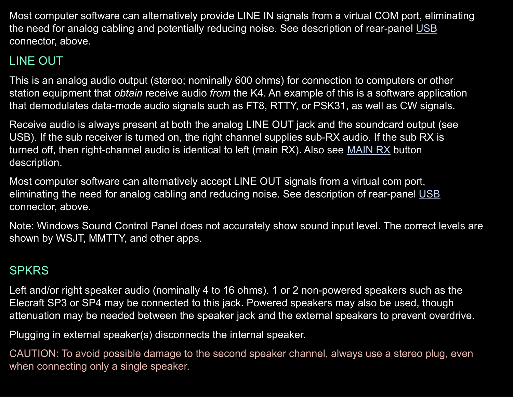Most computer software can alternatively provide LINE IN signals from a virtual COM port, eliminating the need for analog cabling and potentially reducing noise. See description of rear-panel [USB](#page-8-0) connector, above.

# LINE OUT

This is an analog audio output (stereo; nominally 600 ohms) for connection to computers or other station equipment that *obtain* receive audio *from* the K4. An example of this is a software application that demodulates data-mode audio signals such as FT8, RTTY, or PSK31, as well as CW signals.

Receive audio is always present at both the analog LINE OUT jack and the soundcard output (see USB). If the sub receiver is turned on, the right channel supplies sub-RX audio. If the sub RX is turned off, then right-channel audio is identical to left (main RX). Also see [MAIN](#page-38-0) RX button description.

Most computer software can alternatively accept LINE OUT signals from a virtual com port, eliminating the need for analog cabling and reducing noise. See description of rear-panel [USB](#page-8-0) connector, above.

Note: Windows Sound Control Panel does not accurately show sound input level. The correct levels are shown by WSJT, MMTTY, and other apps.

## **SPKRS**

Left and/or right speaker audio (nominally 4 to 16 ohms). 1 or 2 non-powered speakers such as the Elecraft SP3 or SP4 may be connected to this jack. Powered speakers may also be used, though attenuation may be needed between the speaker jack and the external speakers to prevent overdrive.

Plugging in external speaker(s) disconnects the internal speaker.

CAUTION: To avoid possible damage to the second speaker channel, always use a stereo plug, even when connecting only a single speaker.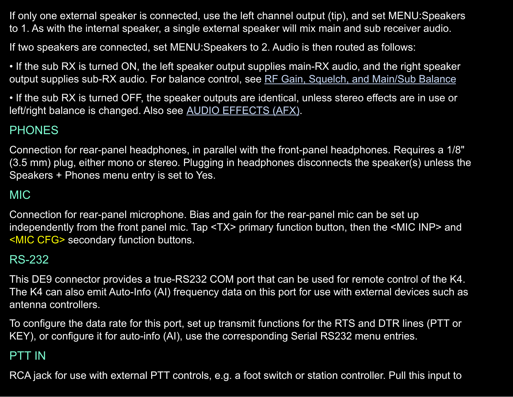If only one external speaker is connected, use the left channel output (tip), and set MENU:Speakers to 1. As with the internal speaker, a single external speaker will mix main and sub receiver audio.

If two speakers are connected, set MENU:Speakers to 2. Audio is then routed as follows:

• If the sub RX is turned ON, the left speaker output supplies main-RX audio, and the right speaker output supplies sub-RX audio. For balance control, see RF Gain, Squelch, and [Main/Sub](#page-57-0) Balance

• If the sub RX is turned OFF, the speaker outputs are identical, unless stereo effects are in use or left/right balance is changed. Also see AUDIO [EFFECTS](#page-71-1) (AFX).

## PHONES

Connection for rear-panel headphones, in parallel with the front-panel headphones. Requires a 1/8" (3.5 mm) plug, either mono or stereo. Plugging in headphones disconnects the speaker(s) unless the Speakers + Phones menu entry is set to Yes.

## MIC

Connection for rear-panel microphone. Bias and gain for the rear-panel mic can be set up independently from the front panel mic. Tap <TX> primary function button, then the <MIC INP> and <MIC CFG> secondary function buttons.

#### <span id="page-11-0"></span>RS-232

This DE9 connector provides a true-RS232 COM port that can be used for remote control of the K4. The K4 can also emit Auto-Info (AI) frequency data on this port for use with external devices such as antenna controllers.

To configure the data rate for this port, set up transmit functions for the RTS and DTR lines (PTT or KEY), or configure it for auto-info (AI), use the corresponding Serial RS232 menu entries.

#### PTT IN

RCA jack for use with external PTT controls, e.g. a foot switch or station controller. Pull this input to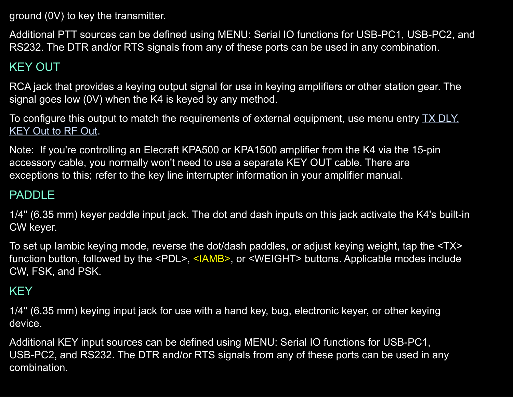ground (0V) to key the transmitter.

Additional PTT sources can be defined using MENU: Serial IO functions for USB-PC1, USB-PC2, and RS232. The DTR and/or RTS signals from any of these ports can be used in any combination.

# KEY OUT

RCA jack that provides a keying output signal for use in keying amplifiers or other station gear. The signal goes low (0V) when the K4 is keyed by any method.

To configure this output to match the requirements of external equipment, use menu entry TX [DLY,](#page-91-0) [KEY](#page-91-0) Out to RF Out.

Note: If you're controlling an Elecraft KPA500 or KPA1500 amplifier from the K4 via the 15-pin accessory cable, you normally won't need to use a separate KEY OUT cable. There are exceptions to this; refer to the key line interrupter information in your amplifier manual.

### PADDLE

1/4" (6.35 mm) keyer paddle input jack. The dot and dash inputs on this jack activate the K4's built-in CW keyer.

To set up Iambic keying mode, reverse the dot/dash paddles, or adjust keying weight, tap the <TX> function button, followed by the <PDL>, <IAMB>, or <WEIGHT> buttons. Applicable modes include CW, FSK, and PSK.

# **KEY**

1/4" (6.35 mm) keying input jack for use with a hand key, bug, electronic keyer, or other keying device.

Additional KEY input sources can be defined using MENU: Serial IO functions for USB-PC1, USB-PC2, and RS232. The DTR and/or RTS signals from any of these ports can be used in any combination.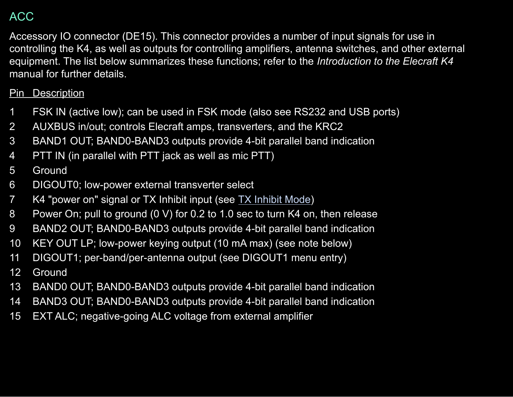## ACC

Accessory IO connector (DE15). This connector provides a number of input signals for use in controlling the K4, as well as outputs for controlling amplifiers, antenna switches, and other external equipment. The list below summarizes these functions; refer to the *Introduction to the Elecraft K4* manual for further details.

#### Pin Description

- FSK IN (active low); can be used in FSK mode (also see RS232 and USB ports)
- AUXBUS in/out; controls Elecraft amps, transverters, and the KRC2
- BAND1 OUT; BAND0-BAND3 outputs provide 4-bit parallel band indication
- PTT IN (in parallel with PTT jack as well as mic PTT)

#### Ground

- DIGOUT0; low-power external transverter select
- K4 "power on" signal or TX Inhibit input (see TX [Inhibit](#page-91-1) Mode)
- Power On; pull to ground (0 V) for 0.2 to 1.0 sec to turn K4 on, then release
- BAND2 OUT; BAND0-BAND3 outputs provide 4-bit parallel band indication
- KEY OUT LP; low-power keying output (10 mA max) (see note below)
- DIGOUT1; per-band/per-antenna output (see DIGOUT1 menu entry)
- Ground
- BAND0 OUT; BAND0-BAND3 outputs provide 4-bit parallel band indication
- BAND3 OUT; BAND0-BAND3 outputs provide 4-bit parallel band indication
- EXT ALC; negative-going ALC voltage from external amplifier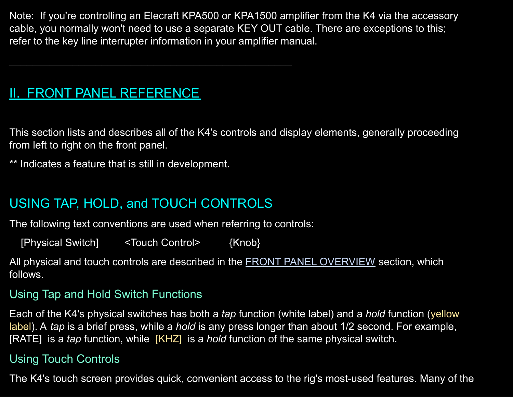Note: If you're controlling an Elecraft KPA500 or KPA1500 amplifier from the K4 via the accessory cable, you normally won't need to use a separate KEY OUT cable. There are exceptions to this; refer to the key line interrupter information in your amplifier manual.

# <span id="page-14-0"></span>II. FRONT PANEL REFERENCE

This section lists and describes all of the K4's controls and display elements, generally proceeding from left to right on the front panel.

\*\* Indicates a feature that is still in development.

# <span id="page-14-1"></span>USING TAP, HOLD, and TOUCH CONTROLS

 $\mathcal{L}_\mathcal{L}$  , and the contribution of the contribution of  $\mathcal{L}_\mathcal{L}$ 

The following text conventions are used when referring to controls:

[Physical Switch] <Touch Control> {Knob}

All physical and touch controls are described in the FRONT PANEL [OVERVIEW](#page-15-0) section, which follows.

#### Using Tap and Hold Switch Functions

Each of the K4's physical switches has both a *tap* function (white label) and a *hold* function (yellow label). A *tap* is a brief press, while a *hold* is any press longer than about 1/2 second. For example, [RATE] is a *tap* function, while [KHZ] is a *hold* function of the same physical switch.

#### Using Touch Controls

The K4's touch screen provides quick, convenient access to the rig's most-used features. Many of the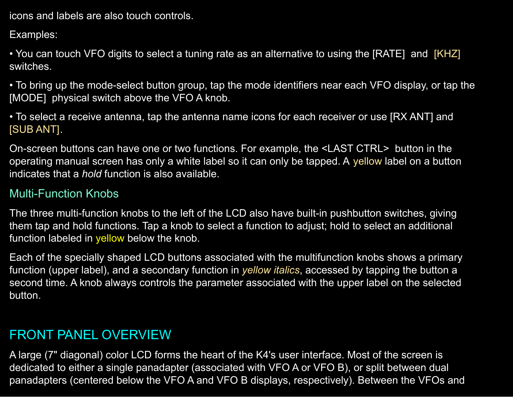icons and labels are also touch controls.

Examples:

• You can touch VFO digits to select a tuning rate as an alternative to using the [RATE] and [KHZ] switches.

• To bring up the mode-select button group, tap the mode identifiers near each VFO display, or tap the [MODE] physical switch above the VFO A knob.

• To select a receive antenna, tap the antenna name icons for each receiver or use [RX ANT] and [SUB ANT].

On-screen buttons can have one or two functions. For example, the <LAST CTRL> button in the operating manual screen has only a white label so it can only be tapped. A yellow label on a button indicates that a *hold* function is also available.

#### Multi-Function Knobs

The three multi-function knobs to the left of the LCD also have built-in pushbutton switches, giving them tap and hold functions. Tap a knob to select a function to adjust; hold to select an additional function labeled in yellow below the knob.

Each of the specially shaped LCD buttons associated with the multifunction knobs shows a primary function (upper label), and a secondary function in *yellow italics*, accessed by tapping the button a second time. A knob always controls the parameter associated with the upper label on the selected button.

# <span id="page-15-0"></span>FRONT PANEL OVERVIEW

A large (7" diagonal) color LCD forms the heart of the K4's user interface. Most of the screen is dedicated to either a single panadapter (associated with VFO A or VFO B), or split between dual panadapters (centered below the VFO A and VFO B displays, respectively). Between the VFOs and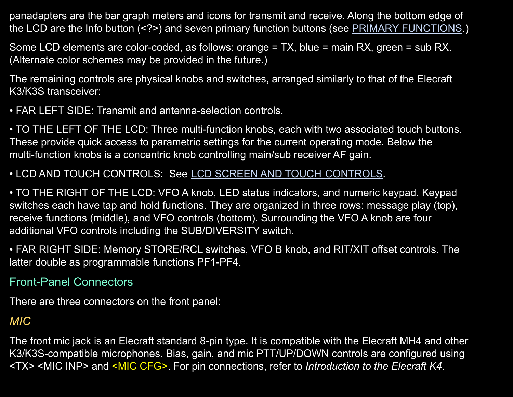panadapters are the bar graph meters and icons for transmit and receive. Along the bottom edge of the LCD are the Info button (<?>) and seven primary function buttons (see PRIMARY [FUNCTIONS.](#page-35-1))

Some LCD elements are color-coded, as follows: orange = TX, blue = main RX, green = sub RX. (Alternate color schemes may be provided in the future.)

The remaining controls are physical knobs and switches, arranged similarly to that of the Elecraft K3/K3S transceiver:

• FAR LEFT SIDE: Transmit and antenna-selection controls.

• TO THE LEFT OF THE LCD: Three multi-function knobs, each with two associated touch buttons. These provide quick access to parametric settings for the current operating mode. Below the multi-function knobs is a concentric knob controlling main/sub receiver AF gain.

#### • LCD AND TOUCH CONTROLS: See LCD SCREEN AND TOUCH [CONTROLS.](#page-24-0)

• TO THE RIGHT OF THE LCD: VFO A knob, LED status indicators, and numeric keypad. Keypad switches each have tap and hold functions. They are organized in three rows: message play (top), receive functions (middle), and VFO controls (bottom). Surrounding the VFO A knob are four additional VFO controls including the SUB/DIVERSITY switch.

• FAR RIGHT SIDE: Memory STORE/RCL switches, VFO B knob, and RIT/XIT offset controls. The latter double as programmable functions PF1-PF4.

#### Front-Panel Connectors

There are three connectors on the front panel:

### *MIC*

The front mic jack is an Elecraft standard 8-pin type. It is compatible with the Elecraft MH4 and other K3/K3S-compatible microphones. Bias, gain, and mic PTT/UP/DOWN controls are configured using <TX> <MIC INP> and <MIC CFG>. For pin connections, refer to *Introduction to the Elecraft K4*.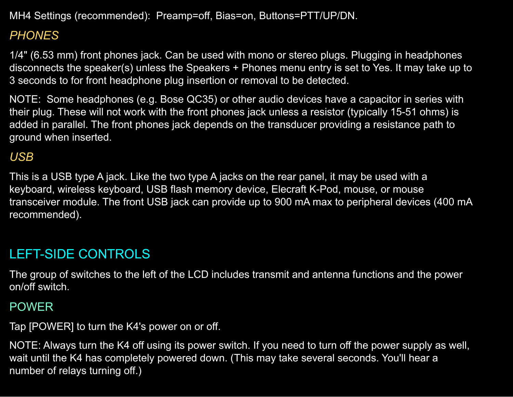MH4 Settings (recommended): Preamp=off, Bias=on, Buttons=PTT/UP/DN.

## *PHONES*

1/4" (6.53 mm) front phones jack. Can be used with mono or stereo plugs. Plugging in headphones disconnects the speaker(s) unless the Speakers + Phones menu entry is set to Yes. It may take up to 3 seconds to for front headphone plug insertion or removal to be detected.

NOTE: Some headphones (e.g. Bose QC35) or other audio devices have a capacitor in series with their plug. These will not work with the front phones jack unless a resistor (typically 15-51 ohms) is added in parallel. The front phones jack depends on the transducer providing a resistance path to ground when inserted.

### *USB*

This is a USB type A jack. Like the two type A jacks on the rear panel, it may be used with a keyboard, wireless keyboard, USB flash memory device, Elecraft K-Pod, mouse, or mouse transceiver module. The front USB jack can provide up to 900 mA max to peripheral devices (400 mA recommended).

# <span id="page-17-0"></span>LEFT-SIDE CONTROLS

The group of switches to the left of the LCD includes transmit and antenna functions and the power on/off switch.

### POWER

Tap [POWER] to turn the K4's power on or off.

NOTE: Always turn the K4 off using its power switch. If you need to turn off the power supply as well, wait until the K4 has completely powered down. (This may take several seconds. You'll hear a number of relays turning off.)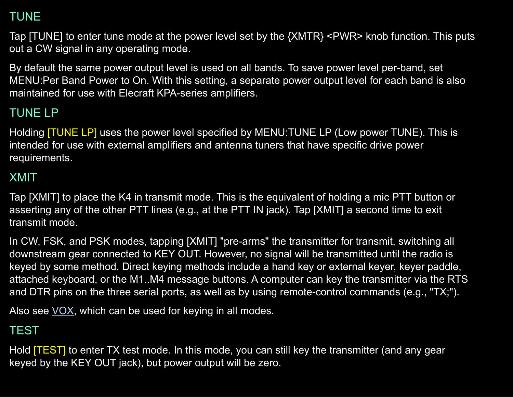## TUNE

Tap [TUNE] to enter tune mode at the power level set by the {XMTR} <PWR> knob function. This puts out a CW signal in any operating mode.

By default the same power output level is used on all bands. To save power level per-band, set MENU:Per Band Power to On. With this setting, a separate power output level for each band is also maintained for use with Elecraft KPA-series amplifiers.

# TUNE LP

Holding **[TUNE LP]** uses the power level specified by MENU:TUNE LP (Low power TUNE). This is intended for use with external amplifiers and antenna tuners that have specific drive power requirements.

#### XMIT

Tap [XMIT] to place the K4 in transmit mode. This is the equivalent of holding a mic PTT button or asserting any of the other PTT lines (e.g., at the PTT IN jack). Tap [XMIT] a second time to exit transmit mode.

In CW, FSK, and PSK modes, tapping [XMIT] "pre-arms" the transmitter for transmit, switching all downstream gear connected to KEY OUT. However, no signal will be transmitted until the radio is keyed by some method. Direct keying methods include a hand key or external keyer, keyer paddle, attached keyboard, or the M1..M4 message buttons. A computer can key the transmitter via the RTS and DTR pins on the three serial ports, as well as by using remote-control commands (e.g., "TX;").

Also see  $\underline{VOX}$ , which can be used for keying in all modes.

## **TEST**

Hold [TEST] to enter TX test mode. In this mode, you can still key the transmitter (and any gear keyed by the KEY OUT jack), but power output will be zero.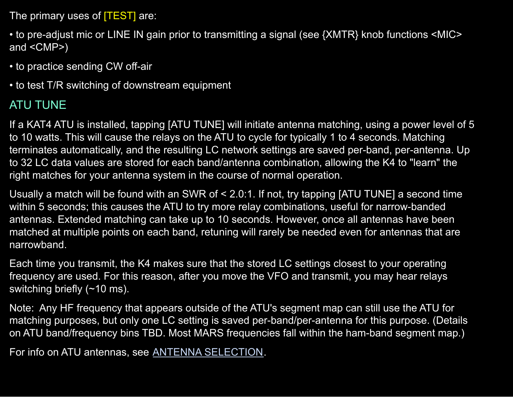The primary uses of **TEST** are:

• to pre-adjust mic or LINE IN gain prior to transmitting a signal (see {XMTR} knob functions <MIC> and <CMP>)

• to practice sending CW off-air

• to test T/R switching of downstream equipment

# ATU TUNE

If a KAT4 ATU is installed, tapping [ATU TUNE] will initiate antenna matching, using a power level of 5 to 10 watts. This will cause the relays on the ATU to cycle for typically 1 to 4 seconds. Matching terminates automatically, and the resulting LC network settings are saved per-band, per-antenna. Up to 32 LC data values are stored for each band/antenna combination, allowing the K4 to "learn" the right matches for your antenna system in the course of normal operation.

Usually a match will be found with an SWR of < 2.0:1. If not, try tapping [ATU TUNE] a second time within 5 seconds; this causes the ATU to try more relay combinations, useful for narrow-banded antennas. Extended matching can take up to 10 seconds. However, once all antennas have been matched at multiple points on each band, retuning will rarely be needed even for antennas that are narrowband.

Each time you transmit, the K4 makes sure that the stored LC settings closest to your operating frequency are used. For this reason, after you move the VFO and transmit, you may hear relays switching briefly (~10 ms).

Note: Any HF frequency that appears outside of the ATU's segment map can still use the ATU for matching purposes, but only one LC setting is saved per-band/per-antenna for this purpose. (Details on ATU band/frequency bins TBD. Most MARS frequencies fall within the ham-band segment map.)

For info on ATU antennas, see ANTENNA [SELECTION](#page-43-0).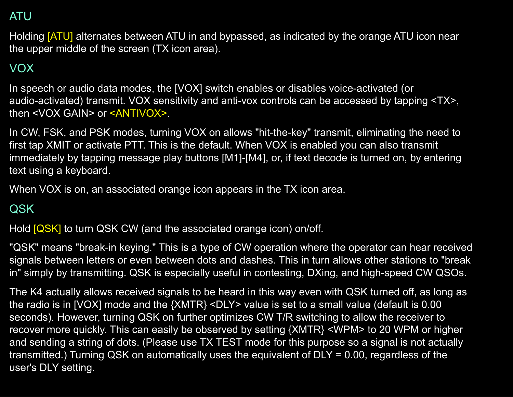## <span id="page-20-1"></span>ATU

Holding [ATU] alternates between ATU in and bypassed, as indicated by the orange ATU icon near the upper middle of the screen (TX icon area).

# <span id="page-20-0"></span>VOX

In speech or audio data modes, the [VOX] switch enables or disables voice-activated (or audio-activated) transmit. VOX sensitivity and anti-vox controls can be accessed by tapping <TX>, then <VOX GAIN> or <ANTIVOX>.

In CW, FSK, and PSK modes, turning VOX on allows "hit-the-key" transmit, eliminating the need to first tap XMIT or activate PTT. This is the default. When VOX is enabled you can also transmit immediately by tapping message play buttons [M1]-[M4], or, if text decode is turned on, by entering text using a keyboard.

When VOX is on, an associated orange icon appears in the TX icon area.

## <span id="page-20-2"></span>QSK

Hold [QSK] to turn QSK CW (and the associated orange icon) on/off.

"QSK" means "break-in keying." This is a type of CW operation where the operator can hear received signals between letters or even between dots and dashes. This in turn allows other stations to "break in" simply by transmitting. QSK is especially useful in contesting, DXing, and high-speed CW QSOs.

The K4 actually allows received signals to be heard in this way even with QSK turned off, as long as the radio is in [VOX] mode and the {XMTR} <DLY> value is set to a small value (default is 0.00 seconds). However, turning QSK on further optimizes CW T/R switching to allow the receiver to recover more quickly. This can easily be observed by setting {XMTR} <WPM> to 20 WPM or higher and sending a string of dots. (Please use TX TEST mode for this purpose so a signal is not actually transmitted.) Turning QSK on automatically uses the equivalent of DLY = 0.00, regardless of the user's DLY setting.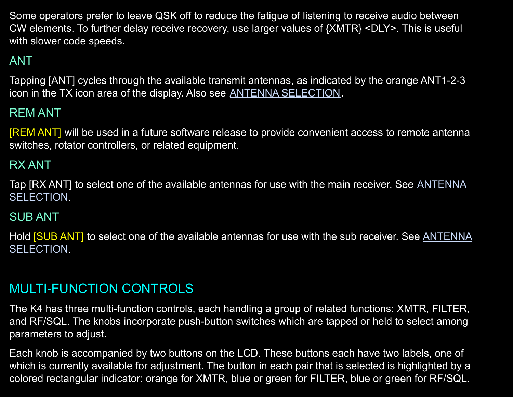Some operators prefer to leave QSK off to reduce the fatigue of listening to receive audio between CW elements. To further delay receive recovery, use larger values of {XMTR} <DLY>. This is useful with slower code speeds.

# ANT

Tapping [ANT] cycles through the available transmit antennas, as indicated by the orange ANT1-2-3 icon in the TX icon area of the display. Also see ANTENNA [SELECTION](#page-43-0).

### REM ANT

[REM ANT] will be used in a future software release to provide convenient access to remote antenna switches, rotator controllers, or related equipment.

#### RX ANT

Tap [RX ANT] to select one of the available antennas for use with the main receiver. See [ANTENNA](#page-43-0) [SELECTION](#page-43-0).

#### SUB ANT

Hold [SUB ANT] to select one of the available antennas for use with the sub receiver. See [ANTENNA](#page-43-0) [SELECTION](#page-43-0).

### <span id="page-21-0"></span>MULTI-FUNCTION CONTROLS

The K4 has three multi-function controls, each handling a group of related functions: XMTR, FILTER, and RF/SQL. The knobs incorporate push-button switches which are tapped or held to select among parameters to adjust.

Each knob is accompanied by two buttons on the LCD. These buttons each have two labels, one of which is currently available for adjustment. The button in each pair that is selected is highlighted by a colored rectangular indicator: orange for XMTR, blue or green for FILTER, blue or green for RF/SQL.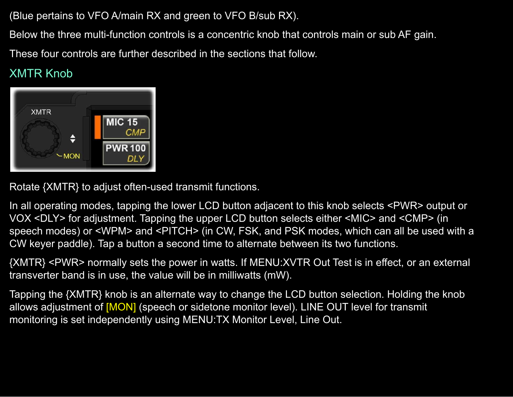(Blue pertains to VFO A/main RX and green to VFO B/sub RX).

Below the three multi-function controls is a concentric knob that controls main or sub AF gain.

These four controls are further described in the sections that follow.

# XMTR Knob



Rotate {XMTR} to adjust often-used transmit functions.

In all operating modes, tapping the lower LCD button adjacent to this knob selects <PWR> output or VOX <DLY> for adjustment. Tapping the upper LCD button selects either <MIC> and <CMP> (in speech modes) or <WPM> and <PITCH> (in CW, FSK, and PSK modes, which can all be used with a CW keyer paddle). Tap a button a second time to alternate between its two functions.

{XMTR} <PWR> normally sets the power in watts. If MENU:XVTR Out Test is in effect, or an external transverter band is in use, the value will be in milliwatts (mW).

Tapping the {XMTR} knob is an alternate way to change the LCD button selection. Holding the knob allows adjustment of [MON] (speech or sidetone monitor level). LINE OUT level for transmit monitoring is set independently using MENU:TX Monitor Level, Line Out.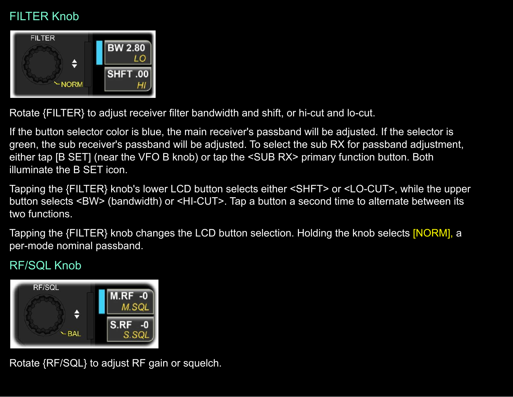## FILTER Knob



Rotate {FILTER} to adjust receiver filter bandwidth and shift, or hi-cut and lo-cut.

If the button selector color is blue, the main receiver's passband will be adjusted. If the selector is green, the sub receiver's passband will be adjusted. To select the sub RX for passband adjustment, either tap [B SET] (near the VFO B knob) or tap the <SUB RX> primary function button. Both illuminate the B SET icon.

Tapping the {FILTER} knob's lower LCD button selects either <SHFT> or <LO-CUT>, while the upper button selects <BW> (bandwidth) or <HI-CUT>. Tap a button a second time to alternate between its two functions.

Tapping the {FILTER} knob changes the LCD button selection. Holding the knob selects [NORM], a per-mode nominal passband.

## RF/SQL Knob



Rotate {RF/SQL} to adjust RF gain or squelch.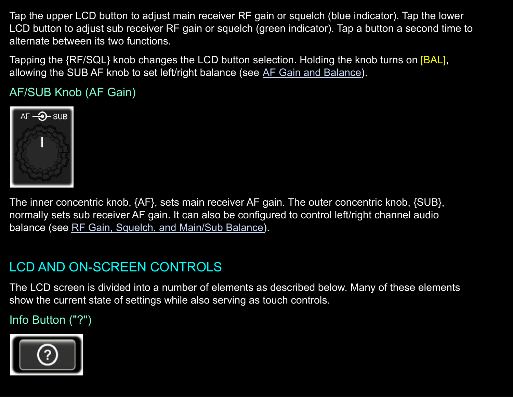Tap the upper LCD button to adjust main receiver RF gain or squelch (blue indicator). Tap the lower LCD button to adjust sub receiver RF gain or squelch (green indicator). Tap a button a second time to alternate between its two functions.

Tapping the {RF/SQL} knob changes the LCD button selection. Holding the knob turns on [BAL], allowing the SUB AF knob to set left/right balance (see AF Gain and [Balance\)](#page-56-1).

AF/SUB Knob (AF Gain)



The inner concentric knob, {AF}, sets main receiver AF gain. The outer concentric knob, {SUB}, normally sets sub receiver AF gain. It can also be configured to control left/right channel audio balance (see RF Gain, Squelch, and [Main/Sub](#page-57-0) Balance).

# <span id="page-24-0"></span>LCD AND ON-SCREEN CONTROLS

The LCD screen is divided into a number of elements as described below. Many of these elements show the current state of settings while also serving as touch controls.

Info Button ("?")

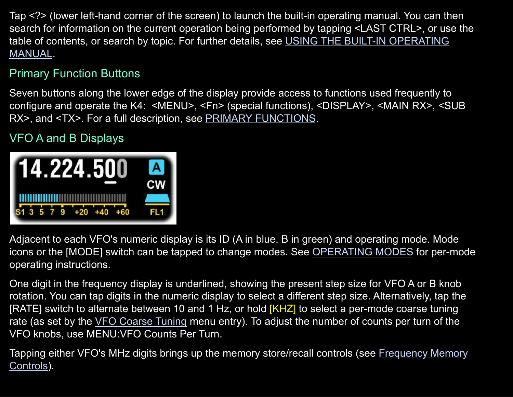Tap <?> (lower left-hand corner of the screen) to launch the built-in operating manual. You can then search for information on the current operation being performed by tapping <LAST CTRL>, or use the table of contents, or search by topic. For further details, see USING THE BUILT-IN [OPERATING](#page-2-1) [MANUAL](#page-2-1).

### Primary Function Buttons

Seven buttons along the lower edge of the display provide access to functions used frequently to configure and operate the K4: <MENU>, <Fn> (special functions), <DISPLAY>, <MAIN RX>, <SUB RX>, and <TX>. For a full description, see PRIMARY [FUNCTIONS](#page-35-1).

# VFO A and B Displays



Adjacent to each VFO's numeric display is its ID (A in blue, B in green) and operating mode. Mode icons or the [MODE] switch can be tapped to change modes. See [OPERATING](#page-46-0) MODES for per-mode operating instructions.

One digit in the frequency display is underlined, showing the present step size for VFO A or B knob rotation. You can tap digits in the numeric display to select a different step size. Alternatively, tap the [RATE] switch to alternate between 10 and 1 Hz, or hold [KHZ] to select a per-mode coarse tuning rate (as set by the VFO [Coarse](#page-92-0) Tuning menu entry). To adjust the number of counts per turn of the VFO knobs, use MENU:VFO Counts Per Turn.

Tapping either VFO's MHz digits brings up the memory store/recall controls (see [Frequency](#page-33-0) Memory [Controls\)](#page-33-0).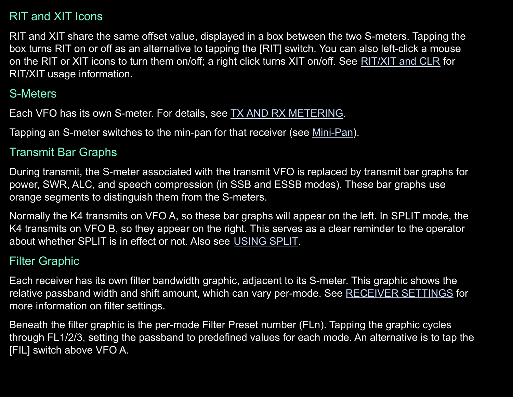### RIT and XIT Icons

RIT and XIT share the same offset value, displayed in a box between the two S-meters. Tapping the box turns RIT on or off as an alternative to tapping the [RIT] switch. You can also left-click a mouse on the RIT or XIT icons to turn them on/off; a right click turns XIT on/off. See [RIT/XIT](#page-34-0) and CLR for RIT/XIT usage information.

### S-Meters

Each VFO has its own S-meter. For details, see TX AND RX [METERING.](#page-63-0)

Tapping an S-meter switches to the min-pan for that receiver (see [Mini-Pan](#page-29-0)).

#### Transmit Bar Graphs

During transmit, the S-meter associated with the transmit VFO is replaced by transmit bar graphs for power, SWR, ALC, and speech compression (in SSB and ESSB modes). These bar graphs use orange segments to distinguish them from the S-meters.

Normally the K4 transmits on VFO A, so these bar graphs will appear on the left. In SPLIT mode, the K4 transmits on VFO B, so they appear on the right. This serves as a clear reminder to the operator about whether SPLIT is in effect or not. Also see [USING](#page-75-0) SPLIT.

#### Filter Graphic

Each receiver has its own filter bandwidth graphic, adjacent to its S-meter. This graphic shows the relative passband width and shift amount, which can vary per-mode. See [RECEIVER](#page-56-0) SETTINGS for more information on filter settings.

Beneath the filter graphic is the per-mode Filter Preset number (FLn). Tapping the graphic cycles through FL1/2/3, setting the passband to predefined values for each mode. An alternative is to tap the [FIL] switch above VFO A.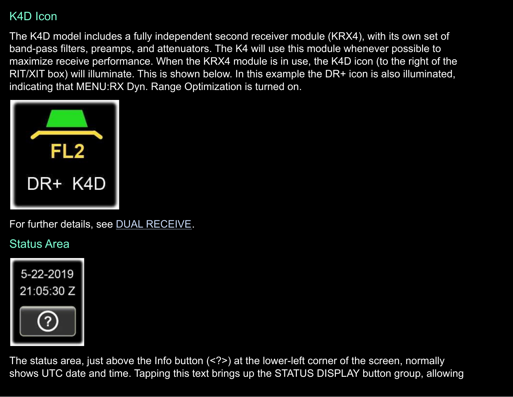### K4D Icon

The K4D model includes a fully independent second receiver module (KRX4), with its own set of band-pass filters, preamps, and attenuators. The K4 will use this module whenever possible to maximize receive performance. When the KRX4 module is in use, the K4D icon (to the right of the RIT/XIT box) will illuminate. This is shown below. In this example the DR+ icon is also illuminated, indicating that MENU:RX Dyn. Range Optimization is turned on.



For further details, see DUAL [RECEIVE](#page-69-0).

## <span id="page-27-0"></span>Status Area



The status area, just above the Info button (<?>) at the lower-left corner of the screen, normally shows UTC date and time. Tapping this text brings up the STATUS DISPLAY button group, allowing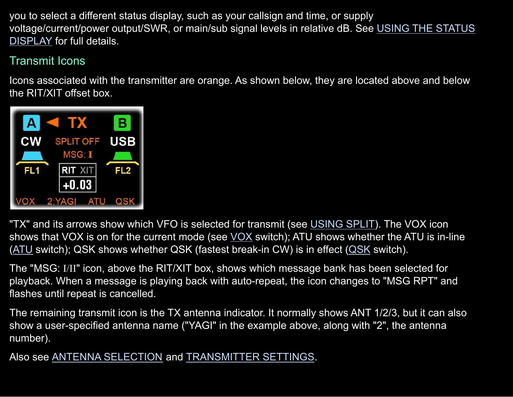you to select a different status display, such as your callsign and time, or supply voltage/current/power output/SWR, or main/sub signal levels in relative dB. See USING THE [STATUS](#page-73-0) [DISPLAY](#page-73-0) for full details.

## Transmit Icons

Icons associated with the transmitter are orange. As shown below, they are located above and below the RIT/XIT offset box.



"TX" and its arrows show which VFO is selected for transmit (see [USING](#page-75-0) SPLIT). The VOX icon shows that [VOX](#page-20-0) is on for the current mode (see VOX switch); ATU shows whether the ATU is in-line  $(ATU)$  $(ATU)$  $(ATU)$  switch); QSK shows whether QSK (fastest break-in CW) is in effect  $(QSK)$  $(QSK)$  switch).

The "MSG: I/II" icon, above the RIT/XIT box, shows which message bank has been selected for playback. When a message is playing back with auto-repeat, the icon changes to "MSG RPT" and flashes until repeat is cancelled.

The remaining transmit icon is the TX antenna indicator. It normally shows ANT 1/2/3, but it can also show a user-specified antenna name ("YAGI" in the example above, along with "2", the antenna number).

Also see ANTENNA [SELECTION](#page-43-0) and [TRANSMITTER](#page-61-0) SETTINGS.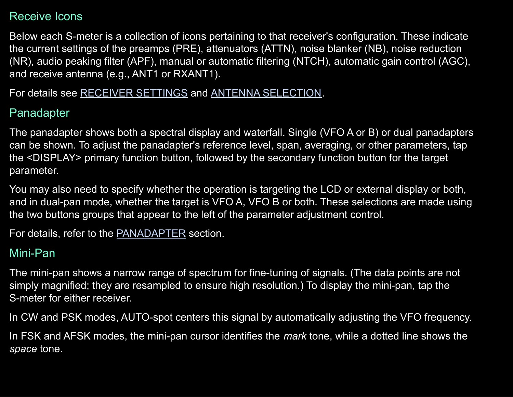#### Receive Icons

Below each S-meter is a collection of icons pertaining to that receiver's configuration. These indicate the current settings of the preamps (PRE), attenuators (ATTN), noise blanker (NB), noise reduction (NR), audio peaking filter (APF), manual or automatic filtering (NTCH), automatic gain control (AGC), and receive antenna (e.g., ANT1 or RXANT1).

For details see [RECEIVER](#page-56-0) SETTINGS and ANTENNA [SELECTION](#page-43-0).

### Panadapter

The panadapter shows both a spectral display and waterfall. Single (VFO A or B) or dual panadapters can be shown. To adjust the panadapter's reference level, span, averaging, or other parameters, tap the <DISPLAY> primary function button, followed by the secondary function button for the target parameter.

You may also need to specify whether the operation is targeting the LCD or external display or both, and in dual-pan mode, whether the target is VFO A, VFO B or both. These selections are made using the two buttons groups that appear to the left of the parameter adjustment control.

For details, refer to the [PANADAPTER](#page-64-0) section.

### <span id="page-29-0"></span>Mini-Pan

The mini-pan shows a narrow range of spectrum for fine-tuning of signals. (The data points are not simply magnified; they are resampled to ensure high resolution.) To display the mini-pan, tap the S-meter for either receiver.

In CW and PSK modes, AUTO-spot centers this signal by automatically adjusting the VFO frequency.

In FSK and AFSK modes, the mini-pan cursor identifies the *mark* tone, while a dotted line shows the *space* tone.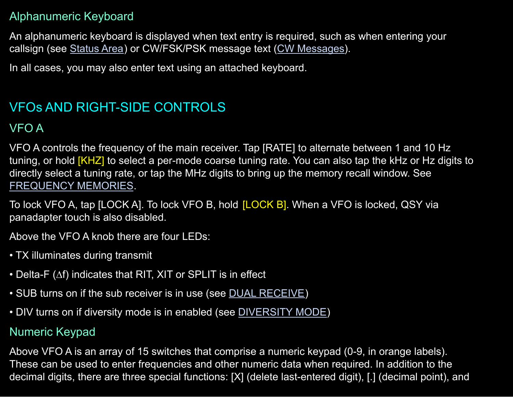#### Alphanumeric Keyboard

An alphanumeric keyboard is displayed when text entry is required, such as when entering your callsign (see [Status](#page-27-0) Area) or CW/FSK/PSK message text (CW [Messages\)](#page-48-0).

In all cases, you may also enter text using an attached keyboard.

# <span id="page-30-0"></span>VFOs AND RIGHT-SIDE CONTROLS

#### VFO A

VFO A controls the frequency of the main receiver. Tap [RATE] to alternate between 1 and 10 Hz tuning, or hold [KHZ] to select a per-mode coarse tuning rate. You can also tap the kHz or Hz digits to directly select a tuning rate, or tap the MHz digits to bring up the memory recall window. See [FREQUENCY](#page-74-0) MEMORIES.

To lock VFO A, tap [LOCK A]. To lock VFO B, hold [LOCK B]. When a VFO is locked, QSY via panadapter touch is also disabled.

Above the VFO A knob there are four LEDs:

- TX illuminates during transmit
- Delta-F (∆f) indicates that RIT, XIT or SPLIT is in effect
- SUB turns on if the sub receiver is in use (see DUAL [RECEIVE\)](#page-69-0)
- DIV turns on if diversity mode is in enabled (see [DIVERSITY](#page-70-0) MODE)

### <span id="page-30-1"></span>Numeric Keypad

Above VFO A is an array of 15 switches that comprise a numeric keypad (0-9, in orange labels). These can be used to enter frequencies and other numeric data when required. In addition to the decimal digits, there are three special functions: [X] (delete last-entered digit), [.] (decimal point), and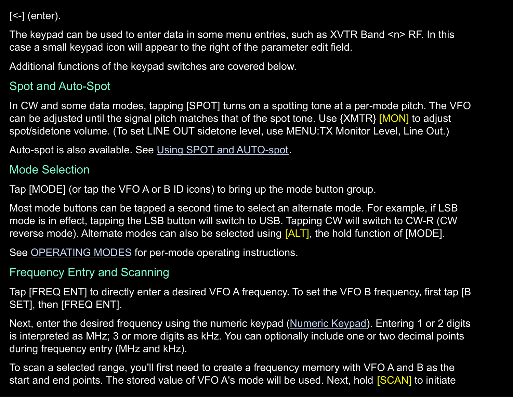$\left[\rightlt$ - $\left[\right]$  (enter).

The keypad can be used to enter data in some menu entries, such as XVTR Band <n>RF. In this case a small keypad icon will appear to the right of the parameter edit field.

Additional functions of the keypad switches are covered below.

## Spot and Auto-Spot

In CW and some data modes, tapping [SPOT] turns on a spotting tone at a per-mode pitch. The VFO can be adjusted until the signal pitch matches that of the spot tone. Use {XMTR} [MON] to adjust spot/sidetone volume. (To set LINE OUT sidetone level, use MENU:TX Monitor Level, Line Out.)

Auto-spot is also available. See Using SPOT and [AUTO-spot](#page-48-1).

#### Mode Selection

Tap [MODE] (or tap the VFO A or B ID icons) to bring up the mode button group.

Most mode buttons can be tapped a second time to select an alternate mode. For example, if LSB mode is in effect, tapping the LSB button will switch to USB. Tapping CW will switch to CW-R (CW reverse mode). Alternate modes can also be selected using [ALT], the hold function of [MODE].

See [OPERATING](#page-46-0) MODES for per-mode operating instructions.

### Frequency Entry and Scanning

Tap [FREQ ENT] to directly enter a desired VFO A frequency. To set the VFO B frequency, first tap [B SET], then [FREQ ENT].

Next, enter the desired frequency using the numeric keypad [\(Numeric](#page-30-1) Keypad). Entering 1 or 2 digits is interpreted as MHz; 3 or more digits as kHz. You can optionally include one or two decimal points during frequency entry (MHz and kHz).

To scan a selected range, you'll first need to create a frequency memory with VFO A and B as the start and end points. The stored value of VFO A's mode will be used. Next, hold **[SCAN]** to initiate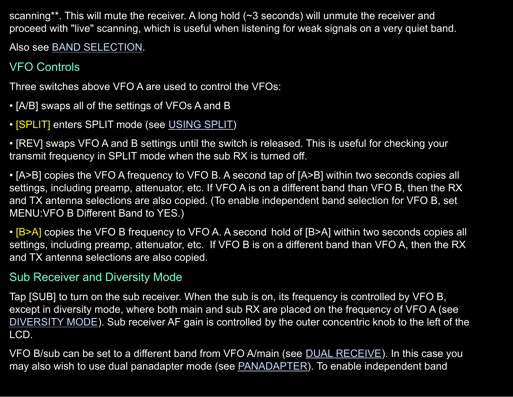scanning\*\*. This will mute the receiver. A long hold (~3 seconds) will unmute the receiver and proceed with "live" scanning, which is useful when listening for weak signals on a very quiet band.

Also see BAND [SELECTION.](#page-42-0)

# VFO Controls

Three switches above VFO A are used to control the VFOs:

- [A/B] swaps all of the settings of VFOs A and B
- **SPLIT** enters SPLIT mode (see [USING](#page-75-0) SPLIT)

• [REV] swaps VFO A and B settings until the switch is released. This is useful for checking your transmit frequency in SPLIT mode when the sub RX is turned off.

• [A>B] copies the VFO A frequency to VFO B. A second tap of [A>B] within two seconds copies all settings, including preamp, attenuator, etc. If VFO A is on a different band than VFO B, then the RX and TX antenna selections are also copied. (To enable independent band selection for VFO B, set MENU:VFO B Different Band to YES.)

• [B>A] copies the VFO B frequency to VFO A. A second hold of [B>A] within two seconds copies all settings, including preamp, attenuator, etc. If VFO B is on a different band than VFO A, then the RX and TX antenna selections are also copied.

### Sub Receiver and Diversity Mode

Tap [SUB] to turn on the sub receiver. When the sub is on, its frequency is controlled by VFO B, except in diversity mode, where both main and sub RX are placed on the frequency of VFO A (see [DIVERSITY](#page-70-0) MODE). Sub receiver AF gain is controlled by the outer concentric knob to the left of the LCD.

VFO B/sub can be set to a different band from VFO A/main (see DUAL [RECEIVE](#page-69-0)). In this case you may also wish to use dual panadapter mode (see **PANADAPTER**). To enable independent band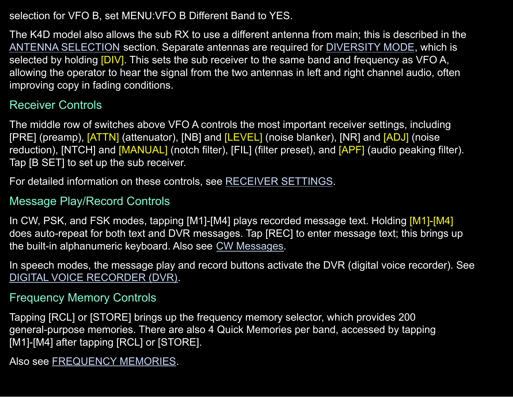selection for VFO B, set MENU:VFO B Different Band to YES.

The K4D model also allows the sub RX to use a different antenna from main; this is described in the ANTENNA [SELECTION](#page-43-0) section. Separate antennas are required for [DIVERSITY](#page-70-0) MODE, which is selected by holding [DIV]. This sets the sub receiver to the same band and frequency as VFO A, allowing the operator to hear the signal from the two antennas in left and right channel audio, often improving copy in fading conditions.

#### Receiver Controls

The middle row of switches above VFO A controls the most important receiver settings, including [PRE] (preamp), [ATTN] (attenuator), [NB] and [LEVEL] (noise blanker), [NR] and [ADJ] (noise reduction), [NTCH] and [MANUAL] (notch filter), [FIL] (filter preset), and [APF] (audio peaking filter). Tap [B SET] to set up the sub receiver.

For detailed information on these controls, see [RECEIVER](#page-56-0) SETTINGS.

#### Message Play/Record Controls

In CW, PSK, and FSK modes, tapping [M1]-[M4] plays recorded message text. Holding [M1]-[M4] does auto-repeat for both text and DVR messages. Tap [REC] to enter message text; this brings up the built-in alphanumeric keyboard. Also see CW [Messages.](#page-48-0)

In speech modes, the message play and record buttons activate the DVR (digital voice recorder). See DIGITAL VOICE [RECORDER](#page-72-0) (DVR).

#### <span id="page-33-0"></span>Frequency Memory Controls

Tapping [RCL] or [STORE] brings up the frequency memory selector, which provides 200 general-purpose memories. There are also 4 Quick Memories per band, accessed by tapping [M1]-[M4] after tapping [RCL] or [STORE].

Also see [FREQUENCY](#page-74-0) MEMORIES.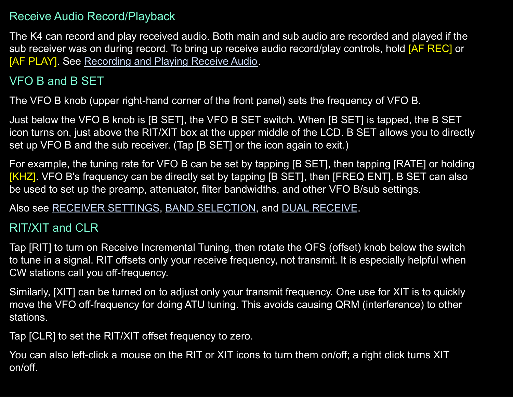#### Receive Audio Record/Playback

The K4 can record and play received audio. Both main and sub audio are recorded and played if the sub receiver was on during record. To bring up receive audio record/play controls, hold [AF REC] or [AF PLAY]. See [Recording](#page-72-1) and Playing Receive Audio.

## VFO B and B SET

The VFO B knob (upper right-hand corner of the front panel) sets the frequency of VFO B.

Just below the VFO B knob is [B SET], the VFO B SET switch. When [B SET] is tapped, the B SET icon turns on, just above the RIT/XIT box at the upper middle of the LCD. B SET allows you to directly set up VFO B and the sub receiver. (Tap [B SET] or the icon again to exit.)

For example, the tuning rate for VFO B can be set by tapping [B SET], then tapping [RATE] or holding [KHZ]. VFO B's frequency can be directly set by tapping [B SET], then [FREQ ENT]. B SET can also be used to set up the preamp, attenuator, filter bandwidths, and other VFO B/sub settings.

Also see [RECEIVER](#page-56-0) SETTINGS, BAND [SELECTION,](#page-42-0) and DUAL [RECEIVE](#page-69-0).

#### <span id="page-34-0"></span>RIT/XIT and CLR

Tap [RIT] to turn on Receive Incremental Tuning, then rotate the OFS (offset) knob below the switch to tune in a signal. RIT offsets only your receive frequency, not transmit. It is especially helpful when CW stations call you off-frequency.

Similarly, [XIT] can be turned on to adjust only your transmit frequency. One use for XIT is to quickly move the VFO off-frequency for doing ATU tuning. This avoids causing QRM (interference) to other stations.

Tap [CLR] to set the RIT/XIT offset frequency to zero.

You can also left-click a mouse on the RIT or XIT icons to turn them on/off; a right click turns XIT on/off.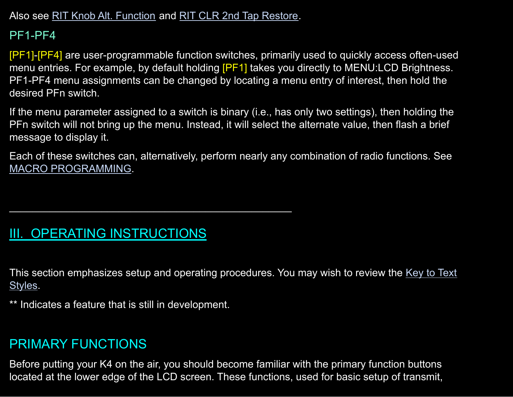Also see RIT Knob Alt. [Function](#page-86-0) and RIT CLR 2nd Tap [Restore.](#page-85-0)

 $\mathcal{L}_\mathcal{L}$  , and the contribution of the contribution of  $\mathcal{L}_\mathcal{L}$ 

## PF1-PF4

[PF1]-[PF4] are user-programmable function switches, primarily used to quickly access often-used menu entries. For example, by default holding [PF1] takes you directly to MENU:LCD Brightness. PF1-PF4 menu assignments can be changed by locating a menu entry of interest, then hold the desired PFn switch.

If the menu parameter assigned to a switch is binary (i.e., has only two settings), then holding the PFn switch will not bring up the menu. Instead, it will select the alternate value, then flash a brief message to display it.

Each of these switches can, alternatively, perform nearly any combination of radio functions. See MACRO [PROGRAMMING.](#page-78-0)

# <span id="page-35-0"></span>III. OPERATING INSTRUCTIONS

This section emphasizes setup and operating procedures. You may wish to review the Key to [Text](#page-3-1) [Styles.](#page-3-1)

\*\* Indicates a feature that is still in development.

# <span id="page-35-1"></span>PRIMARY FUNCTIONS

Before putting your K4 on the air, you should become familiar with the primary function buttons located at the lower edge of the LCD screen. These functions, used for basic setup of transmit,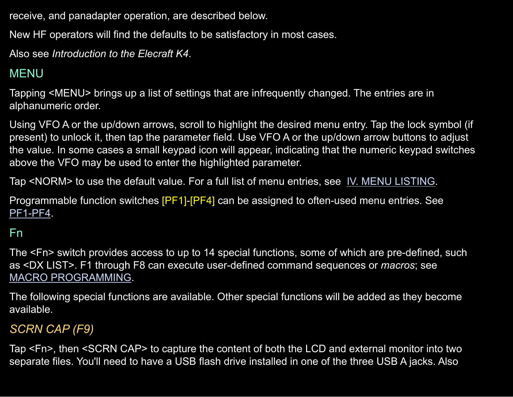receive, and panadapter operation, are described below.

New HF operators will find the defaults to be satisfactory in most cases.

Also see *Introduction to the Elecraft K4*.

# MENU

Tapping <MENU> brings up a list of settings that are infrequently changed. The entries are in alphanumeric order.

Using VFO A or the up/down arrows, scroll to highlight the desired menu entry. Tap the lock symbol (if present) to unlock it, then tap the parameter field. Use VFO A or the up/down arrow buttons to adjust the value. In some cases a small keypad icon will appear, indicating that the numeric keypad switches above the VFO may be used to enter the highlighted parameter.

Tap <NORM> to use the default value. For a full list of menu entries, see IV. MENU [LISTING.](#page-79-0)

Programmable function switches [PF1]-[PF4] can be assigned to often-used menu entries. See [PF1-PF4](#page-35-0).

# <span id="page-36-0"></span>Fn

The <Fn> switch provides access to up to 14 special functions, some of which are pre-defined, such as <DX LIST>. F1 through F8 can execute user-defined command sequences or *macros*; see MACRO [PROGRAMMING.](#page-78-0)

The following special functions are available. Other special functions will be added as they become available.

# *SCRN CAP (F9)*

Tap <Fn>, then <SCRN CAP> to capture the content of both the LCD and external monitor into two separate files. You'll need to have a USB flash drive installed in one of the three USB A jacks. Also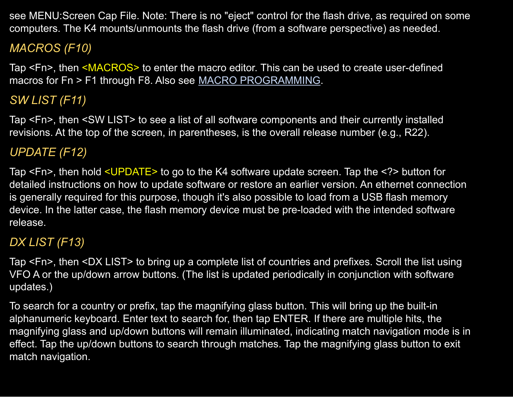see MENU:Screen Cap File. Note: There is no "eject" control for the flash drive, as required on some computers. The K4 mounts/unmounts the flash drive (from a software perspective) as needed.

# *MACROS (F10)*

Tap <Fn>, then <MACROS> to enter the macro editor. This can be used to create user-defined macros for Fn > F1 through F8. Also see MACRO [PROGRAMMING.](#page-78-0)

# *SW LIST (F11)*

Tap <Fn>, then <SW LIST> to see a list of all software components and their currently installed revisions. At the top of the screen, in parentheses, is the overall release number (e.g., R22).

# *UPDATE (F12)*

Tap <Fn>, then hold <UPDATE> to go to the K4 software update screen. Tap the <?> button for detailed instructions on how to update software or restore an earlier version. An ethernet connection is generally required for this purpose, though it's also possible to load from a USB flash memory device. In the latter case, the flash memory device must be pre-loaded with the intended software release.

# *DX LIST (F13)*

Tap <Fn>, then <DX LIST> to bring up a complete list of countries and prefixes. Scroll the list using VFO A or the up/down arrow buttons. (The list is updated periodically in conjunction with software updates.)

To search for a country or prefix, tap the magnifying glass button. This will bring up the built-in alphanumeric keyboard. Enter text to search for, then tap ENTER. If there are multiple hits, the magnifying glass and up/down buttons will remain illuminated, indicating match navigation mode is in effect. Tap the up/down buttons to search through matches. Tap the magnifying glass button to exit match navigation.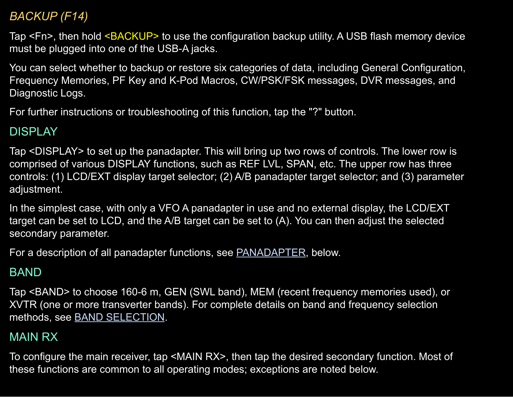# *BACKUP (F14)*

Tap <Fn>, then hold <BACKUP> to use the configuration backup utility. A USB flash memory device must be plugged into one of the USB-A jacks.

You can select whether to backup or restore six categories of data, including General Configuration, Frequency Memories, PF Key and K-Pod Macros, CW/PSK/FSK messages, DVR messages, and Diagnostic Logs.

For further instructions or troubleshooting of this function, tap the "?" button.

#### DISPLAY

Tap <DISPLAY> to set up the panadapter. This will bring up two rows of controls. The lower row is comprised of various DISPLAY functions, such as REF LVL, SPAN, etc. The upper row has three controls: (1) LCD/EXT display target selector; (2) A/B panadapter target selector; and (3) parameter adjustment.

In the simplest case, with only a VFO A panadapter in use and no external display, the LCD/EXT target can be set to LCD, and the A/B target can be set to (A). You can then adjust the selected secondary parameter.

For a description of all panadapter functions, see [PANADAPTER,](#page-64-0) below.

# BAND

Tap <BAND> to choose 160-6 m, GEN (SWL band), MEM (recent frequency memories used), or XVTR (one or more transverter bands). For complete details on band and frequency selection methods, see BAND [SELECTION](#page-42-0).

### <span id="page-38-0"></span>MAIN RX

To configure the main receiver, tap <MAIN RX>, then tap the desired secondary function. Most of these functions are common to all operating modes; exceptions are noted below.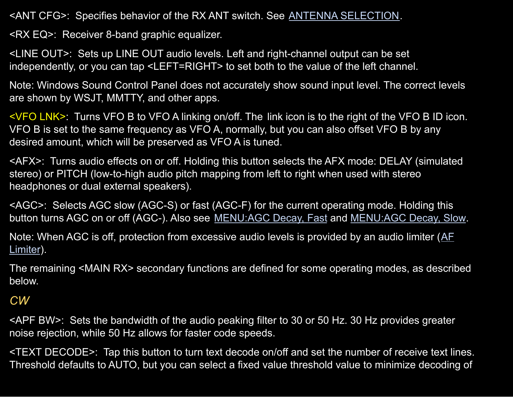<ANT CFG>: Specifies behavior of the RX ANT switch. See ANTENNA [SELECTION](#page-43-0).

<RX EQ>: Receiver 8-band graphic equalizer.

<LINE OUT>: Sets up LINE OUT audio levels. Left and right-channel output can be set independently, or you can tap <LEFT=RIGHT> to set both to the value of the left channel.

Note: Windows Sound Control Panel does not accurately show sound input level. The correct levels are shown by WSJT, MMTTY, and other apps.

<VFO LNK>: Turns VFO B to VFO A linking on/off. The link icon is to the right of the VFO B ID icon. VFO B is set to the same frequency as VFO A, normally, but you can also offset VFO B by any desired amount, which will be preserved as VFO A is tuned.

<AFX>: Turns audio effects on or off. Holding this button selects the AFX mode: DELAY (simulated stereo) or PITCH (low-to-high audio pitch mapping from left to right when used with stereo headphones or dual external speakers).

<AGC>: Selects AGC slow (AGC-S) or fast (AGC-F) for the current operating mode. Holding this button turns AGC on or off (AGC-). Also see [MENU:AGC](#page-80-0) Decay, Fast and [MENU:AGC](#page-80-1) Decay, Slow.

Note: When AGC is off, protection from excessive audio levels is provided by an audio limiter ([AF](#page-80-2) [Limiter](#page-80-2)).

The remaining <MAIN RX> secondary functions are defined for some operating modes, as described below.

#### *CW*

<APF BW>: Sets the bandwidth of the audio peaking filter to 30 or 50 Hz. 30 Hz provides greater noise rejection, while 50 Hz allows for faster code speeds.

<TEXT DECODE>: Tap this button to turn text decode on/off and set the number of receive text lines. Threshold defaults to AUTO, but you can select a fixed value threshold value to minimize decoding of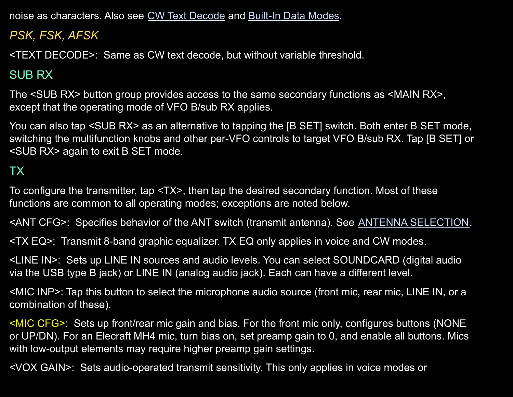noise as characters. Also see CW Text [Decode](#page-49-0) and Built-In Data Modes.

*PSK, FSK, AFSK*

<TEXT DECODE>: Same as CW text decode, but without variable threshold.

# <span id="page-40-1"></span>SUB RX

The <SUB RX> button group provides access to the same secondary functions as <MAIN RX>, except that the operating mode of VFO B/sub RX applies.

You can also tap <SUB RX> as an alternative to tapping the [B SET] switch. Both enter B SET mode, switching the multifunction knobs and other per-VFO controls to target VFO B/sub RX. Tap [B SET] or <SUB RX> again to exit B SET mode.

# <span id="page-40-0"></span>TX

To configure the transmitter, tap <TX>, then tap the desired secondary function. Most of these functions are common to all operating modes; exceptions are noted below.

<ANT CFG>: Specifies behavior of the ANT switch (transmit antenna). See ANTENNA [SELECTION.](#page-43-0)

<TX EQ>: Transmit 8-band graphic equalizer. TX EQ only applies in voice and CW modes.

<LINE IN>: Sets up LINE IN sources and audio levels. You can select SOUNDCARD (digital audio via the USB type B jack) or LINE IN (analog audio jack). Each can have a different level.

<MIC INP>: Tap this button to select the microphone audio source (front mic, rear mic, LINE IN, or a combination of these).

<MIC CFG>: Sets up front/rear mic gain and bias. For the front mic only, configures buttons (NONE or UP/DN). For an Elecraft MH4 mic, turn bias on, set preamp gain to 0, and enable all buttons. Mics with low-output elements may require higher preamp gain settings.

<VOX GAIN>: Sets audio-operated transmit sensitivity. This only applies in voice modes or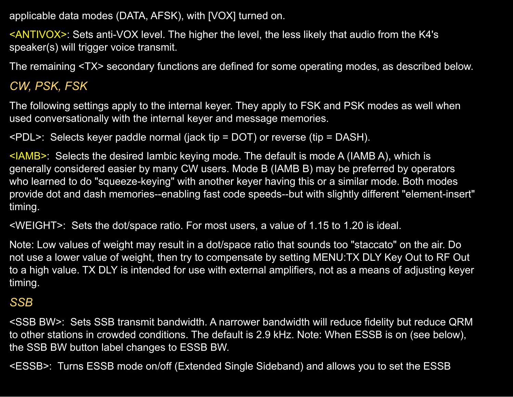applicable data modes (DATA, AFSK), with [VOX] turned on.

<ANTIVOX>: Sets anti-VOX level. The higher the level, the less likely that audio from the K4's speaker(s) will trigger voice transmit.

The remaining <TX> secondary functions are defined for some operating modes, as described below.

# *CW, PSK, FSK*

The following settings apply to the internal keyer. They apply to FSK and PSK modes as well when used conversationally with the internal keyer and message memories.

<PDL>: Selects keyer paddle normal (jack tip = DOT) or reverse (tip = DASH).

 $\leq$ IAMB>: Selects the desired lambic keying mode. The default is mode A (IAMB A), which is generally considered easier by many CW users. Mode B (IAMB B) may be preferred by operators who learned to do "squeeze-keying" with another keyer having this or a similar mode. Both modes provide dot and dash memories--enabling fast code speeds--but with slightly different "element-insert" timing.

<WEIGHT>: Sets the dot/space ratio. For most users, a value of 1.15 to 1.20 is ideal.

Note: Low values of weight may result in a dot/space ratio that sounds too "staccato" on the air. Do not use a lower value of weight, then try to compensate by setting MENU:TX DLY Key Out to RF Out to a high value. TX DLY is intended for use with external amplifiers, not as a means of adjusting keyer timing.

#### *SSB*

<SSB BW>: Sets SSB transmit bandwidth. A narrower bandwidth will reduce fidelity but reduce QRM to other stations in crowded conditions. The default is 2.9 kHz. Note: When ESSB is on (see below), the SSB BW button label changes to ESSB BW.

<ESSB>: Turns ESSB mode on/off (Extended Single Sideband) and allows you to set the ESSB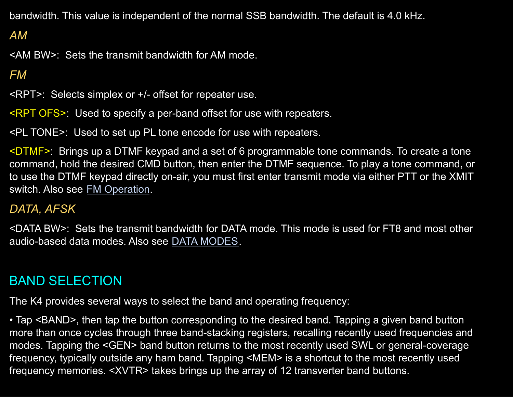bandwidth. This value is independent of the normal SSB bandwidth. The default is 4.0 kHz.

# *AM*

<AM BW>: Sets the transmit bandwidth for AM mode.

### *FM*

<RPT>: Selects simplex or +/- offset for repeater use.

<RPT OFS>: Used to specify a per-band offset for use with repeaters.

<PL TONE>: Used to set up PL tone encode for use with repeaters.

<DTMF>: Brings up a DTMF keypad and a set of 6 programmable tone commands. To create a tone command, hold the desired CMD button, then enter the DTMF sequence. To play a tone command, or to use the DTMF keypad directly on-air, you must first enter transmit mode via either PTT or the XMIT switch. Also see FM [Operation](#page-52-0).

#### *DATA, AFSK*

<DATA BW>: Sets the transmit bandwidth for DATA mode. This mode is used for FT8 and most other audio-based data modes. Also see DATA [MODES.](#page-53-0)

# <span id="page-42-0"></span>BAND SELECTION

The K4 provides several ways to select the band and operating frequency:

• Tap <BAND>, then tap the button corresponding to the desired band. Tapping a given band button more than once cycles through three band-stacking registers, recalling recently used frequencies and modes. Tapping the <GEN> band button returns to the most recently used SWL or general-coverage frequency, typically outside any ham band. Tapping <MEM> is a shortcut to the most recently used frequency memories. <XVTR> takes brings up the array of 12 transverter band buttons.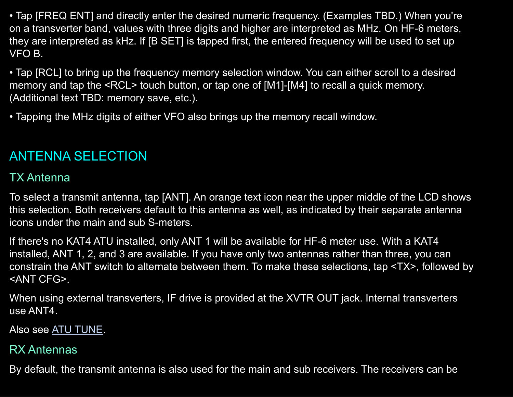• Tap [FREQ ENT] and directly enter the desired numeric frequency. (Examples TBD.) When you're on a transverter band, values with three digits and higher are interpreted as MHz. On HF-6 meters, they are interpreted as kHz. If [B SET] is tapped first, the entered frequency will be used to set up VFO B.

• Tap [RCL] to bring up the frequency memory selection window. You can either scroll to a desired memory and tap the <RCL> touch button, or tap one of [M1]-[M4] to recall a quick memory. (Additional text TBD: memory save, etc.).

• Tapping the MHz digits of either VFO also brings up the memory recall window.

# <span id="page-43-0"></span>ANTENNA SELECTION

### TX Antenna

To select a transmit antenna, tap [ANT]. An orange text icon near the upper middle of the LCD shows this selection. Both receivers default to this antenna as well, as indicated by their separate antenna icons under the main and sub S-meters.

If there's no KAT4 ATU installed, only ANT 1 will be available for HF-6 meter use. With a KAT4 installed, ANT 1, 2, and 3 are available. If you have only two antennas rather than three, you can constrain the ANT switch to alternate between them. To make these selections, tap <TX>, followed by <ANT CFG>.

When using external transverters, IF drive is provided at the XVTR OUT jack. Internal transverters use ANT4.

Also see ATU [TUNE.](#page-19-0)

### <span id="page-43-1"></span>RX Antennas

By default, the transmit antenna is also used for the main and sub receivers. The receivers can be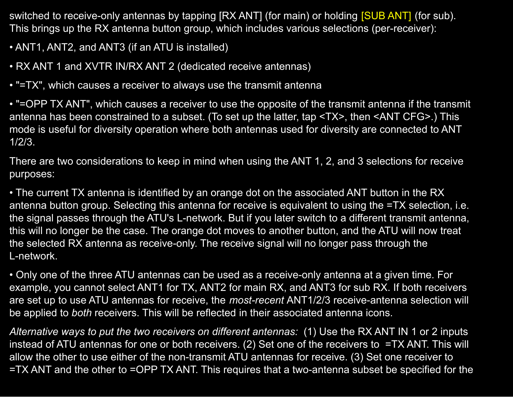switched to receive-only antennas by tapping [RX ANT] (for main) or holding [SUB ANT] (for sub). This brings up the RX antenna button group, which includes various selections (per-receiver):

- ANT1, ANT2, and ANT3 (if an ATU is installed)
- RX ANT 1 and XVTR IN/RX ANT 2 (dedicated receive antennas)
- "=TX", which causes a receiver to always use the transmit antenna

• "=OPP TX ANT", which causes a receiver to use the opposite of the transmit antenna if the transmit antenna has been constrained to a subset. (To set up the latter, tap <TX>, then <ANT CFG>.) This mode is useful for diversity operation where both antennas used for diversity are connected to ANT 1/2/3.

There are two considerations to keep in mind when using the ANT 1, 2, and 3 selections for receive purposes:

• The current TX antenna is identified by an orange dot on the associated ANT button in the RX antenna button group. Selecting this antenna for receive is equivalent to using the =TX selection, i.e. the signal passes through the ATU's L-network. But if you later switch to a different transmit antenna, this will no longer be the case. The orange dot moves to another button, and the ATU will now treat the selected RX antenna as receive-only. The receive signal will no longer pass through the L-network.

• Only one of the three ATU antennas can be used as a receive-only antenna at a given time. For example, you cannot select ANT1 for TX, ANT2 for main RX, and ANT3 for sub RX. If both receivers are set up to use ATU antennas for receive, the *most-recent* ANT1/2/3 receive-antenna selection will be applied to *both* receivers. This will be reflected in their associated antenna icons.

*Alternative ways to put the two receivers on different antennas:* (1) Use the RX ANT IN 1 or 2 inputs instead of ATU antennas for one or both receivers. (2) Set one of the receivers to =TX ANT. This will allow the other to use either of the non-transmit ATU antennas for receive. (3) Set one receiver to =TX ANT and the other to =OPP TX ANT. This requires that a two-antenna subset be specified for the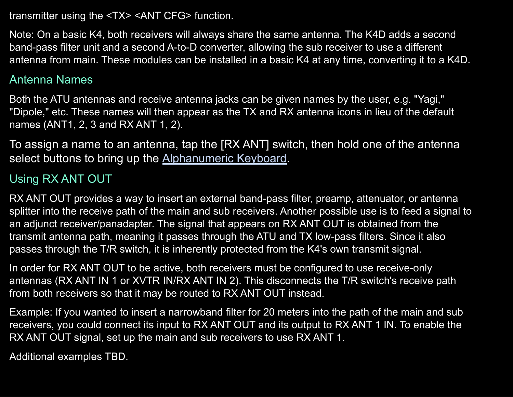transmitter using the <TX> <ANT CFG> function.

Note: On a basic K4, both receivers will always share the same antenna. The K4D adds a second band-pass filter unit and a second A-to-D converter, allowing the sub receiver to use a different antenna from main. These modules can be installed in a basic K4 at any time, converting it to a K4D.

#### Antenna Names

Both the ATU antennas and receive antenna jacks can be given names by the user, e.g. "Yagi," "Dipole," etc. These names will then appear as the TX and RX antenna icons in lieu of the default names (ANT1, 2, 3 and RX ANT 1, 2).

To assign a name to an antenna, tap the [RX ANT] switch, then hold one of the antenna select buttons to bring up the [Alphanumeric Keyboard.](#page-30-0)

# Using RX ANT OUT

RX ANT OUT provides a way to insert an external band-pass filter, preamp, attenuator, or antenna splitter into the receive path of the main and sub receivers. Another possible use is to feed a signal to an adjunct receiver/panadapter. The signal that appears on RX ANT OUT is obtained from the transmit antenna path, meaning it passes through the ATU and TX low-pass filters. Since it also passes through the T/R switch, it is inherently protected from the K4's own transmit signal.

In order for RX ANT OUT to be active, both receivers must be configured to use receive-only antennas (RX ANT IN 1 or XVTR IN/RX ANT IN 2). This disconnects the T/R switch's receive path from both receivers so that it may be routed to RX ANT OUT instead.

Example: If you wanted to insert a narrowband filter for 20 meters into the path of the main and sub receivers, you could connect its input to RX ANT OUT and its output to RX ANT 1 IN. To enable the RX ANT OUT signal, set up the main and sub receivers to use RX ANT 1.

Additional examples TBD.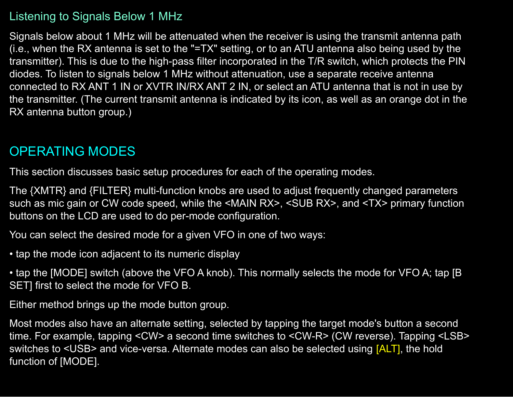#### Listening to Signals Below 1 MHz

Signals below about 1 MHz will be attenuated when the receiver is using the transmit antenna path (i.e., when the RX antenna is set to the "=TX" setting, or to an ATU antenna also being used by the transmitter). This is due to the high-pass filter incorporated in the T/R switch, which protects the PIN diodes. To listen to signals below 1 MHz without attenuation, use a separate receive antenna connected to RX ANT 1 IN or XVTR IN/RX ANT 2 IN, or select an ATU antenna that is not in use by the transmitter. (The current transmit antenna is indicated by its icon, as well as an orange dot in the RX antenna button group.)

# <span id="page-46-0"></span>OPERATING MODES

This section discusses basic setup procedures for each of the operating modes.

The {XMTR} and {FILTER} multi-function knobs are used to adjust frequently changed parameters such as mic gain or CW code speed, while the <MAIN RX>, <SUB RX>, and <TX> primary function buttons on the LCD are used to do per-mode configuration.

You can select the desired mode for a given VFO in one of two ways:

• tap the mode icon adjacent to its numeric display

• tap the [MODE] switch (above the VFO A knob). This normally selects the mode for VFO A; tap [B SET] first to select the mode for VFO B.

Either method brings up the mode button group.

Most modes also have an alternate setting, selected by tapping the target mode's button a second time. For example, tapping <CW> a second time switches to <CW-R> (CW reverse). Tapping <LSB> switches to <USB> and vice-versa. Alternate modes can also be selected using [ALT], the hold function of [MODE].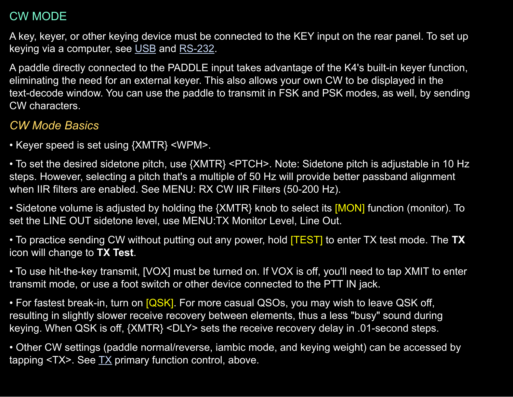## CW MODE

A key, keyer, or other keying device must be connected to the KEY input on the rear panel. To set up keying via a computer, see [USB](#page-8-0) and [RS-232.](#page-11-0)

A paddle directly connected to the PADDLE input takes advantage of the K4's built-in keyer function, eliminating the need for an external keyer. This also allows your own CW to be displayed in the text-decode window. You can use the paddle to transmit in FSK and PSK modes, as well, by sending CW characters.

# *CW Mode Basics*

• Keyer speed is set using {XMTR} <WPM>.

• To set the desired sidetone pitch, use {XMTR} <PTCH>. Note: Sidetone pitch is adjustable in 10 Hz steps. However, selecting a pitch that's a multiple of 50 Hz will provide better passband alignment when IIR filters are enabled. See MENU: RX CW IIR Filters (50-200 Hz).

• Sidetone volume is adjusted by holding the {XMTR} knob to select its [MON] function (monitor). To set the LINE OUT sidetone level, use MENU:TX Monitor Level, Line Out.

• To practice sending CW without putting out any power, hold [TEST] to enter TX test mode. The **TX** icon will change to **TX Test**.

• To use hit-the-key transmit, [VOX] must be turned on. If VOX is off, you'll need to tap XMIT to enter transmit mode, or use a foot switch or other device connected to the PTT IN jack.

• For fastest break-in, turn on  $[QSK]$ . For more casual QSOs, you may wish to leave QSK off, resulting in slightly slower receive recovery between elements, thus a less "busy" sound during keying. When QSK is off, {XMTR} <DLY> sets the receive recovery delay in .01-second steps.

• Other CW settings (paddle normal/reverse, iambic mode, and keying weight) can be accessed by tapping  $(TX)$  $(TX)$  $(TX)$ . See  $TX$  primary function control, above.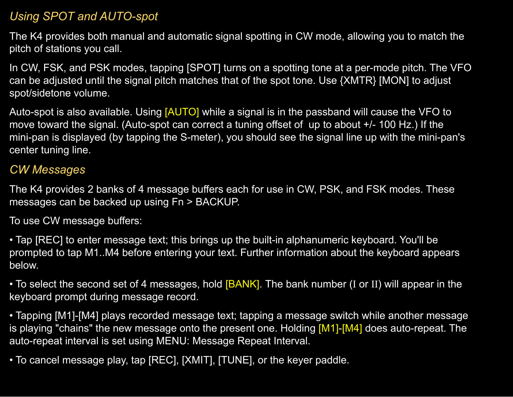#### *Using SPOT and AUTO-spot*

The K4 provides both manual and automatic signal spotting in CW mode, allowing you to match the pitch of stations you call.

In CW, FSK, and PSK modes, tapping [SPOT] turns on a spotting tone at a per-mode pitch. The VFO can be adjusted until the signal pitch matches that of the spot tone. Use {XMTR} [MON] to adjust spot/sidetone volume.

Auto-spot is also available. Using [AUTO] while a signal is in the passband will cause the VFO to move toward the signal. (Auto-spot can correct a tuning offset of up to about +/- 100 Hz.) If the mini-pan is displayed (by tapping the S-meter), you should see the signal line up with the mini-pan's center tuning line.

### <span id="page-48-0"></span>*CW Messages*

The K4 provides 2 banks of 4 message buffers each for use in CW, PSK, and FSK modes. These messages can be backed up using Fn > BACKUP.

To use CW message buffers:

• Tap [REC] to enter message text; this brings up the built-in alphanumeric keyboard. You'll be prompted to tap M1..M4 before entering your text. Further information about the keyboard appears below.

• To select the second set of 4 messages, hold [BANK]. The bank number (I or II) will appear in the keyboard prompt during message record.

• Tapping [M1]-[M4] plays recorded message text; tapping a message switch while another message is playing "chains" the new message onto the present one. Holding [M1]-[M4] does auto-repeat. The auto-repeat interval is set using MENU: Message Repeat Interval.

• To cancel message play, tap [REC], [XMIT], [TUNE], or the keyer paddle.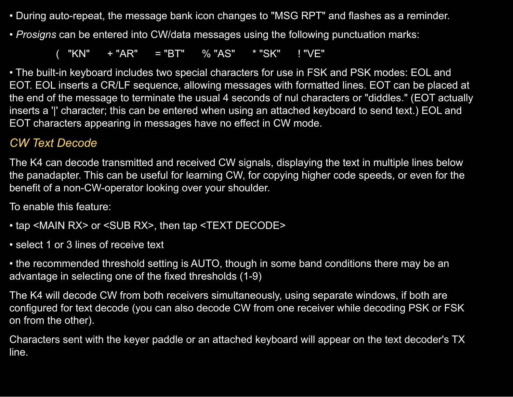- During auto-repeat, the message bank icon changes to "MSG RPT" and flashes as a reminder.
- *Prosigns* can be entered into CW/data messages using the following punctuation marks:

 $($  "KN"  $+$  "AR" = "BT" % "AS" \* "SK" ! "VE"

• The built-in keyboard includes two special characters for use in FSK and PSK modes: EOL and EOT. EOL inserts a CR/LF sequence, allowing messages with formatted lines. EOT can be placed at the end of the message to terminate the usual 4 seconds of nul characters or "diddles." (EOT actually inserts a '|' character; this can be entered when using an attached keyboard to send text.) EOL and EOT characters appearing in messages have no effect in CW mode.

### <span id="page-49-0"></span>*CW Text Decode*

The K4 can decode transmitted and received CW signals, displaying the text in multiple lines below the panadapter. This can be useful for learning CW, for copying higher code speeds, or even for the benefit of a non-CW-operator looking over your shoulder.

To enable this feature:

- tap <MAIN RX> or <SUB RX>, then tap <TEXT DECODE>
- select 1 or 3 lines of receive text
- the recommended threshold setting is AUTO, though in some band conditions there may be an advantage in selecting one of the fixed thresholds (1-9)

The K4 will decode CW from both receivers simultaneously, using separate windows, if both are configured for text decode (you can also decode CW from one receiver while decoding PSK or FSK on from the other).

Characters sent with the keyer paddle or an attached keyboard will appear on the text decoder's TX line.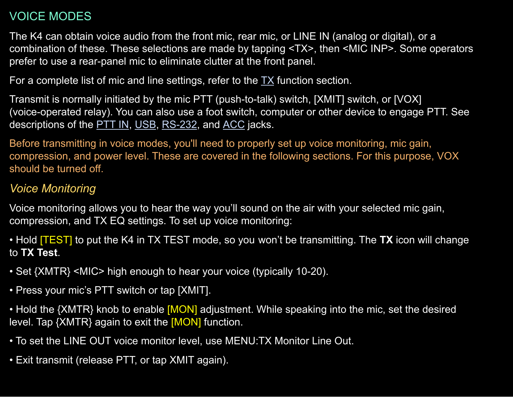# VOICE MODES

The K4 can obtain voice audio from the front mic, rear mic, or LINE IN (analog or digital), or a combination of these. These selections are made by tapping <TX>, then <MIC INP>. Some operators prefer to use a rear-panel mic to eliminate clutter at the front panel.

For a complete list of mic and line settings, refer to the  $TX$  function section.

Transmit is normally initiated by the mic PTT (push-to-talk) switch, [XMIT] switch, or [VOX] (voice-operated relay). You can also use a foot switch, computer or other device to engage PTT. See descriptions of the [PTT](#page-11-1) IN, [USB](#page-8-0), [RS-232](#page-11-0), and [ACC](#page-13-0) jacks.

Before transmitting in voice modes, you'll need to properly set up voice monitoring, mic gain, compression, and power level. These are covered in the following sections. For this purpose, VOX should be turned off.

# *Voice Monitoring*

Voice monitoring allows you to hear the way you'll sound on the air with your selected mic gain, compression, and TX EQ settings. To set up voice monitoring:

• Hold [TEST] to put the K4 in TX TEST mode, so you won't be transmitting. The **TX** icon will change to **TX Test**.

• Set {XMTR} <MIC> high enough to hear your voice (typically 10-20).

• Press your mic's PTT switch or tap [XMIT].

• Hold the {XMTR} knob to enable [MON] adjustment. While speaking into the mic, set the desired level. Tap {XMTR} again to exit the [MON] function.

- To set the LINE OUT voice monitor level, use MENU:TX Monitor Line Out.
- Exit transmit (release PTT, or tap XMIT again).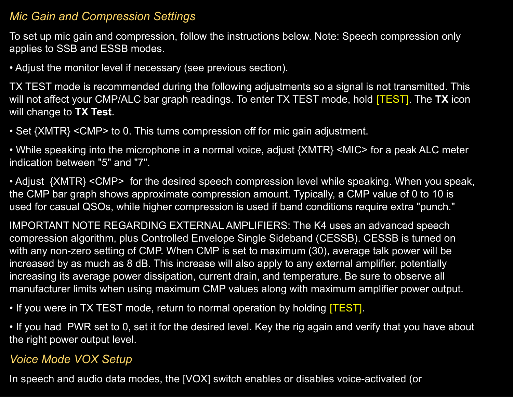#### *Mic Gain and Compression Settings*

To set up mic gain and compression, follow the instructions below. Note: Speech compression only applies to SSB and ESSB modes.

• Adjust the monitor level if necessary (see previous section).

TX TEST mode is recommended during the following adjustments so a signal is not transmitted. This will not affect your CMP/ALC bar graph readings. To enter TX TEST mode, hold [TEST]. The **TX** icon will change to **TX Test**.

• Set {XMTR} <CMP> to 0. This turns compression off for mic gain adjustment.

• While speaking into the microphone in a normal voice, adjust {XMTR} <MIC> for a peak ALC meter indication between "5" and "7".

• Adjust {XMTR} < CMP > for the desired speech compression level while speaking. When you speak, the CMP bar graph shows approximate compression amount. Typically, a CMP value of 0 to 10 is used for casual QSOs, while higher compression is used if band conditions require extra "punch."

IMPORTANT NOTE REGARDING EXTERNAL AMPLIFIERS: The K4 uses an advanced speech compression algorithm, plus Controlled Envelope Single Sideband (CESSB). CESSB is turned on with any non-zero setting of CMP. When CMP is set to maximum (30), average talk power will be increased by as much as 8 dB. This increase will also apply to any external amplifier, potentially increasing its average power dissipation, current drain, and temperature. Be sure to observe all manufacturer limits when using maximum CMP values along with maximum amplifier power output.

• If you were in TX TEST mode, return to normal operation by holding [TEST].

• If you had PWR set to 0, set it for the desired level. Key the rig again and verify that you have about the right power output level.

#### *Voice Mode VOX Setup*

In speech and audio data modes, the [VOX] switch enables or disables voice-activated (or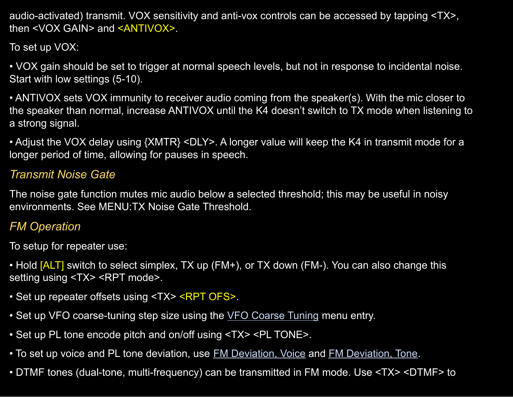audio-activated) transmit. VOX sensitivity and anti-vox controls can be accessed by tapping <TX>, then <VOX GAIN> and <ANTIVOX>.

To set up VOX:

• VOX gain should be set to trigger at normal speech levels, but not in response to incidental noise. Start with low settings (5-10).

• ANTIVOX sets VOX immunity to receiver audio coming from the speaker(s). With the mic closer to the speaker than normal, increase ANTIVOX until the K4 doesn't switch to TX mode when listening to a strong signal.

• Adjust the VOX delay using {XMTR} <DLY>. A longer value will keep the K4 in transmit mode for a longer period of time, allowing for pauses in speech.

### *Transmit Noise Gate*

The noise gate function mutes mic audio below a selected threshold; this may be useful in noisy environments. See MENU:TX Noise Gate Threshold.

### <span id="page-52-0"></span>*FM Operation*

To setup for repeater use:

• Hold [ALT] switch to select simplex, TX up (FM+), or TX down (FM-). You can also change this setting using <TX> <RPT mode>.

- Set up repeater offsets using <TX> <RPT OFS>.
- Set up VFO coarse-tuning step size using the VFO [Coarse](#page-92-0) Tuning menu entry.
- Set up PL tone encode pitch and on/off using <TX> <PL TONE>.
- To set up voice and PL tone deviation, use FM [Deviation,](#page-82-1) Voice and FM Deviation, Tone.
- DTMF tones (dual-tone, multi-frequency) can be transmitted in FM mode. Use <TX> <DTMF> to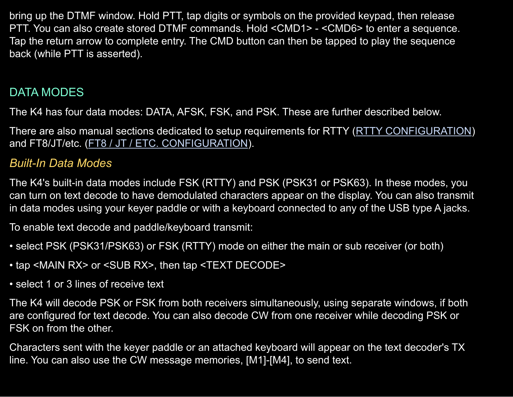bring up the DTMF window. Hold PTT, tap digits or symbols on the provided keypad, then release PTT. You can also create stored DTMF commands. Hold <CMD1> - <CMD6> to enter a sequence. Tap the return arrow to complete entry. The CMD button can then be tapped to play the sequence back (while PTT is asserted).

## <span id="page-53-0"></span>DATA MODES

The K4 has four data modes: DATA, AFSK, FSK, and PSK. These are further described below.

There are also manual sections dedicated to setup requirements for RTTY (RTTY [CONFIGURATION](#page-79-1)) and FT8/JT/etc. (FT8 / JT / ETC. [CONFIGURATION\)](#page-79-2).

### *Built-In Data Modes*

The K4's built-in data modes include FSK (RTTY) and PSK (PSK31 or PSK63). In these modes, you can turn on text decode to have demodulated characters appear on the display. You can also transmit in data modes using your keyer paddle or with a keyboard connected to any of the USB type A jacks.

To enable text decode and paddle/keyboard transmit:

- select PSK (PSK31/PSK63) or FSK (RTTY) mode on either the main or sub receiver (or both)
- tap <MAIN RX> or <SUB RX>, then tap <TEXT DECODE>
- select 1 or 3 lines of receive text

The K4 will decode PSK or FSK from both receivers simultaneously, using separate windows, if both are configured for text decode. You can also decode CW from one receiver while decoding PSK or FSK on from the other.

Characters sent with the keyer paddle or an attached keyboard will appear on the text decoder's TX line. You can also use the CW message memories, [M1]-[M4], to send text.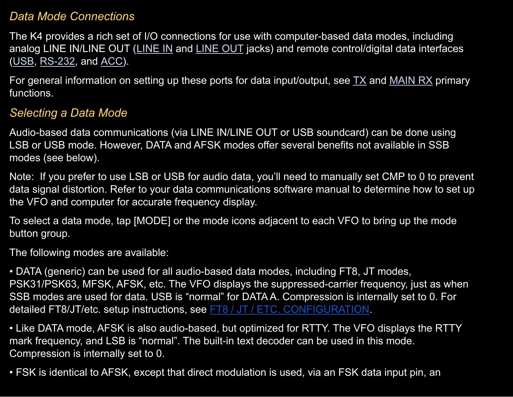#### *Data Mode Connections*

The K4 provides a rich set of I/O connections for use with computer-based data modes, including analog [LINE](#page-10-0) IN/LINE OUT (LINE IN and LINE OUT jacks) and remote control/digital data interfaces ([USB,](#page-8-0) [RS-232,](#page-11-0) and [ACC\)](#page-13-0).

For general information on setting up these ports for data input/output, see  $TX$  and [MAIN](#page-38-0) RX primary functions.

### *Selecting a Data Mode*

Audio-based data communications (via LINE IN/LINE OUT or USB soundcard) can be done using LSB or USB mode. However, DATA and AFSK modes offer several benefits not available in SSB modes (see below).

Note: If you prefer to use LSB or USB for audio data, you'll need to manually set CMP to 0 to prevent data signal distortion. Refer to your data communications software manual to determine how to set up the VFO and computer for accurate frequency display.

To select a data mode, tap [MODE] or the mode icons adjacent to each VFO to bring up the mode button group.

The following modes are available:

• DATA (generic) can be used for all audio-based data modes, including FT8, JT modes, PSK31/PSK63, MFSK, AFSK, etc. The VFO displays the suppressed-carrier frequency, just as when SSB modes are used for data. USB is "normal" for DATA A. Compression is internally set to 0. For detailed FT8/JT/etc. setup instructions, see FT8 / JT / ETC. [CONFIGURATION.](#page-79-2)

• Like DATA mode, AFSK is also audio-based, but optimized for RTTY. The VFO displays the RTTY mark frequency, and LSB is "normal". The built-in text decoder can be used in this mode. Compression is internally set to 0.

• FSK is identical to AFSK, except that direct modulation is used, via an FSK data input pin, an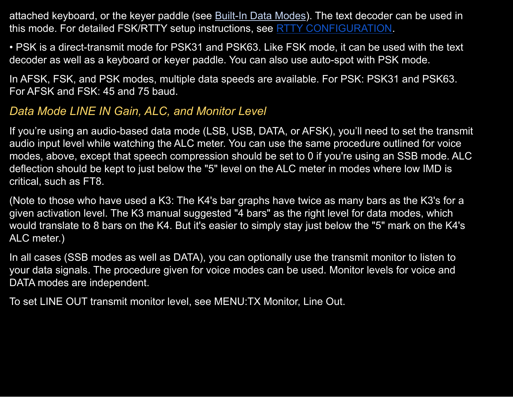attached keyboard, or the keyer paddle (see **Built-In Data Modes)**. The text decoder can be used in this mode. For detailed FSK/RTTY setup instructions, see RTTY [CONFIGURATION.](#page-79-1)

• PSK is a direct-transmit mode for PSK31 and PSK63. Like FSK mode, it can be used with the text decoder as well as a keyboard or keyer paddle. You can also use auto-spot with PSK mode.

In AFSK, FSK, and PSK modes, multiple data speeds are available. For PSK: PSK31 and PSK63. For AFSK and FSK: 45 and 75 baud.

### *Data Mode LINE IN Gain, ALC, and Monitor Level*

If you're using an audio-based data mode (LSB, USB, DATA, or AFSK), you'll need to set the transmit audio input level while watching the ALC meter. You can use the same procedure outlined for voice modes, above, except that speech compression should be set to 0 if you're using an SSB mode. ALC deflection should be kept to just below the "5" level on the ALC meter in modes where low IMD is critical, such as FT8.

(Note to those who have used a K3: The K4's bar graphs have twice as many bars as the K3's for a given activation level. The K3 manual suggested "4 bars" as the right level for data modes, which would translate to 8 bars on the K4. But it's easier to simply stay just below the "5" mark on the K4's ALC meter.)

In all cases (SSB modes as well as DATA), you can optionally use the transmit monitor to listen to your data signals. The procedure given for voice modes can be used. Monitor levels for voice and DATA modes are independent.

To set LINE OUT transmit monitor level, see MENU:TX Monitor, Line Out.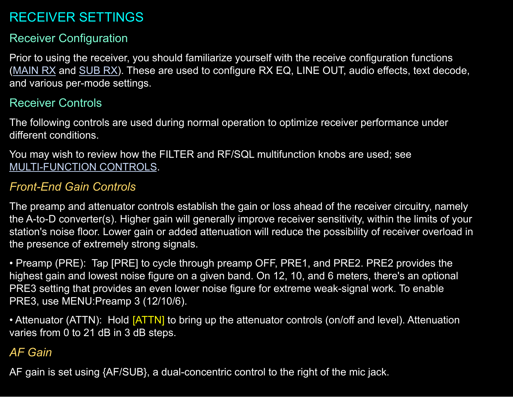# RECEIVER SETTINGS

# Receiver Configuration

Prior to using the receiver, you should familiarize yourself with the receive configuration functions ([MAIN](#page-38-0) RX and [SUB](#page-40-1) RX). These are used to configure RX EQ, LINE OUT, audio effects, text decode, and various per-mode settings.

## Receiver Controls

The following controls are used during normal operation to optimize receiver performance under different conditions.

You may wish to review how the FILTER and RF/SQL multifunction knobs are used; see [MULTI-FUNCTION](#page-21-0) CONTROLS.

# *Front-End Gain Controls*

The preamp and attenuator controls establish the gain or loss ahead of the receiver circuitry, namely the A-to-D converter(s). Higher gain will generally improve receiver sensitivity, within the limits of your station's noise floor. Lower gain or added attenuation will reduce the possibility of receiver overload in the presence of extremely strong signals.

• Preamp (PRE): Tap [PRE] to cycle through preamp OFF, PRE1, and PRE2. PRE2 provides the highest gain and lowest noise figure on a given band. On 12, 10, and 6 meters, there's an optional PRE3 setting that provides an even lower noise figure for extreme weak-signal work. To enable PRE3, use MENU:Preamp 3 (12/10/6).

• Attenuator (ATTN): Hold [ATTN] to bring up the attenuator controls (on/off and level). Attenuation varies from 0 to 21 dB in 3 dB steps.

# *AF Gain*

AF gain is set using {AF/SUB}, a dual-concentric control to the right of the mic jack.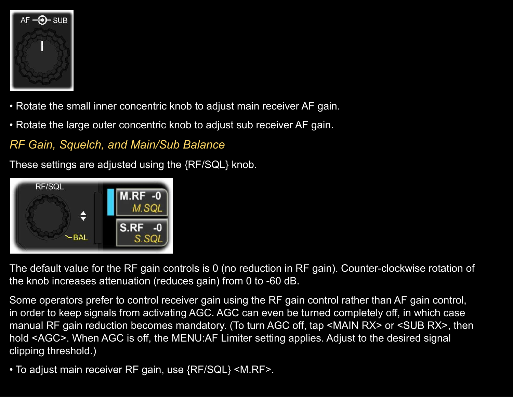

- Rotate the small inner concentric knob to adjust main receiver AF gain.
- Rotate the large outer concentric knob to adjust sub receiver AF gain.

*RF Gain, Squelch, and Main/Sub Balance*

These settings are adjusted using the {RF/SQL} knob.



The default value for the RF gain controls is 0 (no reduction in RF gain). Counter-clockwise rotation of the knob increases attenuation (reduces gain) from 0 to -60 dB.

Some operators prefer to control receiver gain using the RF gain control rather than AF gain control, in order to keep signals from activating AGC. AGC can even be turned completely off, in which case manual RF gain reduction becomes mandatory. (To turn AGC off, tap <MAIN RX> or <SUB RX>, then hold <AGC>. When AGC is off, the MENU:AF Limiter setting applies. Adjust to the desired signal clipping threshold.)

• To adjust main receiver RF gain, use {RF/SQL} <M.RF>.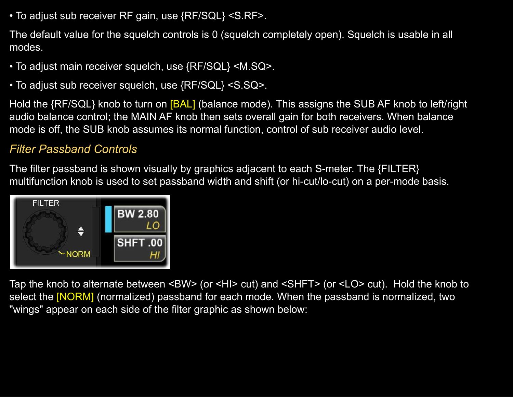• To adjust sub receiver RF gain, use {RF/SQL} <S.RF>.

The default value for the squelch controls is 0 (squelch completely open). Squelch is usable in all modes.

- To adjust main receiver squelch, use {RF/SQL} <M.SQ>.
- To adjust sub receiver squelch, use {RF/SQL} <S.SQ>.

Hold the {RF/SQL} knob to turn on [BAL] (balance mode). This assigns the SUB AF knob to left/right audio balance control; the MAIN AF knob then sets overall gain for both receivers. When balance mode is off, the SUB knob assumes its normal function, control of sub receiver audio level.

### *Filter Passband Controls*

The filter passband is shown visually by graphics adjacent to each S-meter. The {FILTER} multifunction knob is used to set passband width and shift (or hi-cut/lo-cut) on a per-mode basis.



Tap the knob to alternate between <BW> (or <HI> cut) and <SHFT> (or <LO> cut). Hold the knob to select the [NORM] (normalized) passband for each mode. When the passband is normalized, two "wings" appear on each side of the filter graphic as shown below: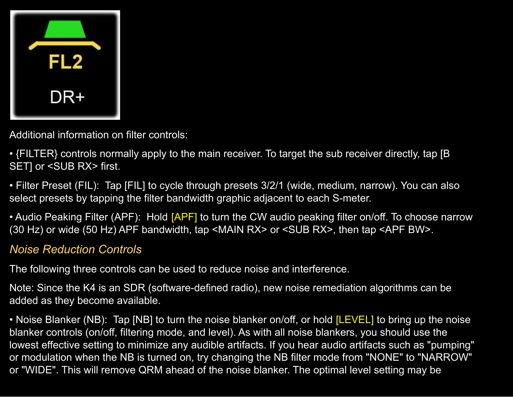| <b>FL2</b> |  |
|------------|--|
| DR+        |  |

Additional information on filter controls:

• {FILTER} controls normally apply to the main receiver. To target the sub receiver directly, tap [B SET] or <SUB RX> first.

• Filter Preset (FIL): Tap [FIL] to cycle through presets 3/2/1 (wide, medium, narrow). You can also select presets by tapping the filter bandwidth graphic adjacent to each S-meter.

• Audio Peaking Filter (APF): Hold [APF] to turn the CW audio peaking filter on/off. To choose narrow (30 Hz) or wide (50 Hz) APF bandwidth, tap <MAIN RX> or <SUB RX>, then tap <APF BW>.

### *Noise Reduction Controls*

The following three controls can be used to reduce noise and interference.

Note: Since the K4 is an SDR (software-defined radio), new noise remediation algorithms can be added as they become available.

• Noise Blanker (NB): Tap [NB] to turn the noise blanker on/off, or hold [LEVEL] to bring up the noise blanker controls (on/off, filtering mode, and level). As with all noise blankers, you should use the lowest effective setting to minimize any audible artifacts. If you hear audio artifacts such as "pumping" or modulation when the NB is turned on, try changing the NB filter mode from "NONE" to "NARROW" or "WIDE". This will remove QRM ahead of the noise blanker. The optimal level setting may be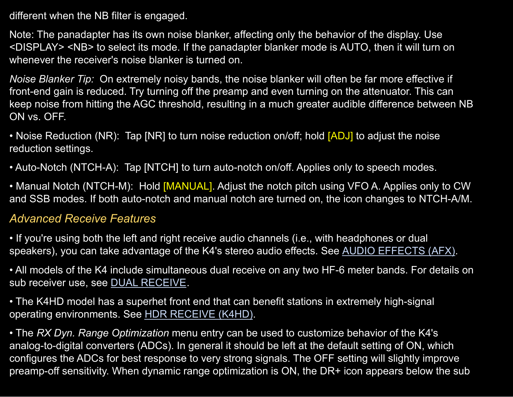different when the NB filter is engaged.

Note: The panadapter has its own noise blanker, affecting only the behavior of the display. Use <DISPLAY> <NB> to select its mode. If the panadapter blanker mode is AUTO, then it will turn on whenever the receiver's noise blanker is turned on.

*Noise Blanker Tip:* On extremely noisy bands, the noise blanker will often be far more effective if front-end gain is reduced. Try turning off the preamp and even turning on the attenuator. This can keep noise from hitting the AGC threshold, resulting in a much greater audible difference between NB ON vs. OFF.

• Noise Reduction (NR): Tap [NR] to turn noise reduction on/off; hold [ADJ] to adjust the noise reduction settings.

• Auto-Notch (NTCH-A): Tap [NTCH] to turn auto-notch on/off. Applies only to speech modes.

• Manual Notch (NTCH-M): Hold [MANUAL]. Adjust the notch pitch using VFO A. Applies only to CW and SSB modes. If both auto-notch and manual notch are turned on, the icon changes to NTCH-A/M.

#### *Advanced Receive Features*

• If you're using both the left and right receive audio channels (i.e., with headphones or dual speakers), you can take advantage of the K4's stereo audio effects. See AUDIO [EFFECTS](#page-71-0) (AFX).

• All models of the K4 include simultaneous dual receive on any two HF-6 meter bands. For details on sub receiver use, see DUAL [RECEIVE](#page-69-0).

• The K4HD model has a superhet front end that can benefit stations in extremely high-signal operating environments. See HDR [RECEIVE](#page-71-1) (K4HD).

• The *RX Dyn. Range Optimization* menu entry can be used to customize behavior of the K4's analog-to-digital converters (ADCs). In general it should be left at the default setting of ON, which configures the ADCs for best response to very strong signals. The OFF setting will slightly improve preamp-off sensitivity. When dynamic range optimization is ON, the DR+ icon appears below the sub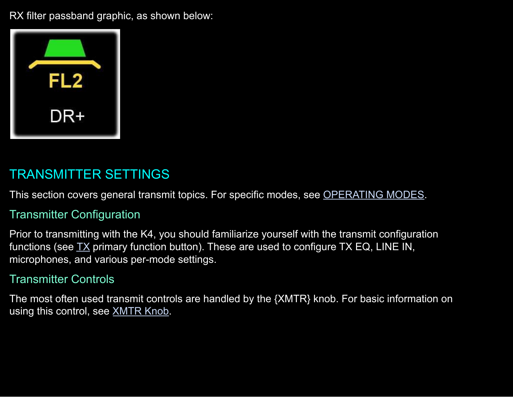RX filter passband graphic, as shown below:



# TRANSMITTER SETTINGS

This section covers general transmit topics. For specific modes, see [OPERATING](#page-46-0) MODES.

#### Transmitter Configuration

Prior to transmitting with the K4, you should familiarize yourself with the transmit configuration functions (see  $TX$  primary function button). These are used to configure  $TX$  EQ, LINE IN, microphones, and various per-mode settings.

#### Transmitter Controls

The most often used transmit controls are handled by the {XMTR} knob. For basic information on using this control, see **[XMTR](#page-22-0) Knob.**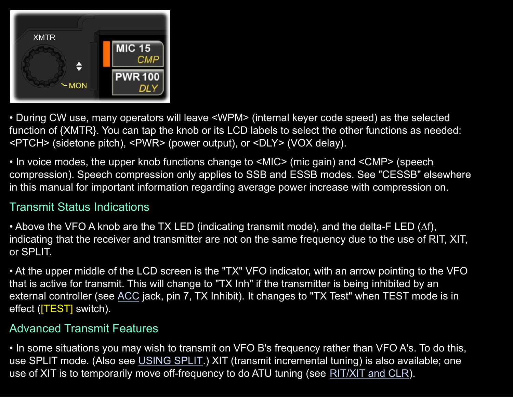

• During CW use, many operators will leave <WPM> (internal keyer code speed) as the selected function of {XMTR}. You can tap the knob or its LCD labels to select the other functions as needed: <PTCH> (sidetone pitch), <PWR> (power output), or <DLY> (VOX delay).

• In voice modes, the upper knob functions change to <MIC> (mic gain) and <CMP> (speech compression). Speech compression only applies to SSB and ESSB modes. See "CESSB" elsewhere in this manual for important information regarding average power increase with compression on.

# Transmit Status Indications

• Above the VFO A knob are the TX LED (indicating transmit mode), and the delta-F LED ( $\Delta f$ ), indicating that the receiver and transmitter are not on the same frequency due to the use of RIT, XIT, or SPLIT.

• At the upper middle of the LCD screen is the "TX" VFO indicator, with an arrow pointing to the VFO that is active for transmit. This will change to "TX Inh" if the transmitter is being inhibited by an external controller (see [ACC](#page-13-0) jack, pin 7, TX Inhibit). It changes to "TX Test" when TEST mode is in effect (TEST switch).

#### Advanced Transmit Features

• In some situations you may wish to transmit on VFO B's frequency rather than VFO A's. To do this, use SPLIT mode. (Also see [USING](#page-75-0) SPLIT.) XIT (transmit incremental tuning) is also available; one use of XIT is to temporarily move off-frequency to do ATU tuning (see [RIT/XIT](#page-34-0) and CLR).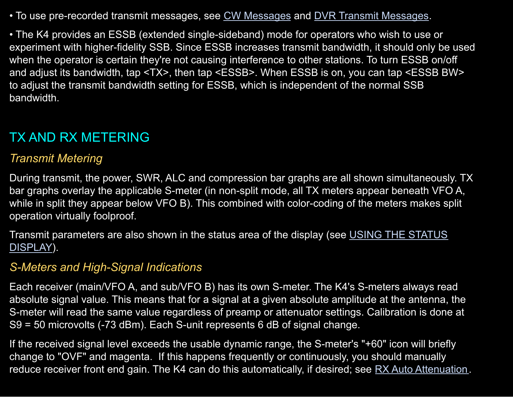• To use pre-recorded transmit messages, see CW [Messages](#page-72-0) and DVR Transmit Messages.

• The K4 provides an ESSB (extended single-sideband) mode for operators who wish to use or experiment with higher-fidelity SSB. Since ESSB increases transmit bandwidth, it should only be used when the operator is certain they're not causing interference to other stations. To turn ESSB on/off and adjust its bandwidth, tap <TX>, then tap <ESSB>. When ESSB is on, you can tap <ESSB BW> to adjust the transmit bandwidth setting for ESSB, which is independent of the normal SSB bandwidth.

# TX AND RX METERING

#### *Transmit Metering*

During transmit, the power, SWR, ALC and compression bar graphs are all shown simultaneously. TX bar graphs overlay the applicable S-meter (in non-split mode, all TX meters appear beneath VFO A, while in split they appear below VFO B). This combined with color-coding of the meters makes split operation virtually foolproof.

Transmit parameters are also shown in the status area of the display (see USING THE [STATUS](#page-73-0) [DISPLAY\)](#page-73-0).

#### *S-Meters and High-Signal Indications*

Each receiver (main/VFO A, and sub/VFO B) has its own S-meter. The K4's S-meters always read absolute signal value. This means that for a signal at a given absolute amplitude at the antenna, the S-meter will read the same value regardless of preamp or attenuator settings. Calibration is done at S9 = 50 microvolts (-73 dBm). Each S-unit represents 6 dB of signal change.

If the received signal level exceeds the usable dynamic range, the S-meter's "+60" icon will briefly change to "OVF" and magenta. If this happens frequently or continuously, you should manually reduce receiver front end gain. The K4 can do this automatically, if desired; see RX Auto [Attenuation.](#page-86-0)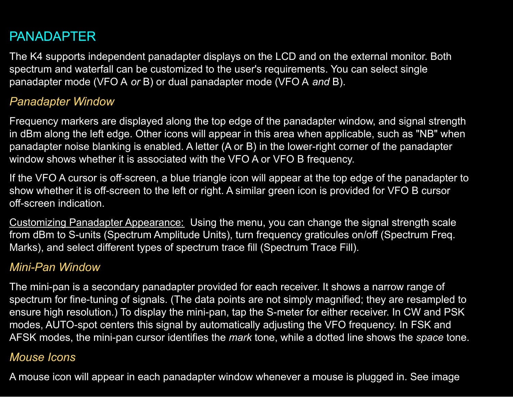# <span id="page-64-0"></span>PANADAPTER

The K4 supports independent panadapter displays on the LCD and on the external monitor. Both spectrum and waterfall can be customized to the user's requirements. You can select single panadapter mode (VFO A *or* B) or dual panadapter mode (VFO A *and* B).

#### *Panadapter Window*

Frequency markers are displayed along the top edge of the panadapter window, and signal strength in dBm along the left edge. Other icons will appear in this area when applicable, such as "NB" when panadapter noise blanking is enabled. A letter (A or B) in the lower-right corner of the panadapter window shows whether it is associated with the VFO A or VFO B frequency.

If the VFO A cursor is off-screen, a blue triangle icon will appear at the top edge of the panadapter to show whether it is off-screen to the left or right. A similar green icon is provided for VFO B cursor off-screen indication.

Customizing Panadapter Appearance: Using the menu, you can change the signal strength scale from dBm to S-units (Spectrum Amplitude Units), turn frequency graticules on/off (Spectrum Freq. Marks), and select different types of spectrum trace fill (Spectrum Trace Fill).

#### *Mini-Pan Window*

The mini-pan is a secondary panadapter provided for each receiver. It shows a narrow range of spectrum for fine-tuning of signals. (The data points are not simply magnified; they are resampled to ensure high resolution.) To display the mini-pan, tap the S-meter for either receiver. In CW and PSK modes, AUTO-spot centers this signal by automatically adjusting the VFO frequency. In FSK and AFSK modes, the mini-pan cursor identifies the *mark* tone, while a dotted line shows the *space* tone.

#### *Mouse Icons*

A mouse icon will appear in each panadapter window whenever a mouse is plugged in. See image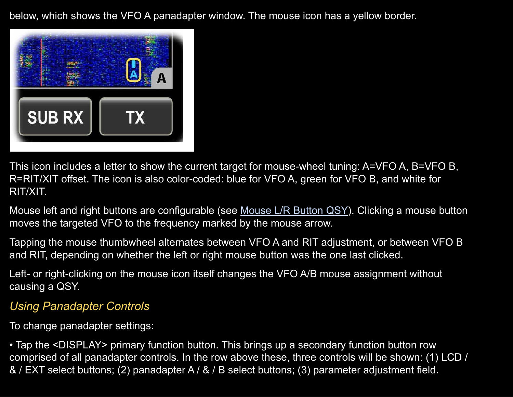below, which shows the VFO A panadapter window. The mouse icon has a yellow border.



This icon includes a letter to show the current target for mouse-wheel tuning: A=VFO A, B=VFO B, R=RIT/XIT offset. The icon is also color-coded: blue for VFO A, green for VFO B, and white for RIT/XIT.

[Mouse](#page-84-0) left and right buttons are configurable (see Mouse L/R Button QSY). Clicking a mouse button moves the targeted VFO to the frequency marked by the mouse arrow.

Tapping the mouse thumbwheel alternates between VFO A and RIT adjustment, or between VFO B and RIT, depending on whether the left or right mouse button was the one last clicked.

Left- or right-clicking on the mouse icon itself changes the VFO A/B mouse assignment without causing a QSY.

# *Using Panadapter Controls*

To change panadapter settings:

• Tap the <DISPLAY> primary function button. This brings up a secondary function button row comprised of all panadapter controls. In the row above these, three controls will be shown: (1) LCD / & / EXT select buttons; (2) panadapter A / & / B select buttons; (3) parameter adjustment field.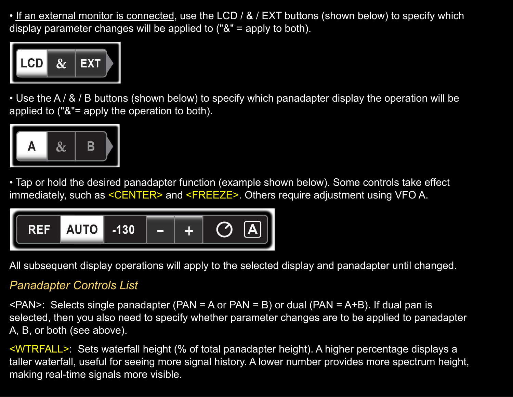• If an external monitor is connected, use the LCD / & / EXT buttons (shown below) to specify which display parameter changes will be applied to ("&" = apply to both).



• Use the A / & / B buttons (shown below) to specify which panadapter display the operation will be applied to ("&"= apply the operation to both).



• Tap or hold the desired panadapter function (example shown below). Some controls take effect immediately, such as <CENTER> and <FREEZE>. Others require adjustment using VFO A.



All subsequent display operations will apply to the selected display and panadapter until changed.

#### *Panadapter Controls List*

 $\epsilon$ PAN>: Selects single panadapter (PAN = A or PAN = B) or dual (PAN = A+B). If dual pan is selected, then you also need to specify whether parameter changes are to be applied to panadapter A, B, or both (see above).

<WTRFALL>: Sets waterfall height (% of total panadapter height). A higher percentage displays a taller waterfall, useful for seeing more signal history. A lower number provides more spectrum height, making real-time signals more visible.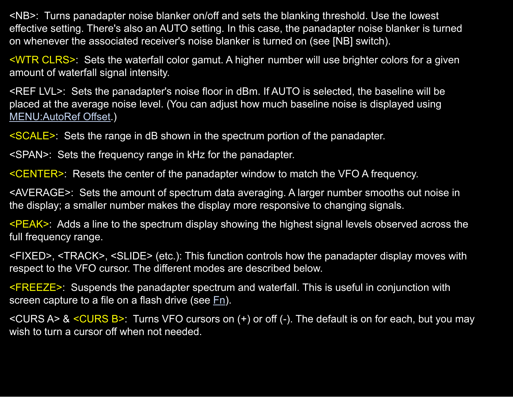<NB>: Turns panadapter noise blanker on/off and sets the blanking threshold. Use the lowest effective setting. There's also an AUTO setting. In this case, the panadapter noise blanker is turned on whenever the associated receiver's noise blanker is turned on (see [NB] switch).

<WTR CLRS>: Sets the waterfall color gamut. A higher number will use brighter colors for a given amount of waterfall signal intensity.

<REF LVL>: Sets the panadapter's noise floor in dBm. If AUTO is selected, the baseline will be placed at the average noise level. (You can adjust how much baseline noise is displayed using [MENU:AutoRef](#page-82-2) Offset.)

<SCALE>: Sets the range in dB shown in the spectrum portion of the panadapter.

<SPAN>: Sets the frequency range in kHz for the panadapter.

<CENTER>: Resets the center of the panadapter window to match the VFO A frequency.

<AVERAGE>: Sets the amount of spectrum data averaging. A larger number smooths out noise in the display; a smaller number makes the display more responsive to changing signals.

<PEAK>: Adds a line to the spectrum display showing the highest signal levels observed across the full frequency range.

<FIXED>, <TRACK>, <SLIDE> (etc.): This function controls how the panadapter display moves with respect to the VFO cursor. The different modes are described below.

<FREEZE>: Suspends the panadapter spectrum and waterfall. This is useful in conjunction with screen capture to a file on a flash drive (see [Fn\)](#page-36-0).

 $\leq$ CURS A> &  $\leq$ CURS B>: Turns VFO cursors on (+) or off (-). The default is on for each, but you may wish to turn a cursor off when not needed.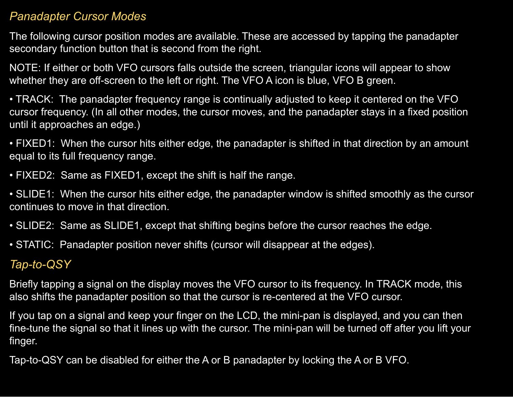#### *Panadapter Cursor Modes*

The following cursor position modes are available. These are accessed by tapping the panadapter secondary function button that is second from the right.

NOTE: If either or both VFO cursors falls outside the screen, triangular icons will appear to show whether they are off-screen to the left or right. The VFO A icon is blue, VFO B green.

• TRACK: The panadapter frequency range is continually adjusted to keep it centered on the VFO cursor frequency. (In all other modes, the cursor moves, and the panadapter stays in a fixed position until it approaches an edge.)

• FIXED1: When the cursor hits either edge, the panadapter is shifted in that direction by an amount equal to its full frequency range.

• FIXED2: Same as FIXED1, except the shift is half the range.

• SLIDE1: When the cursor hits either edge, the panadapter window is shifted smoothly as the cursor continues to move in that direction.

• SLIDE2: Same as SLIDE1, except that shifting begins before the cursor reaches the edge.

• STATIC: Panadapter position never shifts (cursor will disappear at the edges).

#### *Tap-to-QSY*

Briefly tapping a signal on the display moves the VFO cursor to its frequency. In TRACK mode, this also shifts the panadapter position so that the cursor is re-centered at the VFO cursor.

If you tap on a signal and keep your finger on the LCD, the mini-pan is displayed, and you can then fine-tune the signal so that it lines up with the cursor. The mini-pan will be turned off after you lift your finger.

Tap-to-QSY can be disabled for either the A or B panadapter by locking the A or B VFO.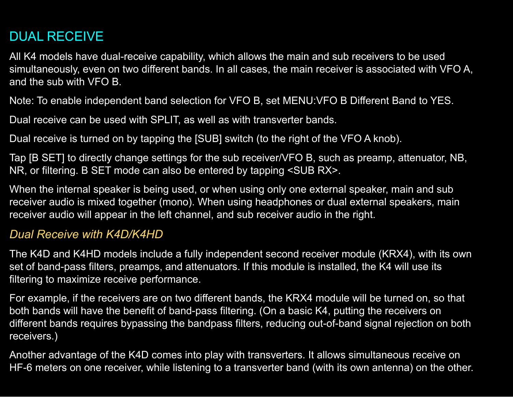# <span id="page-69-0"></span>DUAL RECEIVE

All K4 models have dual-receive capability, which allows the main and sub receivers to be used simultaneously, even on two different bands. In all cases, the main receiver is associated with VFO A, and the sub with VFO B.

Note: To enable independent band selection for VFO B, set MENU:VFO B Different Band to YES.

Dual receive can be used with SPLIT, as well as with transverter bands.

Dual receive is turned on by tapping the [SUB] switch (to the right of the VFO A knob).

Tap [B SET] to directly change settings for the sub receiver/VFO B, such as preamp, attenuator, NB, NR, or filtering. B SET mode can also be entered by tapping <SUB RX>.

When the internal speaker is being used, or when using only one external speaker, main and sub receiver audio is mixed together (mono). When using headphones or dual external speakers, main receiver audio will appear in the left channel, and sub receiver audio in the right.

#### *Dual Receive with K4D/K4HD*

The K4D and K4HD models include a fully independent second receiver module (KRX4), with its own set of band-pass filters, preamps, and attenuators. If this module is installed, the K4 will use its filtering to maximize receive performance.

For example, if the receivers are on two different bands, the KRX4 module will be turned on, so that both bands will have the benefit of band-pass filtering. (On a basic K4, putting the receivers on different bands requires bypassing the bandpass filters, reducing out-of-band signal rejection on both receivers.)

Another advantage of the K4D comes into play with transverters. It allows simultaneous receive on HF-6 meters on one receiver, while listening to a transverter band (with its own antenna) on the other.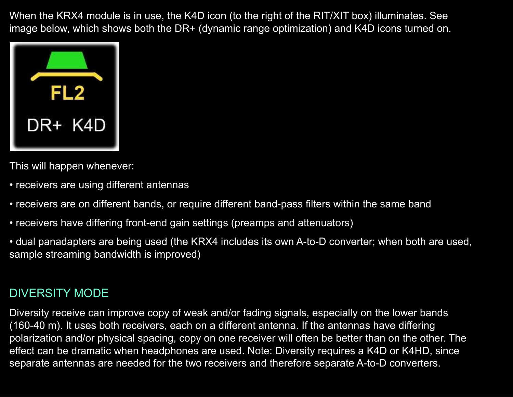When the KRX4 module is in use, the K4D icon (to the right of the RIT/XIT box) illuminates. See image below, which shows both the DR+ (dynamic range optimization) and K4D icons turned on.



This will happen whenever:

- receivers are using different antennas
- receivers are on different bands, or require different band-pass filters within the same band
- receivers have differing front-end gain settings (preamps and attenuators)

• dual panadapters are being used (the KRX4 includes its own A-to-D converter; when both are used, sample streaming bandwidth is improved)

#### DIVERSITY MODE

Diversity receive can improve copy of weak and/or fading signals, especially on the lower bands (160-40 m). It uses both receivers, each on a different antenna. If the antennas have differing polarization and/or physical spacing, copy on one receiver will often be better than on the other. The effect can be dramatic when headphones are used. Note: Diversity requires a K4D or K4HD, since separate antennas are needed for the two receivers and therefore separate A-to-D converters.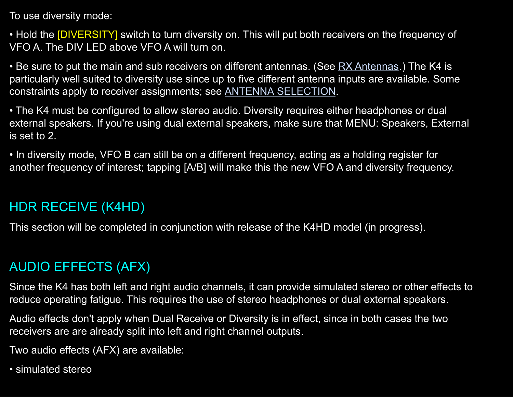To use diversity mode:

• Hold the **[DIVERSITY]** switch to turn diversity on. This will put both receivers on the frequency of VFO A. The DIV LED above VFO A will turn on.

• Be sure to put the main and sub receivers on different antennas. (See RX [Antennas](#page-43-1).) The K4 is particularly well suited to diversity use since up to five different antenna inputs are available. Some constraints apply to receiver assignments; see ANTENNA [SELECTION](#page-43-0).

• The K4 must be configured to allow stereo audio. Diversity requires either headphones or dual external speakers. If you're using dual external speakers, make sure that MENU: Speakers, External is set to 2.

• In diversity mode, VFO B can still be on a different frequency, acting as a holding register for another frequency of interest; tapping [A/B] will make this the new VFO A and diversity frequency.

# <span id="page-71-1"></span>HDR RECEIVE (K4HD)

This section will be completed in conjunction with release of the K4HD model (in progress).

# <span id="page-71-0"></span>AUDIO EFFECTS (AFX)

Since the K4 has both left and right audio channels, it can provide simulated stereo or other effects to reduce operating fatigue. This requires the use of stereo headphones or dual external speakers.

Audio effects don't apply when Dual Receive or Diversity is in effect, since in both cases the two receivers are are already split into left and right channel outputs.

Two audio effects (AFX) are available:

• simulated stereo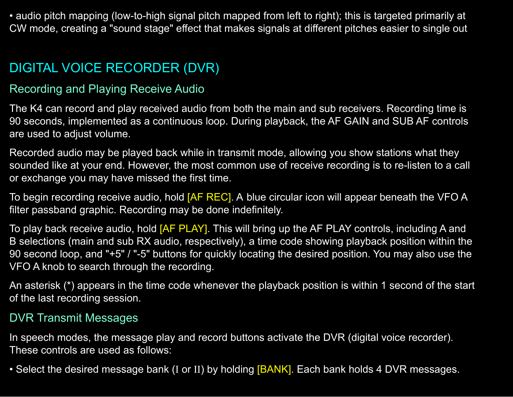• audio pitch mapping (low-to-high signal pitch mapped from left to right); this is targeted primarily at CW mode, creating a "sound stage" effect that makes signals at different pitches easier to single out

# DIGITAL VOICE RECORDER (DVR)

#### Recording and Playing Receive Audio

The K4 can record and play received audio from both the main and sub receivers. Recording time is 90 seconds, implemented as a continuous loop. During playback, the AF GAIN and SUB AF controls are used to adjust volume.

Recorded audio may be played back while in transmit mode, allowing you show stations what they sounded like at your end. However, the most common use of receive recording is to re-listen to a call or exchange you may have missed the first time.

To begin recording receive audio, hold **[AF REC]**. A blue circular icon will appear beneath the VFO A filter passband graphic. Recording may be done indefinitely.

To play back receive audio, hold [AF PLAY]. This will bring up the AF PLAY controls, including A and B selections (main and sub RX audio, respectively), a time code showing playback position within the 90 second loop, and "+5" / "-5" buttons for quickly locating the desired position. You may also use the VFO A knob to search through the recording.

An asterisk (\*) appears in the time code whenever the playback position is within 1 second of the start of the last recording session.

#### DVR Transmit Messages

In speech modes, the message play and record buttons activate the DVR (digital voice recorder). These controls are used as follows:

• Select the desired message bank (I or II) by holding [BANK]. Each bank holds 4 DVR messages.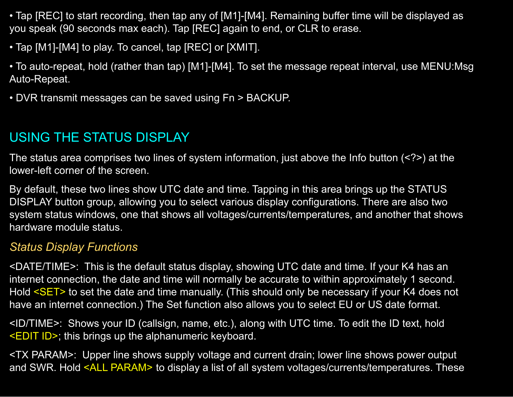• Tap [REC] to start recording, then tap any of [M1]-[M4]. Remaining buffer time will be displayed as you speak (90 seconds max each). Tap [REC] again to end, or CLR to erase.

- Tap [M1]-[M4] to play. To cancel, tap [REC] or [XMIT].
- To auto-repeat, hold (rather than tap) [M1]-[M4]. To set the message repeat interval, use MENU:Msg Auto-Repeat.
- DVR transmit messages can be saved using Fn > BACKUP.

# USING THE STATUS DISPLAY

The status area comprises two lines of system information, just above the Info button (<?>) at the lower-left corner of the screen.

By default, these two lines show UTC date and time. Tapping in this area brings up the STATUS DISPLAY button group, allowing you to select various display configurations. There are also two system status windows, one that shows all voltages/currents/temperatures, and another that shows hardware module status.

## *Status Display Functions*

<DATE/TIME>: This is the default status display, showing UTC date and time. If your K4 has an internet connection, the date and time will normally be accurate to within approximately 1 second. Hold <SET> to set the date and time manually. (This should only be necessary if your K4 does not have an internet connection.) The Set function also allows you to select EU or US date format.

<ID/TIME>: Shows your ID (callsign, name, etc.), along with UTC time. To edit the ID text, hold <EDIT ID>; this brings up the alphanumeric keyboard.

<TX PARAM>: Upper line shows supply voltage and current drain; lower line shows power output and SWR. Hold <ALL PARAM> to display a list of all system voltages/currents/temperatures. These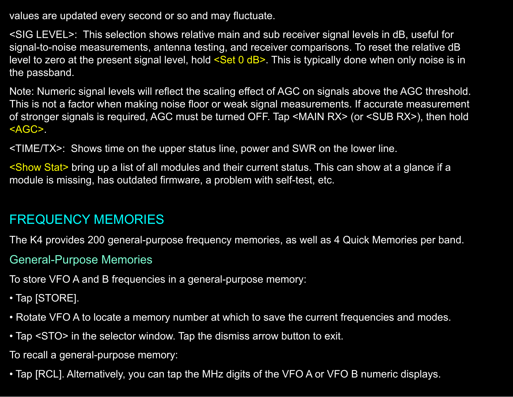values are updated every second or so and may fluctuate.

<SIG LEVEL>: This selection shows relative main and sub receiver signal levels in dB, useful for signal-to-noise measurements, antenna testing, and receiver comparisons. To reset the relative dB level to zero at the present signal level, hold <Set 0 dB>. This is typically done when only noise is in the passband.

Note: Numeric signal levels will reflect the scaling effect of AGC on signals above the AGC threshold. This is not a factor when making noise floor or weak signal measurements. If accurate measurement of stronger signals is required, AGC must be turned OFF. Tap <MAIN RX> (or <SUB RX>), then hold <AGC>.

<TIME/TX>: Shows time on the upper status line, power and SWR on the lower line.

<Show Stat> bring up a list of all modules and their current status. This can show at a glance if a module is missing, has outdated firmware, a problem with self-test, etc.

# FREQUENCY MEMORIES

The K4 provides 200 general-purpose frequency memories, as well as 4 Quick Memories per band.

### General-Purpose Memories

To store VFO A and B frequencies in a general-purpose memory:

- Tap [STORE].
- Rotate VFO A to locate a memory number at which to save the current frequencies and modes.
- Tap <STO> in the selector window. Tap the dismiss arrow button to exit.

To recall a general-purpose memory:

• Tap [RCL]. Alternatively, you can tap the MHz digits of the VFO A or VFO B numeric displays.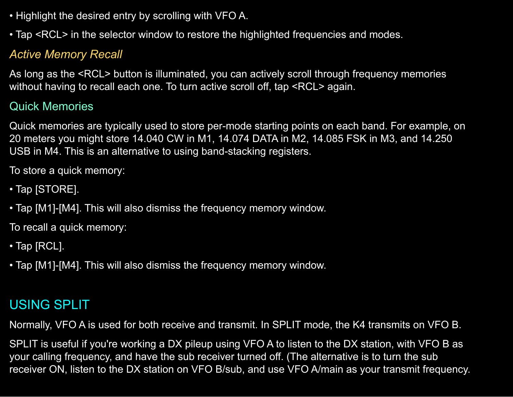- Highlight the desired entry by scrolling with VFO A.
- Tap <RCL> in the selector window to restore the highlighted frequencies and modes.

## *Active Memory Recall*

As long as the <RCL> button is illuminated, you can actively scroll through frequency memories without having to recall each one. To turn active scroll off, tap <RCL> again.

## Quick Memories

Quick memories are typically used to store per-mode starting points on each band. For example, on 20 meters you might store 14.040 CW in M1, 14.074 DATA in M2, 14.085 FSK in M3, and 14.250 USB in M4. This is an alternative to using band-stacking registers.

To store a quick memory:

- Tap [STORE].
- Tap [M1]-[M4]. This will also dismiss the frequency memory window.

To recall a quick memory:

- Tap [RCL].
- Tap [M1]-[M4]. This will also dismiss the frequency memory window.

# USING SPLIT

Normally, VFO A is used for both receive and transmit. In SPLIT mode, the K4 transmits on VFO B.

SPLIT is useful if you're working a DX pileup using VFO A to listen to the DX station, with VFO B as your calling frequency, and have the sub receiver turned off. (The alternative is to turn the sub receiver ON, listen to the DX station on VFO B/sub, and use VFO A/main as your transmit frequency.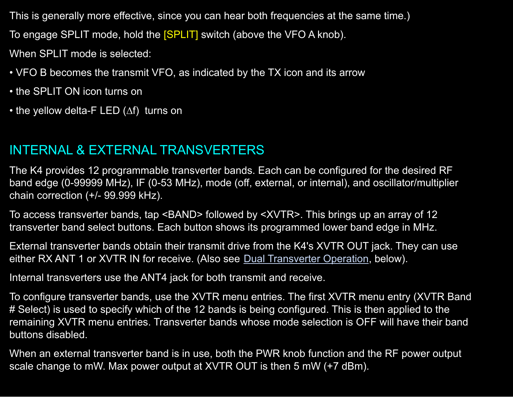This is generally more effective, since you can hear both frequencies at the same time.) To engage SPLIT mode, hold the **[SPLIT]** switch (above the VFO A knob).

When SPLIT mode is selected:

- VFO B becomes the transmit VFO, as indicated by the TX icon and its arrow
- the SPLIT ON icon turns on
- the yellow delta-F LED (∆f) turns on

# <span id="page-76-0"></span>INTERNAL & EXTERNAL TRANSVERTERS

The K4 provides 12 programmable transverter bands. Each can be configured for the desired RF band edge (0-99999 MHz), IF (0-53 MHz), mode (off, external, or internal), and oscillator/multiplier chain correction (+/- 99.999 kHz).

To access transverter bands, tap <BAND> followed by <XVTR>. This brings up an array of 12 transverter band select buttons. Each button shows its programmed lower band edge in MHz.

External transverter bands obtain their transmit drive from the K4's XVTR OUT jack. They can use either RX ANT 1 or XVTR IN for receive. (Also see **Dual [Transverter](#page-77-0) Operation**, below).

Internal transverters use the ANT4 jack for both transmit and receive.

To configure transverter bands, use the XVTR menu entries. The first XVTR menu entry (XVTR Band # Select) is used to specify which of the 12 bands is being configured. This is then applied to the remaining XVTR menu entries. Transverter bands whose mode selection is OFF will have their band buttons disabled.

When an external transverter band is in use, both the PWR knob function and the RF power output scale change to mW. Max power output at XVTR OUT is then 5 mW (+7 dBm).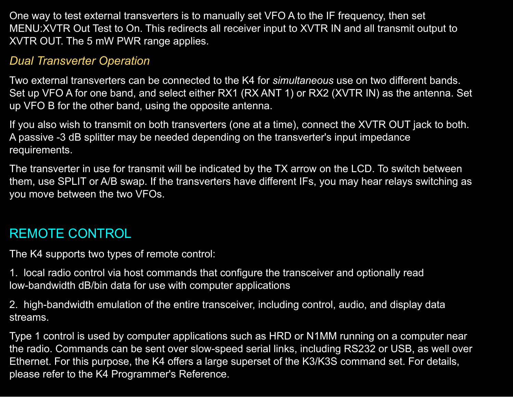One way to test external transverters is to manually set VFO A to the IF frequency, then set MENU:XVTR Out Test to On. This redirects all receiver input to XVTR IN and all transmit output to XVTR OUT. The 5 mW PWR range applies.

### <span id="page-77-0"></span>*Dual Transverter Operation*

Two external transverters can be connected to the K4 for *simultaneous* use on two different bands. Set up VFO A for one band, and select either RX1 (RX ANT 1) or RX2 (XVTR IN) as the antenna. Set up VFO B for the other band, using the opposite antenna.

If you also wish to transmit on both transverters (one at a time), connect the XVTR OUT jack to both. A passive -3 dB splitter may be needed depending on the transverter's input impedance requirements.

The transverter in use for transmit will be indicated by the TX arrow on the LCD. To switch between them, use SPLIT or A/B swap. If the transverters have different IFs, you may hear relays switching as you move between the two VFOs.

# REMOTE CONTROL

The K4 supports two types of remote control:

1. local radio control via host commands that configure the transceiver and optionally read low-bandwidth dB/bin data for use with computer applications

2. high-bandwidth emulation of the entire transceiver, including control, audio, and display data streams.

Type 1 control is used by computer applications such as HRD or N1MM running on a computer near the radio. Commands can be sent over slow-speed serial links, including RS232 or USB, as well over Ethernet. For this purpose, the K4 offers a large superset of the K3/K3S command set. For details, please refer to the K4 Programmer's Reference.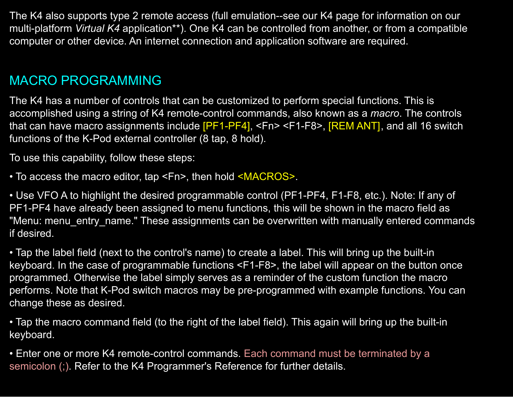The K4 also supports type 2 remote access (full emulation--see our K4 page for information on our multi-platform *Virtual K4* application\*\*). One K4 can be controlled from another, or from a compatible computer or other device. An internet connection and application software are required.

# <span id="page-78-0"></span>MACRO PROGRAMMING

The K4 has a number of controls that can be customized to perform special functions. This is accomplished using a string of K4 remote-control commands, also known as a *macro*. The controls that can have macro assignments include [PF1-PF4], <Fn> <F1-F8>, [REM ANT], and all 16 switch functions of the K-Pod external controller (8 tap, 8 hold).

To use this capability, follow these steps:

• To access the macro editor, tap <Fn>, then hold <MACROS>.

• Use VFO A to highlight the desired programmable control (PF1-PF4, F1-F8, etc.). Note: If any of PF1-PF4 have already been assigned to menu functions, this will be shown in the macro field as "Menu: menu entry name." These assignments can be overwritten with manually entered commands if desired.

• Tap the label field (next to the control's name) to create a label. This will bring up the built-in keyboard. In the case of programmable functions <F1-F8>, the label will appear on the button once programmed. Otherwise the label simply serves as a reminder of the custom function the macro performs. Note that K-Pod switch macros may be pre-programmed with example functions. You can change these as desired.

• Tap the macro command field (to the right of the label field). This again will bring up the built-in keyboard.

• Enter one or more K4 remote-control commands. Each command must be terminated by a semicolon (;). Refer to the K4 Programmer's Reference for further details.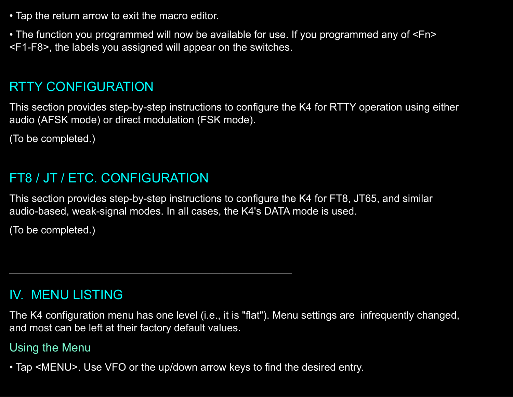• Tap the return arrow to exit the macro editor.

• The function you programmed will now be available for use. If you programmed any of <Fn> <F1-F8>, the labels you assigned will appear on the switches.

# RTTY CONFIGURATION

This section provides step-by-step instructions to configure the K4 for RTTY operation using either audio (AFSK mode) or direct modulation (FSK mode).

(To be completed.)

# FT8 / JT / ETC. CONFIGURATION

This section provides step-by-step instructions to configure the K4 for FT8, JT65, and similar audio-based, weak-signal modes. In all cases, the K4's DATA mode is used.

(To be completed.)

# IV. MENU LISTING

The K4 configuration menu has one level (i.e., it is "flat"). Menu settings are infrequently changed, and most can be left at their factory default values.

## Using the Menu

• Tap <MENU>. Use VFO or the up/down arrow keys to find the desired entry.

 $\mathcal{L}_\mathcal{L}$  , and the contribution of the contribution of  $\mathcal{L}_\mathcal{L}$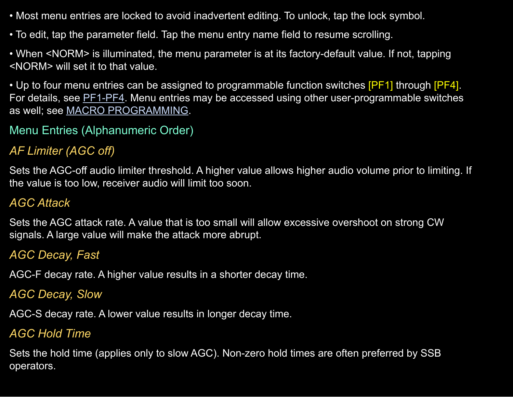- Most menu entries are locked to avoid inadvertent editing. To unlock, tap the lock symbol.
- To edit, tap the parameter field. Tap the menu entry name field to resume scrolling.

• When <NORM> is illuminated, the menu parameter is at its factory-default value. If not, tapping <NORM> will set it to that value.

• Up to four menu entries can be assigned to programmable function switches [PF1] through [PF4]. For details, see **[PF1-PF4](#page-35-0)**. Menu entries may be accessed using other user-programmable switches as well; see MACRO [PROGRAMMING.](#page-78-0)

## Menu Entries (Alphanumeric Order)

## *AF Limiter (AGC off)*

Sets the AGC-off audio limiter threshold. A higher value allows higher audio volume prior to limiting. If the value is too low, receiver audio will limit too soon.

## *AGC Attack*

Sets the AGC attack rate. A value that is too small will allow excessive overshoot on strong CW signals. A large value will make the attack more abrupt.

## *AGC Decay, Fast*

AGC-F decay rate. A higher value results in a shorter decay time.

#### *AGC Decay, Slow*

AGC-S decay rate. A lower value results in longer decay time.

#### *AGC Hold Time*

Sets the hold time (applies only to slow AGC). Non-zero hold times are often preferred by SSB operators.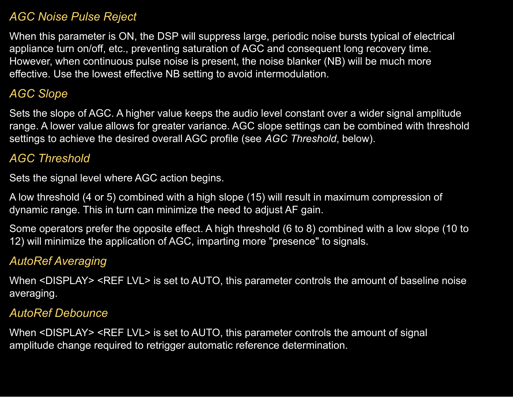#### *AGC Noise Pulse Reject*

When this parameter is ON, the DSP will suppress large, periodic noise bursts typical of electrical appliance turn on/off, etc., preventing saturation of AGC and consequent long recovery time. However, when continuous pulse noise is present, the noise blanker (NB) will be much more effective. Use the lowest effective NB setting to avoid intermodulation.

### *AGC Slope*

Sets the slope of AGC. A higher value keeps the audio level constant over a wider signal amplitude range. A lower value allows for greater variance. AGC slope settings can be combined with threshold settings to achieve the desired overall AGC profile (see *AGC Threshold*, below).

#### *AGC Threshold*

Sets the signal level where AGC action begins.

A low threshold (4 or 5) combined with a high slope (15) will result in maximum compression of dynamic range. This in turn can minimize the need to adjust AF gain.

Some operators prefer the opposite effect. A high threshold (6 to 8) combined with a low slope (10 to 12) will minimize the application of AGC, imparting more "presence" to signals.

### *AutoRef Averaging*

When <DISPLAY> <REF LVL> is set to AUTO, this parameter controls the amount of baseline noise averaging.

#### *AutoRef Debounce*

When <DISPLAY> <REF LVL> is set to AUTO, this parameter controls the amount of signal amplitude change required to retrigger automatic reference determination.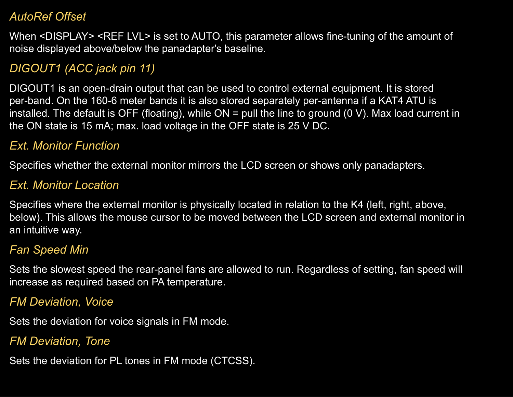#### *AutoRef Offset*

When <DISPLAY> <REF LVL> is set to AUTO, this parameter allows fine-tuning of the amount of noise displayed above/below the panadapter's baseline.

## *DIGOUT1 (ACC jack pin 11)*

DIGOUT1 is an open-drain output that can be used to control external equipment. It is stored per-band. On the 160-6 meter bands it is also stored separately per-antenna if a KAT4 ATU is installed. The default is OFF (floating), while  $ON =$  pull the line to ground (0 V). Max load current in the ON state is 15 mA; max. load voltage in the OFF state is 25 V DC.

## <span id="page-82-0"></span>*Ext. Monitor Function*

Specifies whether the external monitor mirrors the LCD screen or shows only panadapters.

### <span id="page-82-1"></span>*Ext. Monitor Location*

Specifies where the external monitor is physically located in relation to the K4 (left, right, above, below). This allows the mouse cursor to be moved between the LCD screen and external monitor in an intuitive way.

### *Fan Speed Min*

Sets the slowest speed the rear-panel fans are allowed to run. Regardless of setting, fan speed will increase as required based on PA temperature.

#### *FM Deviation, Voice*

Sets the deviation for voice signals in FM mode.

### *FM Deviation, Tone*

Sets the deviation for PL tones in FM mode (CTCSS).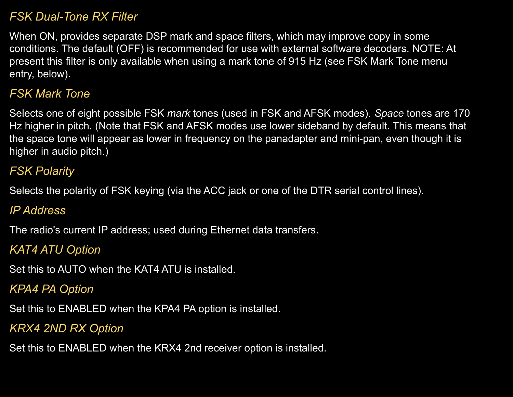#### *FSK Dual-Tone RX Filter*

When ON, provides separate DSP mark and space filters, which may improve copy in some conditions. The default (OFF) is recommended for use with external software decoders. NOTE: At present this filter is only available when using a mark tone of 915 Hz (see FSK Mark Tone menu entry, below).

### *FSK Mark Tone*

Selects one of eight possible FSK *mark* tones (used in FSK and AFSK modes). *Space* tones are 170 Hz higher in pitch. (Note that FSK and AFSK modes use lower sideband by default. This means that the space tone will appear as lower in frequency on the panadapter and mini-pan, even though it is higher in audio pitch.)

## *FSK Polarity*

Selects the polarity of FSK keying (via the ACC jack or one of the DTR serial control lines).

#### *IP Address*

The radio's current IP address; used during Ethernet data transfers.

## *KAT4 ATU Option*

Set this to AUTO when the KAT4 ATU is installed.

## *KPA4 PA Option*

Set this to ENABLED when the KPA4 PA option is installed.

### *KRX4 2ND RX Option*

Set this to ENABLED when the KRX4 2nd receiver option is installed.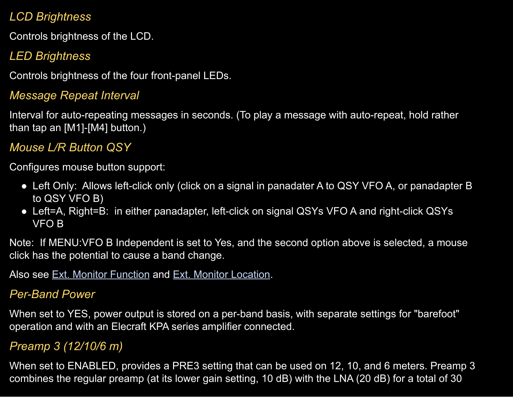## *LCD Brightness*

Controls brightness of the LCD.

# *LED Brightness*

Controls brightness of the four front-panel LEDs.

## *Message Repeat Interval*

Interval for auto-repeating messages in seconds. (To play a message with auto-repeat, hold rather than tap an [M1]-[M4] button.)

## *Mouse L/R Button QSY*

Configures mouse button support:

- Left Only: Allows left-click only (click on a signal in panadater A to QSY VFO A, or panadapter B to QSY VFO B)
- Left=A, Right=B: in either panadapter, left-click on signal QSYs VFO A and right-click QSYs VFO B

Note: If MENU:VFO B Independent is set to Yes, and the second option above is selected, a mouse click has the potential to cause a band change.

Also see Ext. Monitor [Function](#page-82-0) and Ext. Monitor [Location](#page-82-1).

## *Per-Band Power*

When set to YES, power output is stored on a per-band basis, with separate settings for "barefoot" operation and with an Elecraft KPA series amplifier connected.

## *Preamp 3 (12/10/6 m)*

When set to ENABLED, provides a PRE3 setting that can be used on 12, 10, and 6 meters. Preamp 3 combines the regular preamp (at its lower gain setting, 10 dB) with the LNA (20 dB) for a total of 30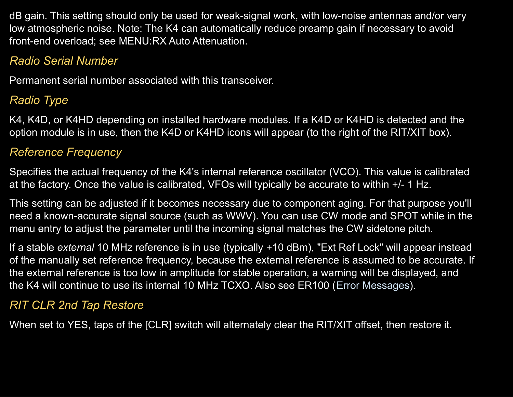dB gain. This setting should only be used for weak-signal work, with low-noise antennas and/or very low atmospheric noise. Note: The K4 can automatically reduce preamp gain if necessary to avoid front-end overload; see MENU:RX Auto Attenuation.

## *Radio Serial Number*

Permanent serial number associated with this transceiver.

## *Radio Type*

K4, K4D, or K4HD depending on installed hardware modules. If a K4D or K4HD is detected and the option module is in use, then the K4D or K4HD icons will appear (to the right of the RIT/XIT box).

## *Reference Frequency*

Specifies the actual frequency of the K4's internal reference oscillator (VCO). This value is calibrated at the factory. Once the value is calibrated, VFOs will typically be accurate to within +/- 1 Hz.

This setting can be adjusted if it becomes necessary due to component aging. For that purpose you'll need a known-accurate signal source (such as WWV). You can use CW mode and SPOT while in the menu entry to adjust the parameter until the incoming signal matches the CW sidetone pitch.

If a stable *external* 10 MHz reference is in use (typically +10 dBm), "Ext Ref Lock" will appear instead of the manually set reference frequency, because the external reference is assumed to be accurate. If the external reference is too low in amplitude for stable operation, a warning will be displayed, and the K4 will continue to use its internal 10 MHz TCXO. Also see ER100 (Error [Messages](#page-100-0)).

## *RIT CLR 2nd Tap Restore*

When set to YES, taps of the [CLR] switch will alternately clear the RIT/XIT offset, then restore it.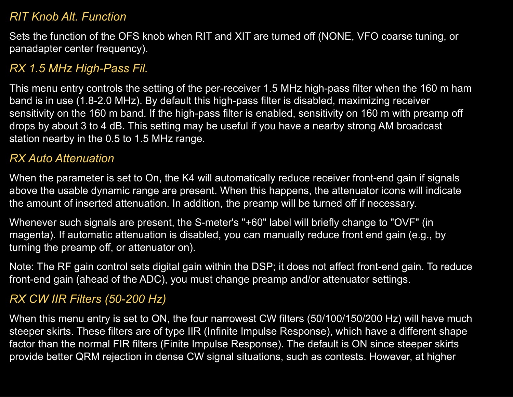#### *RIT Knob Alt. Function*

Sets the function of the OFS knob when RIT and XIT are turned off (NONE, VFO coarse tuning, or panadapter center frequency).

## *RX 1.5 MHz High-Pass Fil.*

This menu entry controls the setting of the per-receiver 1.5 MHz high-pass filter when the 160 m ham band is in use (1.8-2.0 MHz). By default this high-pass filter is disabled, maximizing receiver sensitivity on the 160 m band. If the high-pass filter is enabled, sensitivity on 160 m with preamp off drops by about 3 to 4 dB. This setting may be useful if you have a nearby strong AM broadcast station nearby in the 0.5 to 1.5 MHz range.

### <span id="page-86-0"></span>*RX Auto Attenuation*

When the parameter is set to On, the K4 will automatically reduce receiver front-end gain if signals above the usable dynamic range are present. When this happens, the attenuator icons will indicate the amount of inserted attenuation. In addition, the preamp will be turned off if necessary.

Whenever such signals are present, the S-meter's "+60" label will briefly change to "OVF" (in magenta). If automatic attenuation is disabled, you can manually reduce front end gain (e.g., by turning the preamp off, or attenuator on).

Note: The RF gain control sets digital gain within the DSP; it does not affect front-end gain. To reduce front-end gain (ahead of the ADC), you must change preamp and/or attenuator settings.

## *RX CW IIR Filters (50-200 Hz)*

When this menu entry is set to ON, the four narrowest CW filters (50/100/150/200 Hz) will have much steeper skirts. These filters are of type IIR (Infinite Impulse Response), which have a different shape factor than the normal FIR filters (Finite Impulse Response). The default is ON since steeper skirts provide better QRM rejection in dense CW signal situations, such as contests. However, at higher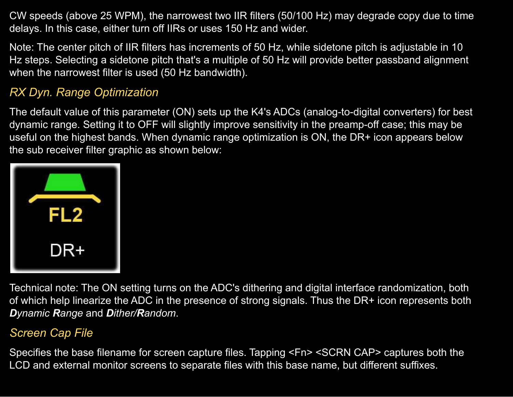CW speeds (above 25 WPM), the narrowest two IIR filters (50/100 Hz) may degrade copy due to time delays. In this case, either turn off IIRs or uses 150 Hz and wider.

Note: The center pitch of IIR filters has increments of 50 Hz, while sidetone pitch is adjustable in 10 Hz steps. Selecting a sidetone pitch that's a multiple of 50 Hz will provide better passband alignment when the narrowest filter is used (50 Hz bandwidth).

### *RX Dyn. Range Optimization*

The default value of this parameter (ON) sets up the K4's ADCs (analog-to-digital converters) for best dynamic range. Setting it to OFF will slightly improve sensitivity in the preamp-off case; this may be useful on the highest bands. When dynamic range optimization is ON, the DR+ icon appears below the sub receiver filter graphic as shown below:



Technical note: The ON setting turns on the ADC's dithering and digital interface randomization, both of which help linearize the ADC in the presence of strong signals. Thus the DR+ icon represents both *Dynamic Range* and *Dither/Random*.

## *Screen Cap File*

Specifies the base filename for screen capture files. Tapping <Fn> <SCRN CAP> captures both the LCD and external monitor screens to separate files with this base name, but different suffixes.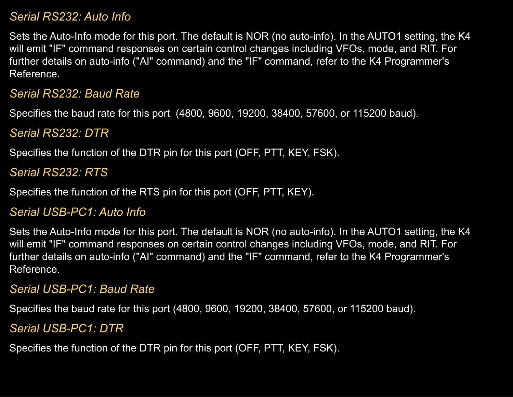#### *Serial RS232: Auto Info*

Sets the Auto-Info mode for this port. The default is NOR (no auto-info). In the AUTO1 setting, the K4 will emit "IF" command responses on certain control changes including VFOs, mode, and RIT. For further details on auto-info ("AI" command) and the "IF" command, refer to the K4 Programmer's Reference.

#### *Serial RS232: Baud Rate*

Specifies the baud rate for this port (4800, 9600, 19200, 38400, 57600, or 115200 baud).

#### *Serial RS232: DTR*

Specifies the function of the DTR pin for this port (OFF, PTT, KEY, FSK).

### *Serial RS232: RTS*

Specifies the function of the RTS pin for this port (OFF, PTT, KEY).

#### *Serial USB-PC1: Auto Info*

Sets the Auto-Info mode for this port. The default is NOR (no auto-info). In the AUTO1 setting, the K4 will emit "IF" command responses on certain control changes including VFOs, mode, and RIT. For further details on auto-info ("AI" command) and the "IF" command, refer to the K4 Programmer's Reference.

#### *Serial USB-PC1: Baud Rate*

Specifies the baud rate for this port (4800, 9600, 19200, 38400, 57600, or 115200 baud).

#### *Serial USB-PC1: DTR*

Specifies the function of the DTR pin for this port (OFF, PTT, KEY, FSK).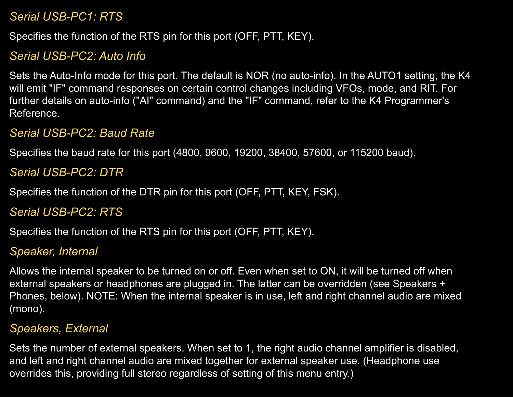#### *Serial USB-PC1: RTS*

Specifies the function of the RTS pin for this port (OFF, PTT, KEY).

## *Serial USB-PC2: Auto Info*

Sets the Auto-Info mode for this port. The default is NOR (no auto-info). In the AUTO1 setting, the K4 will emit "IF" command responses on certain control changes including VFOs, mode, and RIT. For further details on auto-info ("AI" command) and the "IF" command, refer to the K4 Programmer's Reference.

#### *Serial USB-PC2: Baud Rate*

Specifies the baud rate for this port (4800, 9600, 19200, 38400, 57600, or 115200 baud).

#### *Serial USB-PC2: DTR*

Specifies the function of the DTR pin for this port (OFF, PTT, KEY, FSK).

*Serial USB-PC2: RTS*

Specifies the function of the RTS pin for this port (OFF, PTT, KEY).

#### *Speaker, Internal*

Allows the internal speaker to be turned on or off. Even when set to ON, it will be turned off when external speakers or headphones are plugged in. The latter can be overridden (see Speakers + Phones, below). NOTE: When the internal speaker is in use, left and right channel audio are mixed (mono).

#### *Speakers, External*

Sets the number of external speakers. When set to 1, the right audio channel amplifier is disabled, and left and right channel audio are mixed together for external speaker use. (Headphone use overrides this, providing full stereo regardless of setting of this menu entry.)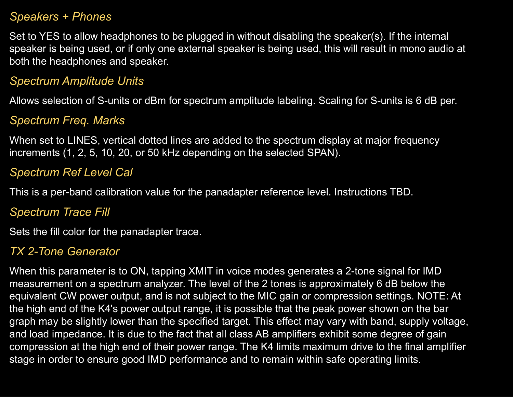#### *Speakers + Phones*

Set to YES to allow headphones to be plugged in without disabling the speaker(s). If the internal speaker is being used, or if only one external speaker is being used, this will result in mono audio at both the headphones and speaker.

#### *Spectrum Amplitude Units*

Allows selection of S-units or dBm for spectrum amplitude labeling. Scaling for S-units is 6 dB per.

### *Spectrum Freq. Marks*

When set to LINES, vertical dotted lines are added to the spectrum display at major frequency increments (1, 2, 5, 10, 20, or 50 kHz depending on the selected SPAN).

## *Spectrum Ref Level Cal*

This is a per-band calibration value for the panadapter reference level. Instructions TBD.

### *Spectrum Trace Fill*

Sets the fill color for the panadapter trace.

### *TX 2-Tone Generator*

When this parameter is to ON, tapping XMIT in voice modes generates a 2-tone signal for IMD measurement on a spectrum analyzer. The level of the 2 tones is approximately 6 dB below the equivalent CW power output, and is not subject to the MIC gain or compression settings. NOTE: At the high end of the K4's power output range, it is possible that the peak power shown on the bar graph may be slightly lower than the specified target. This effect may vary with band, supply voltage, and load impedance. It is due to the fact that all class AB amplifiers exhibit some degree of gain compression at the high end of their power range. The K4 limits maximum drive to the final amplifier stage in order to ensure good IMD performance and to remain within safe operating limits.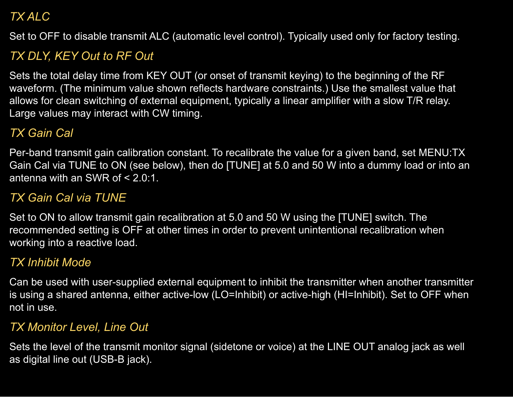## *TX ALC*

Set to OFF to disable transmit ALC (automatic level control). Typically used only for factory testing.

# *TX DLY, KEY Out to RF Out*

Sets the total delay time from KEY OUT (or onset of transmit keying) to the beginning of the RF waveform. (The minimum value shown reflects hardware constraints.) Use the smallest value that allows for clean switching of external equipment, typically a linear amplifier with a slow T/R relay. Large values may interact with CW timing.

## *TX Gain Cal*

Per-band transmit gain calibration constant. To recalibrate the value for a given band, set MENU:TX Gain Cal via TUNE to ON (see below), then do [TUNE] at 5.0 and 50 W into a dummy load or into an antenna with an SWR of < 2.0:1.

## *TX Gain Cal via TUNE*

Set to ON to allow transmit gain recalibration at 5.0 and 50 W using the [TUNE] switch. The recommended setting is OFF at other times in order to prevent unintentional recalibration when working into a reactive load.

## *TX Inhibit Mode*

Can be used with user-supplied external equipment to inhibit the transmitter when another transmitter is using a shared antenna, either active-low (LO=Inhibit) or active-high (HI=Inhibit). Set to OFF when not in use.

## *TX Monitor Level, Line Out*

Sets the level of the transmit monitor signal (sidetone or voice) at the LINE OUT analog jack as well as digital line out (USB-B jack).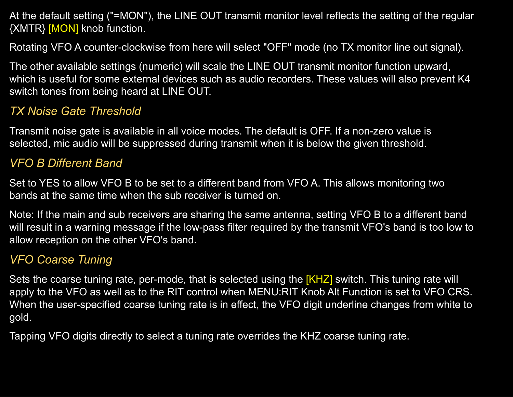At the default setting ("=MON"), the LINE OUT transmit monitor level reflects the setting of the regular {XMTR} [MON] knob function.

Rotating VFO A counter-clockwise from here will select "OFF" mode (no TX monitor line out signal).

The other available settings (numeric) will scale the LINE OUT transmit monitor function upward, which is useful for some external devices such as audio recorders. These values will also prevent K4 switch tones from being heard at LINE OUT.

### *TX Noise Gate Threshold*

Transmit noise gate is available in all voice modes. The default is OFF. If a non-zero value is selected, mic audio will be suppressed during transmit when it is below the given threshold.

### *VFO B Different Band*

Set to YES to allow VFO B to be set to a different band from VFO A. This allows monitoring two bands at the same time when the sub receiver is turned on.

Note: If the main and sub receivers are sharing the same antenna, setting VFO B to a different band will result in a warning message if the low-pass filter required by the transmit VFO's band is too low to allow reception on the other VFO's band.

## *VFO Coarse Tuning*

Sets the coarse tuning rate, per-mode, that is selected using the [KHZ] switch. This tuning rate will apply to the VFO as well as to the RIT control when MENU:RIT Knob Alt Function is set to VFO CRS. When the user-specified coarse tuning rate is in effect, the VFO digit underline changes from white to gold.

Tapping VFO digits directly to select a tuning rate overrides the KHZ coarse tuning rate.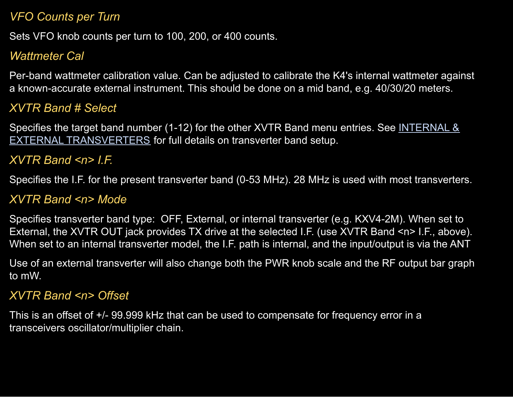#### *VFO Counts per Turn*

Sets VFO knob counts per turn to 100, 200, or 400 counts.

## *Wattmeter Cal*

Per-band wattmeter calibration value. Can be adjusted to calibrate the K4's internal wattmeter against a known-accurate external instrument. This should be done on a mid band, e.g. 40/30/20 meters.

### *XVTR Band # Select*

Specifies the target band number (1-12) for the other XVTR Band menu entries. See [INTERNAL](#page-76-0) & EXTERNAL [TRANSVERTERS](#page-76-0) for full details on transverter band setup.

### *XVTR Band <n> I.F.*

Specifies the I.F. for the present transverter band (0-53 MHz). 28 MHz is used with most transverters.

#### *XVTR Band <n> Mode*

Specifies transverter band type: OFF, External, or internal transverter (e.g. KXV4-2M). When set to External, the XVTR OUT jack provides TX drive at the selected I.F. (use XVTR Band <n> I.F., above). When set to an internal transverter model, the I.F. path is internal, and the input/output is via the ANT

Use of an external transverter will also change both the PWR knob scale and the RF output bar graph to mW.

#### *XVTR Band <n> Offset*

This is an offset of +/- 99.999 kHz that can be used to compensate for frequency error in a transceivers oscillator/multiplier chain.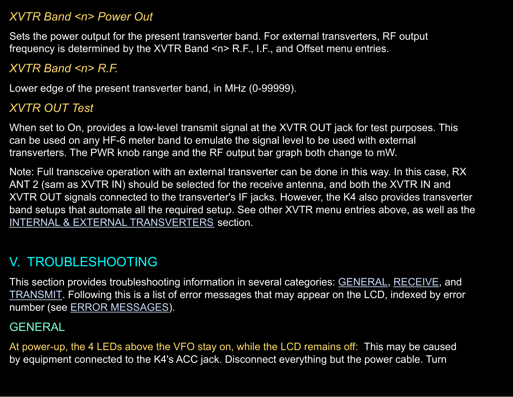#### *XVTR Band <n> Power Out*

Sets the power output for the present transverter band. For external transverters, RF output frequency is determined by the XVTR Band <n> R.F., I.F., and Offset menu entries.

## *XVTR Band <n> R.F.*

Lower edge of the present transverter band, in MHz (0-99999).

## *XVTR OUT Test*

When set to On, provides a low-level transmit signal at the XVTR OUT jack for test purposes. This can be used on any HF-6 meter band to emulate the signal level to be used with external transverters. The PWR knob range and the RF output bar graph both change to mW.

Note: Full transceive operation with an external transverter can be done in this way. In this case, RX ANT 2 (sam as XVTR IN) should be selected for the receive antenna, and both the XVTR IN and XVTR OUT signals connected to the transverter's IF jacks. However, the K4 also provides transverter band setups that automate all the required setup. See other XVTR menu entries above, as well as the INTERNAL & EXTERNAL [TRANSVERTERS](#page-76-0) section.

# V. TROUBLESHOOTING

This section provides troubleshooting information in several categories: [GENERAL,](#page-94-0) [RECEIVE,](#page-96-0) and [TRANSMIT](#page-98-0). Following this is a list of error messages that may appear on the LCD, indexed by error number (see ERROR [MESSAGES\)](#page-100-0).

## <span id="page-94-0"></span>**GENERAL**

At power-up, the 4 LEDs above the VFO stay on, while the LCD remains off: This may be caused by equipment connected to the K4's ACC jack. Disconnect everything but the power cable. Turn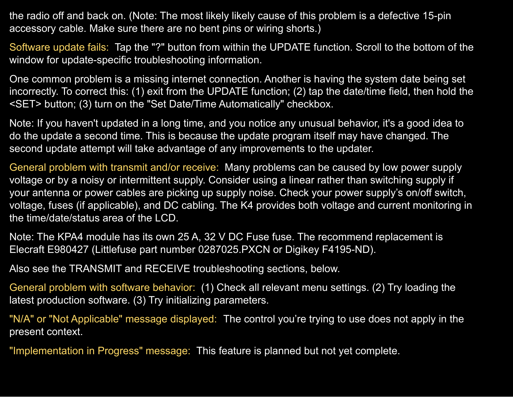the radio off and back on. (Note: The most likely likely cause of this problem is a defective 15-pin accessory cable. Make sure there are no bent pins or wiring shorts.)

Software update fails: Tap the "?" button from within the UPDATE function. Scroll to the bottom of the window for update-specific troubleshooting information.

One common problem is a missing internet connection. Another is having the system date being set incorrectly. To correct this: (1) exit from the UPDATE function; (2) tap the date/time field, then hold the <SET> button; (3) turn on the "Set Date/Time Automatically" checkbox.

Note: If you haven't updated in a long time, and you notice any unusual behavior, it's a good idea to do the update a second time. This is because the update program itself may have changed. The second update attempt will take advantage of any improvements to the updater.

General problem with transmit and/or receive: Many problems can be caused by low power supply voltage or by a noisy or intermittent supply. Consider using a linear rather than switching supply if your antenna or power cables are picking up supply noise. Check your power supply's on/off switch, voltage, fuses (if applicable), and DC cabling. The K4 provides both voltage and current monitoring in the time/date/status area of the LCD.

Note: The KPA4 module has its own 25 A, 32 V DC Fuse fuse. The recommend replacement is Elecraft E980427 (Littlefuse part number 0287025.PXCN or Digikey F4195-ND).

Also see the TRANSMIT and RECEIVE troubleshooting sections, below.

General problem with software behavior: (1) Check all relevant menu settings. (2) Try loading the latest production software. (3) Try initializing parameters.

"N/A" or "Not Applicable" message displayed: The control you're trying to use does not apply in the present context.

"Implementation in Progress" message: This feature is planned but not yet complete.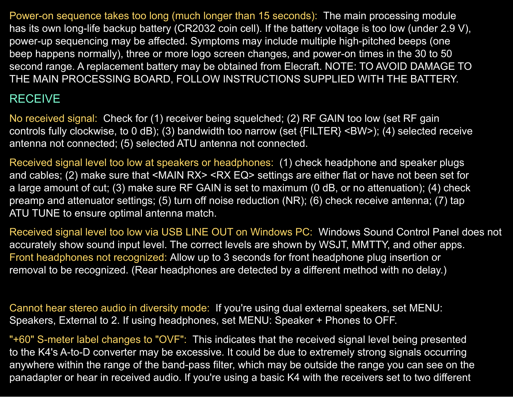Power-on sequence takes too long (much longer than 15 seconds): The main processing module has its own long-life backup battery (CR2032 coin cell). If the battery voltage is too low (under 2.9 V), power-up sequencing may be affected. Symptoms may include multiple high-pitched beeps (one beep happens normally), three or more logo screen changes, and power-on times in the 30 to 50 second range. A replacement battery may be obtained from Elecraft. NOTE: TO AVOID DAMAGE TO THE MAIN PROCESSING BOARD, FOLLOW INSTRUCTIONS SUPPLIED WITH THE BATTERY.

## <span id="page-96-0"></span>RECEIVE

No received signal: Check for (1) receiver being squelched; (2) RF GAIN too low (set RF gain controls fully clockwise, to 0 dB); (3) bandwidth too narrow (set {FILTER} <BW>); (4) selected receive antenna not connected; (5) selected ATU antenna not connected.

Received signal level too low at speakers or headphones: (1) check headphone and speaker plugs and cables; (2) make sure that <MAIN RX> <RX EQ> settings are either flat or have not been set for a large amount of cut; (3) make sure RF GAIN is set to maximum (0 dB, or no attenuation); (4) check preamp and attenuator settings; (5) turn off noise reduction (NR); (6) check receive antenna; (7) tap ATU TUNE to ensure optimal antenna match.

Received signal level too low via USB LINE OUT on Windows PC: Windows Sound Control Panel does not accurately show sound input level. The correct levels are shown by WSJT, MMTTY, and other apps. Front headphones not recognized: Allow up to 3 seconds for front headphone plug insertion or removal to be recognized. (Rear headphones are detected by a different method with no delay.)

Cannot hear stereo audio in diversity mode: If you're using dual external speakers, set MENU: Speakers, External to 2. If using headphones, set MENU: Speaker + Phones to OFF.

"+60" S-meter label changes to "OVF": This indicates that the received signal level being presented to the K4's A-to-D converter may be excessive. It could be due to extremely strong signals occurring anywhere within the range of the band-pass filter, which may be outside the range you can see on the panadapter or hear in received audio. If you're using a basic K4 with the receivers set to two different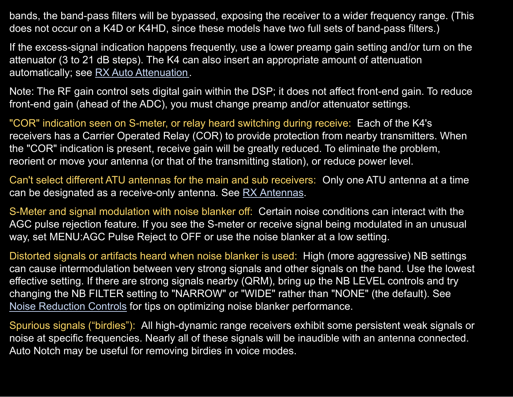bands, the band-pass filters will be bypassed, exposing the receiver to a wider frequency range. (This does not occur on a K4D or K4HD, since these models have two full sets of band-pass filters.)

If the excess-signal indication happens frequently, use a lower preamp gain setting and/or turn on the attenuator (3 to 21 dB steps). The K4 can also insert an appropriate amount of attenuation automatically; see RX Auto [Attenuation.](#page-86-0)

Note: The RF gain control sets digital gain within the DSP; it does not affect front-end gain. To reduce front-end gain (ahead of the ADC), you must change preamp and/or attenuator settings.

"COR" indication seen on S-meter, or relay heard switching during receive: Each of the K4's receivers has a Carrier Operated Relay (COR) to provide protection from nearby transmitters. When the "COR" indication is present, receive gain will be greatly reduced. To eliminate the problem, reorient or move your antenna (or that of the transmitting station), or reduce power level.

Can't select different ATU antennas for the main and sub receivers: Only one ATU antenna at a time can be designated as a receive-only antenna. See RX [Antennas.](#page-43-0)

S-Meter and signal modulation with noise blanker off: Certain noise conditions can interact with the AGC pulse rejection feature. If you see the S-meter or receive signal being modulated in an unusual way, set MENU:AGC Pulse Reject to OFF or use the noise blanker at a low setting.

Distorted signals or artifacts heard when noise blanker is used: High (more aggressive) NB settings can cause intermodulation between very strong signals and other signals on the band. Use the lowest effective setting. If there are strong signals nearby (QRM), bring up the NB LEVEL controls and try changing the NB FILTER setting to "NARROW" or "WIDE" rather than "NONE" (the default). See Noise [Reduction](#page-59-0) Controls for tips on optimizing noise blanker performance.

Spurious signals ("birdies"): All high-dynamic range receivers exhibit some persistent weak signals or noise at specific frequencies. Nearly all of these signals will be inaudible with an antenna connected. Auto Notch may be useful for removing birdies in voice modes.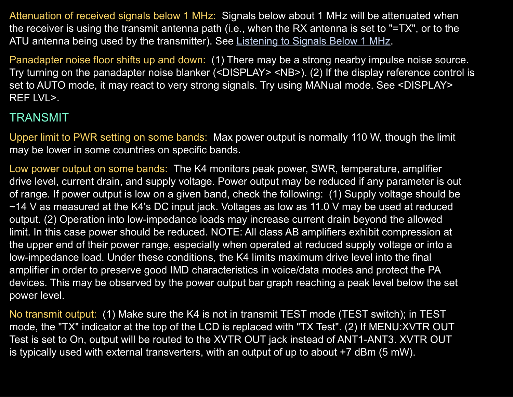Attenuation of received signals below 1 MHz: Signals below about 1 MHz will be attenuated when the receiver is using the transmit antenna path (i.e., when the RX antenna is set to "=TX", or to the ATU antenna being used by the transmitter). See [Listening](#page-46-0) to Signals Below 1 MHz.

Panadapter noise floor shifts up and down: (1) There may be a strong nearby impulse noise source. Try turning on the panadapter noise blanker (<DISPLAY> <NB>). (2) If the display reference control is set to AUTO mode, it may react to very strong signals. Try using MANual mode. See <DISPLAY> REF LVL>.

### <span id="page-98-0"></span>TRANSMIT

Upper limit to PWR setting on some bands: Max power output is normally 110 W, though the limit may be lower in some countries on specific bands.

Low power output on some bands: The K4 monitors peak power, SWR, temperature, amplifier drive level, current drain, and supply voltage. Power output may be reduced if any parameter is out of range. If power output is low on a given band, check the following: (1) Supply voltage should be ~14 V as measured at the K4's DC input jack. Voltages as low as 11.0 V may be used at reduced output. (2) Operation into low-impedance loads may increase current drain beyond the allowed limit. In this case power should be reduced. NOTE: All class AB amplifiers exhibit compression at the upper end of their power range, especially when operated at reduced supply voltage or into a low-impedance load. Under these conditions, the K4 limits maximum drive level into the final amplifier in order to preserve good IMD characteristics in voice/data modes and protect the PA devices. This may be observed by the power output bar graph reaching a peak level below the set power level.

No transmit output: (1) Make sure the K4 is not in transmit TEST mode (TEST switch); in TEST mode, the "TX" indicator at the top of the LCD is replaced with "TX Test". (2) If MENU:XVTR OUT Test is set to On, output will be routed to the XVTR OUT jack instead of ANT1-ANT3. XVTR OUT is typically used with external transverters, with an output of up to about +7 dBm (5 mW).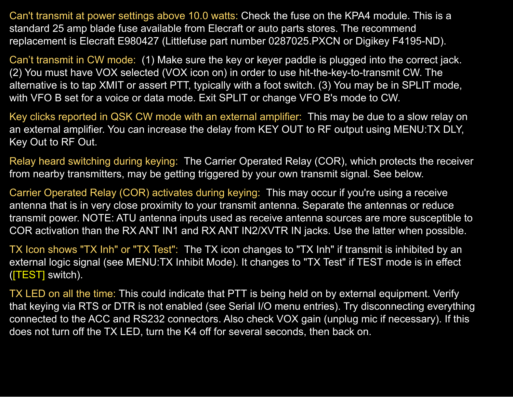Can't transmit at power settings above 10.0 watts: Check the fuse on the KPA4 module. This is a standard 25 amp blade fuse available from Elecraft or auto parts stores. The recommend replacement is Elecraft E980427 (Littlefuse part number 0287025.PXCN or Digikey F4195-ND).

Can't transmit in CW mode: (1) Make sure the key or keyer paddle is plugged into the correct jack. (2) You must have VOX selected (VOX icon on) in order to use hit-the-key-to-transmit CW. The alternative is to tap XMIT or assert PTT, typically with a foot switch. (3) You may be in SPLIT mode, with VFO B set for a voice or data mode. Exit SPLIT or change VFO B's mode to CW.

Key clicks reported in QSK CW mode with an external amplifier: This may be due to a slow relay on an external amplifier. You can increase the delay from KEY OUT to RF output using MENU:TX DLY, Key Out to RF Out.

Relay heard switching during keying: The Carrier Operated Relay (COR), which protects the receiver from nearby transmitters, may be getting triggered by your own transmit signal. See below.

Carrier Operated Relay (COR) activates during keying: This may occur if you're using a receive antenna that is in very close proximity to your transmit antenna. Separate the antennas or reduce transmit power. NOTE: ATU antenna inputs used as receive antenna sources are more susceptible to COR activation than the RX ANT IN1 and RX ANT IN2/XVTR IN jacks. Use the latter when possible.

TX Icon shows "TX Inh" or "TX Test": The TX icon changes to "TX Inh" if transmit is inhibited by an external logic signal (see MENU:TX Inhibit Mode). It changes to "TX Test" if TEST mode is in effect ([TEST] switch).

TX LED on all the time: This could indicate that PTT is being held on by external equipment. Verify that keying via RTS or DTR is not enabled (see Serial I/O menu entries). Try disconnecting everything connected to the ACC and RS232 connectors. Also check VOX gain (unplug mic if necessary). If this does not turn off the TX LED, turn the K4 off for several seconds, then back on.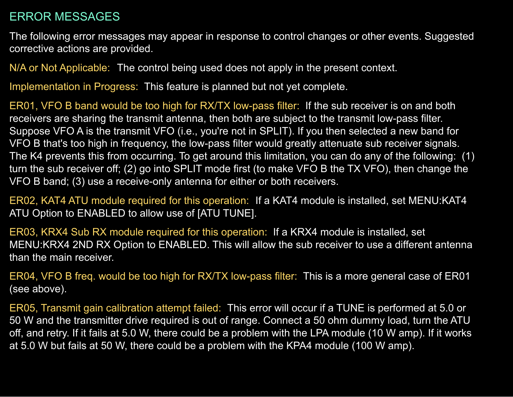#### <span id="page-100-0"></span>ERROR MESSAGES

The following error messages may appear in response to control changes or other events. Suggested corrective actions are provided.

N/A or Not Applicable: The control being used does not apply in the present context.

Implementation in Progress: This feature is planned but not yet complete.

ER01, VFO B band would be too high for RX/TX low-pass filter: If the sub receiver is on and both receivers are sharing the transmit antenna, then both are subject to the transmit low-pass filter. Suppose VFO A is the transmit VFO (i.e., you're not in SPLIT). If you then selected a new band for VFO B that's too high in frequency, the low-pass filter would greatly attenuate sub receiver signals. The K4 prevents this from occurring. To get around this limitation, you can do any of the following: (1) turn the sub receiver off; (2) go into SPLIT mode first (to make VFO B the TX VFO), then change the VFO B band; (3) use a receive-only antenna for either or both receivers.

ER02, KAT4 ATU module required for this operation: If a KAT4 module is installed, set MENU:KAT4 ATU Option to ENABLED to allow use of [ATU TUNE].

ER03, KRX4 Sub RX module required for this operation: If a KRX4 module is installed, set MENU:KRX4 2ND RX Option to ENABLED. This will allow the sub receiver to use a different antenna than the main receiver.

ER04, VFO B freq. would be too high for RX/TX low-pass filter: This is a more general case of ER01 (see above).

ER05, Transmit gain calibration attempt failed: This error will occur if a TUNE is performed at 5.0 or 50 W and the transmitter drive required is out of range. Connect a 50 ohm dummy load, turn the ATU off, and retry. If it fails at 5.0 W, there could be a problem with the LPA module (10 W amp). If it works at 5.0 W but fails at 50 W, there could be a problem with the KPA4 module (100 W amp).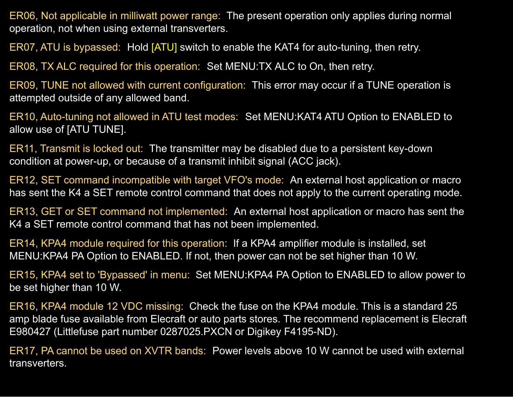ER06, Not applicable in milliwatt power range: The present operation only applies during normal operation, not when using external transverters.

ER07, ATU is bypassed: Hold [ATU] switch to enable the KAT4 for auto-tuning, then retry.

ER08, TX ALC required for this operation: Set MENU:TX ALC to On, then retry.

ER09, TUNE not allowed with current configuration: This error may occur if a TUNE operation is attempted outside of any allowed band.

ER10, Auto-tuning not allowed in ATU test modes: Set MENU:KAT4 ATU Option to ENABLED to allow use of [ATU TUNE].

ER11, Transmit is locked out: The transmitter may be disabled due to a persistent key-down condition at power-up, or because of a transmit inhibit signal (ACC jack).

ER12, SET command incompatible with target VFO's mode: An external host application or macro has sent the K4 a SET remote control command that does not apply to the current operating mode.

ER13, GET or SET command not implemented: An external host application or macro has sent the K4 a SET remote control command that has not been implemented.

ER14, KPA4 module required for this operation: If a KPA4 amplifier module is installed, set MENU:KPA4 PA Option to ENABLED. If not, then power can not be set higher than 10 W.

ER15, KPA4 set to 'Bypassed' in menu: Set MENU:KPA4 PA Option to ENABLED to allow power to be set higher than 10 W.

ER16, KPA4 module 12 VDC missing: Check the fuse on the KPA4 module. This is a standard 25 amp blade fuse available from Elecraft or auto parts stores. The recommend replacement is Elecraft E980427 (Littlefuse part number 0287025.PXCN or Digikey F4195-ND).

ER17, PA cannot be used on XVTR bands: Power levels above 10 W cannot be used with external transverters.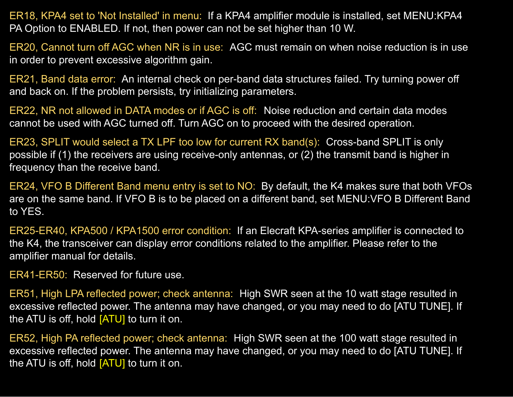ER18, KPA4 set to 'Not Installed' in menu: If a KPA4 amplifier module is installed, set MENU:KPA4 PA Option to ENABLED. If not, then power can not be set higher than 10 W.

ER20, Cannot turn off AGC when NR is in use: AGC must remain on when noise reduction is in use in order to prevent excessive algorithm gain.

ER21, Band data error: An internal check on per-band data structures failed. Try turning power off and back on. If the problem persists, try initializing parameters.

ER22, NR not allowed in DATA modes or if AGC is off: Noise reduction and certain data modes cannot be used with AGC turned off. Turn AGC on to proceed with the desired operation.

ER23, SPLIT would select a TX LPF too low for current RX band(s): Cross-band SPLIT is only possible if (1) the receivers are using receive-only antennas, or (2) the transmit band is higher in frequency than the receive band.

ER24, VFO B Different Band menu entry is set to NO: By default, the K4 makes sure that both VFOs are on the same band. If VFO B is to be placed on a different band, set MENU:VFO B Different Band to YES.

ER25-ER40, KPA500 / KPA1500 error condition: If an Elecraft KPA-series amplifier is connected to the K4, the transceiver can display error conditions related to the amplifier. Please refer to the amplifier manual for details.

ER41-ER50: Reserved for future use.

ER51, High LPA reflected power; check antenna: High SWR seen at the 10 watt stage resulted in excessive reflected power. The antenna may have changed, or you may need to do [ATU TUNE]. If the ATU is off, hold  $[ATU]$  to turn it on.

ER52, High PA reflected power; check antenna: High SWR seen at the 100 watt stage resulted in excessive reflected power. The antenna may have changed, or you may need to do [ATU TUNE]. If the ATU is off, hold  $[ATU]$  to turn it on.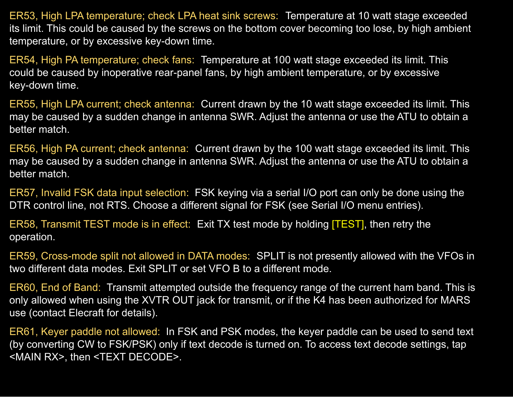ER53, High LPA temperature; check LPA heat sink screws: Temperature at 10 watt stage exceeded its limit. This could be caused by the screws on the bottom cover becoming too lose, by high ambient temperature, or by excessive key-down time.

ER54, High PA temperature; check fans: Temperature at 100 watt stage exceeded its limit. This could be caused by inoperative rear-panel fans, by high ambient temperature, or by excessive key-down time.

ER55, High LPA current; check antenna: Current drawn by the 10 watt stage exceeded its limit. This may be caused by a sudden change in antenna SWR. Adjust the antenna or use the ATU to obtain a better match.

ER56, High PA current; check antenna: Current drawn by the 100 watt stage exceeded its limit. This may be caused by a sudden change in antenna SWR. Adjust the antenna or use the ATU to obtain a better match.

ER57, Invalid FSK data input selection: FSK keying via a serial I/O port can only be done using the DTR control line, not RTS. Choose a different signal for FSK (see Serial I/O menu entries).

ER58, Transmit TEST mode is in effect: Exit TX test mode by holding [TEST], then retry the operation.

ER59, Cross-mode split not allowed in DATA modes: SPLIT is not presently allowed with the VFOs in two different data modes. Exit SPLIT or set VFO B to a different mode.

ER60, End of Band: Transmit attempted outside the frequency range of the current ham band. This is only allowed when using the XVTR OUT jack for transmit, or if the K4 has been authorized for MARS use (contact Elecraft for details).

ER61, Keyer paddle not allowed: In FSK and PSK modes, the keyer paddle can be used to send text (by converting CW to FSK/PSK) only if text decode is turned on. To access text decode settings, tap <MAIN RX>, then <TEXT DECODE>.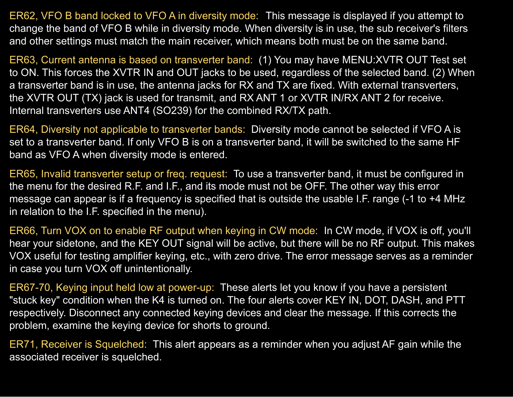ER62, VFO B band locked to VFO A in diversity mode: This message is displayed if you attempt to change the band of VFO B while in diversity mode. When diversity is in use, the sub receiver's filters and other settings must match the main receiver, which means both must be on the same band.

ER63, Current antenna is based on transverter band: (1) You may have MENU:XVTR OUT Test set to ON. This forces the XVTR IN and OUT jacks to be used, regardless of the selected band. (2) When a transverter band is in use, the antenna jacks for RX and TX are fixed. With external transverters, the XVTR OUT (TX) jack is used for transmit, and RX ANT 1 or XVTR IN/RX ANT 2 for receive. Internal transverters use ANT4 (SO239) for the combined RX/TX path.

ER64, Diversity not applicable to transverter bands: Diversity mode cannot be selected if VFO A is set to a transverter band. If only VFO B is on a transverter band, it will be switched to the same HF band as VFO A when diversity mode is entered.

ER65, Invalid transverter setup or freq. request: To use a transverter band, it must be configured in the menu for the desired R.F. and I.F., and its mode must not be OFF. The other way this error message can appear is if a frequency is specified that is outside the usable I.F. range (-1 to +4 MHz in relation to the I.F. specified in the menu).

ER66, Turn VOX on to enable RF output when keying in CW mode: In CW mode, if VOX is off, you'll hear your sidetone, and the KEY OUT signal will be active, but there will be no RF output. This makes VOX useful for testing amplifier keying, etc., with zero drive. The error message serves as a reminder in case you turn VOX off unintentionally.

ER67-70, Keying input held low at power-up: These alerts let you know if you have a persistent "stuck key" condition when the K4 is turned on. The four alerts cover KEY IN, DOT, DASH, and PTT respectively. Disconnect any connected keying devices and clear the message. If this corrects the problem, examine the keying device for shorts to ground.

ER71, Receiver is Squelched: This alert appears as a reminder when you adjust AF gain while the associated receiver is squelched.